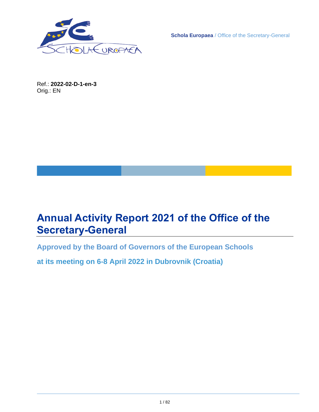

**Schola Europaea** / Office of the Secretary-General

Ref.: **2022-02-D-1-en-3** Orig.: EN

# <span id="page-0-0"></span>**Annual Activity Report 2021 of the Office of the Secretary-General**

**Approved by the Board of Governors of the European Schools**

**at its meeting on 6-8 April 2022 in Dubrovnik (Croatia)**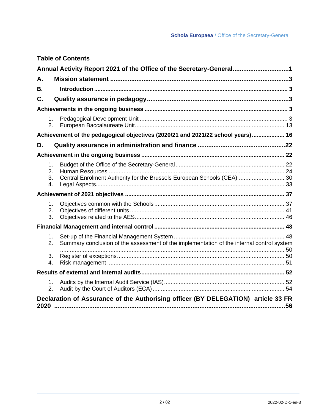### **[Annual Activity Report 2021 of the Office of the Secretary-General................................1](#page-0-0) A. Mission statement [......................................................................................................3](#page-2-0) B. [Introduction.......................................................................................................................](#page-2-1) 3 C. [Quality assurance in pedagogy.................................................................................3](#page-2-2) Achievements in the ongoing business [........................................................................................](#page-2-3) 3** 1. Pedagogical Development Unit [...........................................................................................](#page-2-4) 3 2. [European Baccalaureate Unit............................................................................................](#page-12-0) 13 **[Achievement of the pedagogical objectives \(2020/21 and 2021/22 school years\)....................](#page-15-0) 16 D. [Quality assurance in administration and finance](#page-21-0) ..................................................22 Achievement in the ongoing business [........................................................................................](#page-21-1) 22** 1. [Budget of the Office of the Secretary-General...................................................................](#page-21-2) 22 2. Human Resources [............................................................................................................](#page-23-0) 24 3. [Central Enrolment Authority for the Brussels European Schools \(CEA\)](#page-29-0) ............................ 30 4. [Legal Aspects....................................................................................................................](#page-32-0) 33 **Achievement of 2021 objectives [..................................................................................................](#page-36-0) 37** 1. Objectives common with the Schools [................................................................................](#page-36-1) 37 2. Objectives of different units [...............................................................................................](#page-40-0) 41 3. [Objectives related to the AES............................................................................................](#page-45-0) 46 **Financial Management and internal control [................................................................................](#page-47-0) 48** 1. [Set-up of the Financial Management System](#page-47-1) .................................................................... 48 2. [Summary conclusion of the assessment of the implementation of the internal control system](#page-49-0) [..........................................................................................................................................](#page-49-0) 50 3. [Register of exceptions.......................................................................................................](#page-49-1) 50 4. Risk management [.............................................................................................................](#page-50-0) 51 **[Results of external and internal audits........................................................................................](#page-51-0) 52** 1. [Audits by the Internal Audit Service \(IAS\)..........................................................................](#page-51-1) 52 2. [Audit by the Court of Auditors \(ECA\).................................................................................](#page-53-0) 54 **[Declaration of Assurance of the Authorising officer \(BY DELEGATION\) article 33 FR](#page-55-0)  2020 [....................................................................................................................................56](#page-55-0)**

**Table of Contents**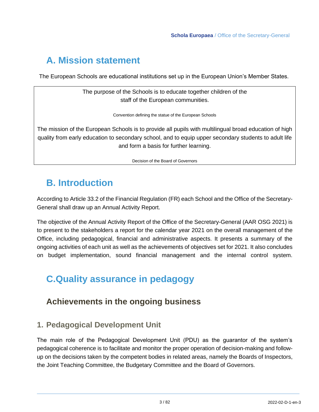# <span id="page-2-0"></span>**A. Mission statement**

The European Schools are educational institutions set up in the European Union's Member States.

The purpose of the Schools is to educate together children of the staff of the European communities.

Convention defining the statue of the European Schools

The mission of the European Schools is to provide all pupils with multilingual broad education of high quality from early education to secondary school, and to equip upper secondary students to adult life and form a basis for further learning.

Decision of the Board of Governors

# <span id="page-2-1"></span>**B. Introduction**

According to Article 33.2 of the Financial Regulation (FR) each School and the Office of the Secretary-General shall draw up an Annual Activity Report.

The objective of the Annual Activity Report of the Office of the Secretary-General (AAR OSG 2021) is to present to the stakeholders a report for the calendar year 2021 on the overall management of the Office, including pedagogical, financial and administrative aspects. It presents a summary of the ongoing activities of each unit as well as the achievements of objectives set for 2021. It also concludes on budget implementation, sound financial management and the internal control system.

# <span id="page-2-3"></span><span id="page-2-2"></span>**C.Quality assurance in pedagogy**

## **Achievements in the ongoing business**

## <span id="page-2-4"></span>**1. Pedagogical Development Unit**

The main role of the Pedagogical Development Unit (PDU) as the guarantor of the system's pedagogical coherence is to facilitate and monitor the proper operation of decision-making and followup on the decisions taken by the competent bodies in related areas, namely the Boards of Inspectors, the Joint Teaching Committee, the Budgetary Committee and the Board of Governors.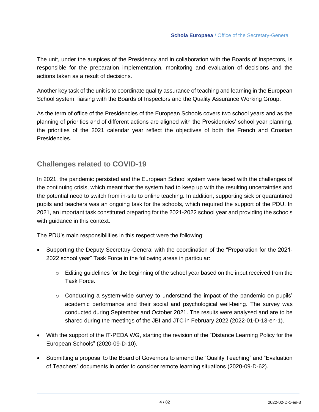The unit, under the auspices of the Presidency and in collaboration with the Boards of Inspectors, is responsible for the preparation, implementation, monitoring and evaluation of decisions and the actions taken as a result of decisions.

Another key task of the unit is to coordinate quality assurance of teaching and learning in the European School system, liaising with the Boards of Inspectors and the Quality Assurance Working Group.

As the term of office of the Presidencies of the European Schools covers two school years and as the planning of priorities and of different actions are aligned with the Presidencies' school year planning, the priorities of the 2021 calendar year reflect the objectives of both the French and Croatian Presidencies.

### **Challenges related to COVID-19**

In 2021, the pandemic persisted and the European School system were faced with the challenges of the continuing crisis, which meant that the system had to keep up with the resulting uncertainties and the potential need to switch from in-situ to online teaching. In addition, supporting sick or quarantined pupils and teachers was an ongoing task for the schools, which required the support of the PDU. In 2021, an important task constituted preparing for the 2021-2022 school year and providing the schools with guidance in this context.

The PDU's main responsibilities in this respect were the following:

- Supporting the Deputy Secretary-General with the coordination of the "Preparation for the 2021- 2022 school year" Task Force in the following areas in particular:
	- $\circ$  Editing guidelines for the beginning of the school year based on the input received from the Task Force.
	- $\circ$  Conducting a system-wide survey to understand the impact of the pandemic on pupils' academic performance and their social and psychological well-being. The survey was conducted during September and October 2021. The results were analysed and are to be shared during the meetings of the JBI and JTC in February 2022 (2022-01-D-13-en-1).
- With the support of the IT-PEDA WG, starting the revision of the "Distance Learning Policy for the European Schools" (2020-09-D-10).
- Submitting a proposal to the Board of Governors to amend the "Quality Teaching" and "Evaluation of Teachers" documents in order to consider remote learning situations (2020-09-D-62).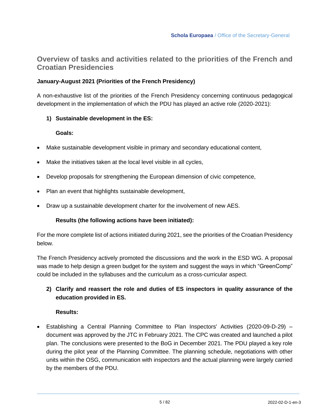### **Overview of tasks and activities related to the priorities of the French and Croatian Presidencies**

#### **January-August 2021 (Priorities of the French Presidency)**

A non-exhaustive list of the priorities of the French Presidency concerning continuous pedagogical development in the implementation of which the PDU has played an active role (2020-2021):

#### **1) Sustainable development in the ES:**

#### **Goals:**

- Make sustainable development visible in primary and secondary educational content,
- Make the initiatives taken at the local level visible in all cycles,
- Develop proposals for strengthening the European dimension of civic competence,
- Plan an event that highlights sustainable development,
- Draw up a sustainable development charter for the involvement of new AES.

#### **Results (the following actions have been initiated):**

For the more complete list of actions initiated during 2021, see the priorities of the Croatian Presidency below.

The French Presidency actively promoted the discussions and the work in the ESD WG. A proposal was made to help design a green budget for the system and suggest the ways in which "GreenComp" could be included in the syllabuses and the curriculum as a cross-curricular aspect.

#### **2) Clarify and reassert the role and duties of ES inspectors in quality assurance of the education provided in ES.**

#### **Results:**

• Establishing a Central Planning Committee to Plan Inspectors' Activities (2020-09-D-29) – document was approved by the JTC in February 2021. The CPC was created and launched a pilot plan. The conclusions were presented to the BoG in December 2021. The PDU played a key role during the pilot year of the Planning Committee. The planning schedule, negotiations with other units within the OSG, communication with inspectors and the actual planning were largely carried by the members of the PDU.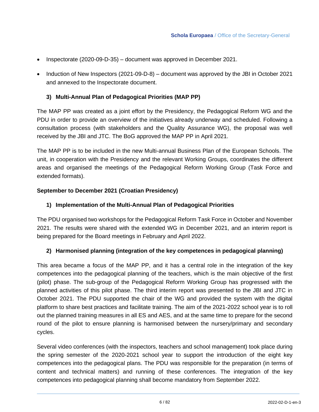- Inspectorate (2020-09-D-35) document was approved in December 2021.
- Induction of New Inspectors (2021-09-D-8) document was approved by the JBI in October 2021 and annexed to the Inspectorate document.

#### **3) Multi-Annual Plan of Pedagogical Priorities (MAP PP)**

The MAP PP was created as a joint effort by the Presidency, the Pedagogical Reform WG and the PDU in order to provide an overview of the initiatives already underway and scheduled. Following a consultation process (with stakeholders and the Quality Assurance WG), the proposal was well received by the JBI and JTC. The BoG approved the MAP PP in April 2021.

The MAP PP is to be included in the new Multi-annual Business Plan of the European Schools. The unit, in cooperation with the Presidency and the relevant Working Groups, coordinates the different areas and organised the meetings of the Pedagogical Reform Working Group (Task Force and extended formats).

#### **September to December 2021 (Croatian Presidency)**

#### **1) Implementation of the Multi-Annual Plan of Pedagogical Priorities**

The PDU organised two workshops for the Pedagogical Reform Task Force in October and November 2021. The results were shared with the extended WG in December 2021, and an interim report is being prepared for the Board meetings in February and April 2022.

#### **2) Harmonised planning (integration of the key competences in pedagogical planning)**

This area became a focus of the MAP PP, and it has a central role in the integration of the key competences into the pedagogical planning of the teachers, which is the main objective of the first (pilot) phase. The sub-group of the Pedagogical Reform Working Group has progressed with the planned activities of this pilot phase. The third interim report was presented to the JBI and JTC in October 2021. The PDU supported the chair of the WG and provided the system with the digital platform to share best practices and facilitate training. The aim of the 2021-2022 school year is to roll out the planned training measures in all ES and AES, and at the same time to prepare for the second round of the pilot to ensure planning is harmonised between the nursery/primary and secondary cycles.

Several video conferences (with the inspectors, teachers and school management) took place during the spring semester of the 2020-2021 school year to support the introduction of the eight key competences into the pedagogical plans. The PDU was responsible for the preparation (in terms of content and technical matters) and running of these conferences. The integration of the key competences into pedagogical planning shall become mandatory from September 2022.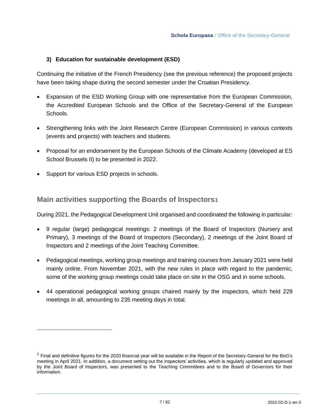#### **3) Education for sustainable development (ESD)**

Continuing the initiative of the French Presidency (see the previous reference) the proposed projects have been taking shape during the second semester under the Croatian Presidency.

- Expansion of the ESD Working Group with one representative from the European Commission, the Accredited European Schools and the Office of the Secretary-General of the European Schools.
- Strengthening links with the Joint Research Centre (European Commission) in various contexts (events and projects) with teachers and students.
- Proposal for an endorsement by the European Schools of the Climate Academy (developed at ES School Brussels II) to be presented in 2022.
- Support for various ESD projects in schools.

### **Main activities supporting the Boards of Inspectors1**

During 2021, the Pedagogical Development Unit organised and coordinated the following in particular:

- 9 regular (large) pedagogical meetings: 2 meetings of the Board of Inspectors (Nursery and Primary), 3 meetings of the Board of Inspectors (Secondary), 2 meetings of the Joint Board of Inspectors and 2 meetings of the Joint Teaching Committee.
- Pedagogical meetings, working group meetings and training courses from January 2021 were held mainly online. From November 2021, with the new rules in place with regard to the pandemic, some of the working group meetings could take place on site in the OSG and in some schools.
- 44 operational pedagogical working groups chaired mainly by the inspectors, which held 229 meetings in all, amounting to 235 meeting days in total.

 $1$  Final and definitive figures for the 2020 financial year will be available in the Report of the Secretary-General for the BoG's meeting in April 2021. In addition, a document setting out the inspectors' activities, which is regularly updated and approved by the Joint Board of Inspectors, was presented to the Teaching Committees and to the Board of Governors for their information.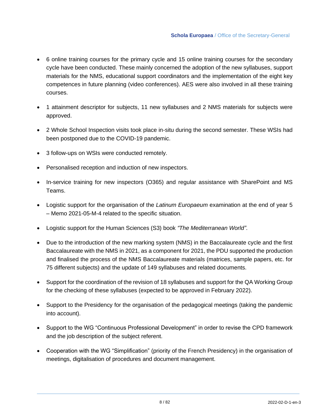- 6 online training courses for the primary cycle and 15 online training courses for the secondary cycle have been conducted. These mainly concerned the adoption of the new syllabuses, support materials for the NMS, educational support coordinators and the implementation of the eight key competences in future planning (video conferences). AES were also involved in all these training courses.
- 1 attainment descriptor for subjects, 11 new syllabuses and 2 NMS materials for subjects were approved.
- 2 Whole School Inspection visits took place in-situ during the second semester. These WSIs had been postponed due to the COVID-19 pandemic.
- 3 follow-ups on WSIs were conducted remotely.
- Personalised reception and induction of new inspectors.
- In-service training for new inspectors (O365) and regular assistance with SharePoint and MS Teams.
- Logistic support for the organisation of the *Latinum Europaeum* examination at the end of year 5 – Memo 2021-05-M-4 related to the specific situation.
- Logistic support for the Human Sciences (S3) book *"The Mediterranean World"*.
- Due to the introduction of the new marking system (NMS) in the Baccalaureate cycle and the first Baccalaureate with the NMS in 2021, as a component for 2021, the PDU supported the production and finalised the process of the NMS Baccalaureate materials (matrices, sample papers, etc. for 75 different subjects) and the update of 149 syllabuses and related documents.
- Support for the coordination of the revision of 18 syllabuses and support for the QA Working Group for the checking of these syllabuses (expected to be approved in February 2022).
- Support to the Presidency for the organisation of the pedagogical meetings (taking the pandemic into account).
- Support to the WG "Continuous Professional Development" in order to revise the CPD framework and the job description of the subject referent.
- Cooperation with the WG "Simplification" (priority of the French Presidency) in the organisation of meetings, digitalisation of procedures and document management.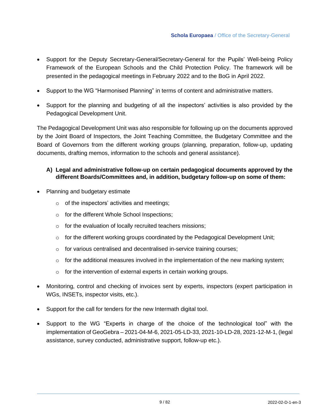- Support for the Deputy Secretary-General/Secretary-General for the Pupils' Well-being Policy Framework of the European Schools and the Child Protection Policy. The framework will be presented in the pedagogical meetings in February 2022 and to the BoG in April 2022.
- Support to the WG "Harmonised Planning" in terms of content and administrative matters.
- Support for the planning and budgeting of all the inspectors' activities is also provided by the Pedagogical Development Unit.

The Pedagogical Development Unit was also responsible for following up on the documents approved by the Joint Board of Inspectors, the Joint Teaching Committee, the Budgetary Committee and the Board of Governors from the different working groups (planning, preparation, follow-up, updating documents, drafting memos, information to the schools and general assistance).

#### **A) Legal and administrative follow-up on certain pedagogical documents approved by the different Boards/Committees and, in addition, budgetary follow-up on some of them:**

- Planning and budgetary estimate
	- o of the inspectors' activities and meetings;
	- o for the different Whole School Inspections;
	- o for the evaluation of locally recruited teachers missions;
	- $\circ$  for the different working groups coordinated by the Pedagogical Development Unit;
	- o for various centralised and decentralised in-service training courses;
	- o for the additional measures involved in the implementation of the new marking system;
	- $\circ$  for the intervention of external experts in certain working groups.
- Monitoring, control and checking of invoices sent by experts, inspectors (expert participation in WGs, INSETs, inspector visits, etc.).
- Support for the call for tenders for the new Intermath digital tool.
- Support to the WG "Experts in charge of the choice of the technological tool" with the implementation of GeoGebra – 2021-04-M-6, 2021-05-LD-33, 2021-10-LD-28, 2021-12-M-1, (legal assistance, survey conducted, administrative support, follow-up etc.).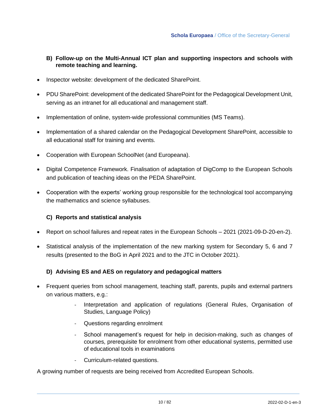#### **B) Follow-up on the Multi-Annual ICT plan and supporting inspectors and schools with remote teaching and learning.**

- Inspector website: development of the dedicated SharePoint.
- PDU SharePoint: development of the dedicated SharePoint for the Pedagogical Development Unit, serving as an intranet for all educational and management staff.
- Implementation of online, system-wide professional communities (MS Teams).
- Implementation of a shared calendar on the Pedagogical Development SharePoint, accessible to all educational staff for training and events.
- Cooperation with European SchoolNet (and Europeana).
- Digital Competence Framework. Finalisation of adaptation of DigComp to the European Schools and publication of teaching ideas on the PEDA SharePoint.
- Cooperation with the experts' working group responsible for the technological tool accompanying the mathematics and science syllabuses.

#### **C) Reports and statistical analysis**

- Report on school failures and repeat rates in the European Schools 2021 (2021-09-D-20-en-2).
- Statistical analysis of the implementation of the new marking system for Secondary 5, 6 and 7 results (presented to the BoG in April 2021 and to the JTC in October 2021).

#### **D) Advising ES and AES on regulatory and pedagogical matters**

- Frequent queries from school management, teaching staff, parents, pupils and external partners on various matters, e.g.:
	- Interpretation and application of regulations (General Rules, Organisation of Studies, Language Policy)
	- Questions regarding enrolment
	- School management's request for help in decision-making, such as changes of courses, prerequisite for enrolment from other educational systems, permitted use of educational tools in examinations
	- Curriculum-related questions.

A growing number of requests are being received from Accredited European Schools.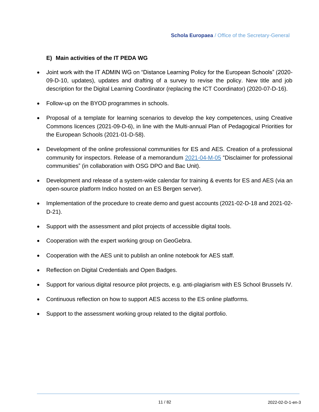#### **E) Main activities of the IT PEDA WG**

- Joint work with the IT ADMIN WG on "Distance Learning Policy for the European Schools" (2020- 09-D-10, updates), updates and drafting of a survey to revise the policy. New title and job description for the Digital Learning Coordinator (replacing the ICT Coordinator) (2020-07-D-16).
- Follow-up on the BYOD programmes in schools.
- Proposal of a template for learning scenarios to develop the key competences, using Creative Commons licences (2021-09-D-6), in line with the Multi-annual Plan of Pedagogical Priorities for the European Schools (2021-01-D-58).
- Development of the online professional communities for ES and AES. Creation of a professional community for inspectors. Release of a memorandum [2021-04-M-05](https://eursc.sharepoint.com/sites/PedagogicalDevelopment/Documents/Forms/AllItems.aspx?id=%2Fsites%2FPedagogicalDevelopment%2FDocuments%2FVARIA%2F2021%2D04%2DM%2D05%20MEMO%20Essential%20precautions%20in%20online%20PCs&p=true&originalPath=aHR0cHM6Ly9ldXJzYy5zaGFyZXBvaW50LmNvbS86Zjovcy9QZWRhZ29naWNhbERldmVsb3BtZW50L0VoemE0U2tFY081TGw5SW5Hbm51U1pBQnlFaEx6Mk9OYTlsc1V4ZW13WnBmbFE%5FcnRpbWU9X21lOTdTUVYyVWc) "Disclaimer for professional communities" (in collaboration with OSG DPO and Bac Unit).
- Development and release of a system-wide calendar for training & events for ES and AES (via an open-source platform Indico hosted on an ES Bergen server).
- Implementation of the procedure to create demo and guest accounts (2021-02-D-18 and 2021-02- D-21).
- Support with the assessment and pilot projects of accessible digital tools.
- Cooperation with the expert working group on GeoGebra.
- Cooperation with the AES unit to publish an online notebook for AES staff.
- Reflection on Digital Credentials and Open Badges.
- Support for various digital resource pilot projects, e.g. anti-plagiarism with ES School Brussels IV.
- Continuous reflection on how to support AES access to the ES online platforms.
- Support to the assessment working group related to the digital portfolio.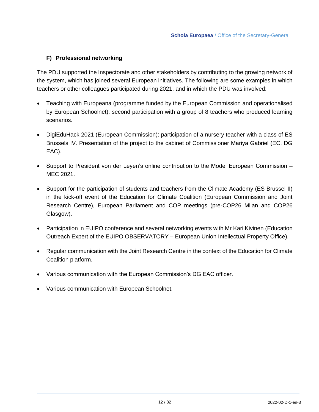#### **F) Professional networking**

The PDU supported the Inspectorate and other stakeholders by contributing to the growing network of the system, which has joined several European initiatives. The following are some examples in which teachers or other colleagues participated during 2021, and in which the PDU was involved:

- Teaching with Europeana (programme funded by the European Commission and operationalised by European Schoolnet): second participation with a group of 8 teachers who produced learning scenarios.
- DigiEduHack 2021 (European Commission): participation of a nursery teacher with a class of ES Brussels IV. Presentation of the project to the cabinet of Commissioner Mariya Gabriel (EC, DG EAC).
- Support to President von der Leyen's online contribution to the Model European Commission MEC 2021.
- Support for the participation of students and teachers from the Climate Academy (ES Brussel II) in the kick-off event of the Education for Climate Coalition (European Commission and Joint Research Centre), European Parliament and COP meetings (pre-COP26 Milan and COP26 Glasgow).
- Participation in EUIPO conference and several networking events with Mr Kari Kivinen (Education Outreach Expert of the EUIPO OBSERVATORY – European Union Intellectual Property Office).
- Regular communication with the Joint Research Centre in the context of the Education for Climate Coalition platform.
- Various communication with the European Commission's DG EAC officer.
- Various communication with European Schoolnet.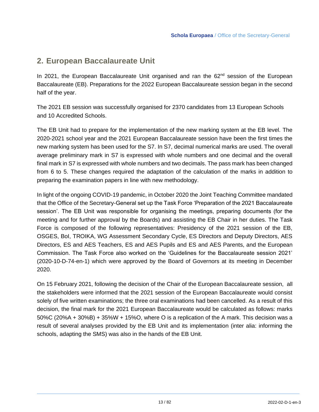### <span id="page-12-0"></span>**2. European Baccalaureate Unit**

In 2021, the European Baccalaureate Unit organised and ran the  $62<sup>nd</sup>$  session of the European Baccalaureate (EB). Preparations for the 2022 European Baccalaureate session began in the second half of the year.

The 2021 EB session was successfully organised for 2370 candidates from 13 European Schools and 10 Accredited Schools.

The EB Unit had to prepare for the implementation of the new marking system at the EB level. The 2020-2021 school year and the 2021 European Baccalaureate session have been the first times the new marking system has been used for the S7. In S7, decimal numerical marks are used. The overall average preliminary mark in S7 is expressed with whole numbers and one decimal and the overall final mark in S7 is expressed with whole numbers and two decimals. The pass mark has been changed from 6 to 5. These changes required the adaptation of the calculation of the marks in addition to preparing the examination papers in line with new methodology.

In light of the ongoing COVID-19 pandemic, in October 2020 the Joint Teaching Committee mandated that the Office of the Secretary-General set up the Task Force 'Preparation of the 2021 Baccalaureate session'. The EB Unit was responsible for organising the meetings, preparing documents (for the meeting and for further approval by the Boards) and assisting the EB Chair in her duties. The Task Force is composed of the following representatives: Presidency of the 2021 session of the EB, OSGES, BoI, TROIKA, WG Assessment Secondary Cycle, ES Directors and Deputy Directors, AES Directors, ES and AES Teachers, ES and AES Pupils and ES and AES Parents, and the European Commission. The Task Force also worked on the 'Guidelines for the Baccalaureate session 2021' (2020-10-D-74-en-1) which were approved by the Board of Governors at its meeting in December 2020.

On 15 February 2021, following the decision of the Chair of the European Baccalaureate session, all the stakeholders were informed that the 2021 session of the European Baccalaureate would consist solely of five written examinations; the three oral examinations had been cancelled. As a result of this decision, the final mark for the 2021 European Baccalaureate would be calculated as follows: marks 50%C (20%A + 30%B) + 35%W + 15%O, where O is a replication of the A mark. This decision was a result of several analyses provided by the EB Unit and its implementation (inter alia: informing the schools, adapting the SMS) was also in the hands of the EB Unit.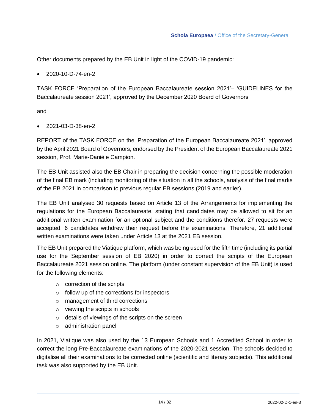Other documents prepared by the EB Unit in light of the COVID-19 pandemic:

#### • 2020-10-D-74-en-2

TASK FORCE 'Preparation of the European Baccalaureate session 2021'– 'GUIDELINES for the Baccalaureate session 2021', approved by the December 2020 Board of Governors

and

• 2021-03-D-38-en-2

REPORT of the TASK FORCE on the 'Preparation of the European Baccalaureate 2021', approved by the April 2021 Board of Governors, endorsed by the President of the European Baccalaureate 2021 session, Prof. Marie-Danièle Campion.

The EB Unit assisted also the EB Chair in preparing the decision concerning the possible moderation of the final EB mark (including monitoring of the situation in all the schools, analysis of the final marks of the EB 2021 in comparison to previous regular EB sessions (2019 and earlier).

The EB Unit analysed 30 requests based on Article 13 of the Arrangements for implementing the regulations for the European Baccalaureate, stating that candidates may be allowed to sit for an additional written examination for an optional subject and the conditions therefor. 27 requests were accepted, 6 candidates withdrew their request before the examinations. Therefore, 21 additional written examinations were taken under Article 13 at the 2021 EB session.

The EB Unit prepared the Viatique platform, which was being used for the fifth time (including its partial use for the September session of EB 2020) in order to correct the scripts of the European Baccalaureate 2021 session online. The platform (under constant supervision of the EB Unit) is used for the following elements:

- o correction of the scripts
- $\circ$  follow up of the corrections for inspectors
- o management of third corrections
- o viewing the scripts in schools
- o details of viewings of the scripts on the screen
- o administration panel

In 2021, Viatique was also used by the 13 European Schools and 1 Accredited School in order to correct the long Pre-Baccalaureate examinations of the 2020-2021 session. The schools decided to digitalise all their examinations to be corrected online (scientific and literary subjects). This additional task was also supported by the EB Unit.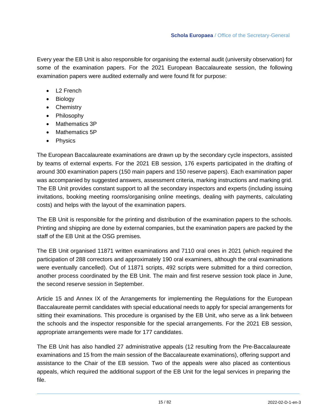Every year the EB Unit is also responsible for organising the external audit (university observation) for some of the examination papers. For the 2021 European Baccalaureate session, the following examination papers were audited externally and were found fit for purpose:

- L<sub>2</sub> French
- Biology
- Chemistry
- Philosophy
- Mathematics 3P
- Mathematics 5P
- Physics

The European Baccalaureate examinations are drawn up by the secondary cycle inspectors, assisted by teams of external experts. For the 2021 EB session, 176 experts participated in the drafting of around 300 examination papers (150 main papers and 150 reserve papers). Each examination paper was accompanied by suggested answers, assessment criteria, marking instructions and marking grid. The EB Unit provides constant support to all the secondary inspectors and experts (including issuing invitations, booking meeting rooms/organising online meetings, dealing with payments, calculating costs) and helps with the layout of the examination papers.

The EB Unit is responsible for the printing and distribution of the examination papers to the schools. Printing and shipping are done by external companies, but the examination papers are packed by the staff of the EB Unit at the OSG premises.

The EB Unit organised 11871 written examinations and 7110 oral ones in 2021 (which required the participation of 288 correctors and approximately 190 oral examiners, although the oral examinations were eventually cancelled). Out of 11871 scripts, 492 scripts were submitted for a third correction, another process coordinated by the EB Unit. The main and first reserve session took place in June, the second reserve session in September.

Article 15 and Annex IX of the Arrangements for implementing the Regulations for the European Baccalaureate permit candidates with special educational needs to apply for special arrangements for sitting their examinations. This procedure is organised by the EB Unit, who serve as a link between the schools and the inspector responsible for the special arrangements. For the 2021 EB session, appropriate arrangements were made for 177 candidates.

The EB Unit has also handled 27 administrative appeals (12 resulting from the Pre-Baccalaureate examinations and 15 from the main session of the Baccalaureate examinations), offering support and assistance to the Chair of the EB session. Two of the appeals were also placed as contentious appeals, which required the additional support of the EB Unit for the legal services in preparing the file.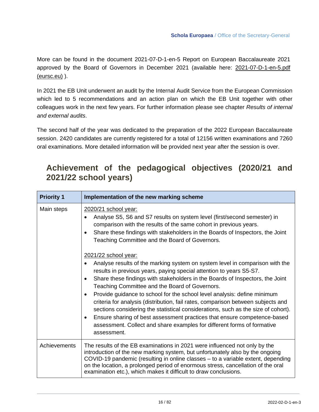More can be found in the document 2021-07-D-1-en-5 Report on European Baccalaureate 2021 approved by the Board of Governors in December 2021 (available here: 2021-07-D-1-en-5.pdf [\(eursc.eu\)](https://www.eursc.eu/Documents/2021-07-D-1-en-5.pdf) ).

In 2021 the EB Unit underwent an audit by the Internal Audit Service from the European Commission which led to 5 recommendations and an action plan on which the EB Unit together with other colleagues work in the next few years. For further information please see chapter *Results of internal and external audits*.

The second half of the year was dedicated to the preparation of the 2022 European Baccalaureate session. 2420 candidates are currently registered for a total of 12156 written examinations and 7260 oral examinations. More detailed information will be provided next year after the session is over.

## <span id="page-15-0"></span>**Achievement of the pedagogical objectives (2020/21 and 2021/22 school years)**

| <b>Priority 1</b> | Implementation of the new marking scheme                                                                                                                                                                                                                                                                                                                                                                                                                                                                                                                                                                                                                                                                                                                                 |
|-------------------|--------------------------------------------------------------------------------------------------------------------------------------------------------------------------------------------------------------------------------------------------------------------------------------------------------------------------------------------------------------------------------------------------------------------------------------------------------------------------------------------------------------------------------------------------------------------------------------------------------------------------------------------------------------------------------------------------------------------------------------------------------------------------|
| Main steps        | 2020/21 school year:<br>Analyse S5, S6 and S7 results on system level (first/second semester) in<br>$\bullet$<br>comparison with the results of the same cohort in previous years.<br>Share these findings with stakeholders in the Boards of Inspectors, the Joint<br>$\bullet$<br>Teaching Committee and the Board of Governors.                                                                                                                                                                                                                                                                                                                                                                                                                                       |
|                   | 2021/22 school year:<br>Analyse results of the marking system on system level in comparison with the<br>results in previous years, paying special attention to years S5-S7.<br>Share these findings with stakeholders in the Boards of Inspectors, the Joint<br>$\bullet$<br>Teaching Committee and the Board of Governors.<br>Provide guidance to school for the school level analysis: define minimum<br>$\bullet$<br>criteria for analysis (distribution, fail rates, comparison between subjects and<br>sections considering the statistical considerations, such as the size of cohort).<br>Ensure sharing of best assessment practices that ensure competence-based<br>٠<br>assessment. Collect and share examples for different forms of formative<br>assessment. |
| Achievements      | The results of the EB examinations in 2021 were influenced not only by the<br>introduction of the new marking system, but unfortunately also by the ongoing<br>COVID-19 pandemic (resulting in online classes – to a variable extent, depending<br>on the location, a prolonged period of enormous stress, cancellation of the oral<br>examination etc.), which makes it difficult to draw conclusions.                                                                                                                                                                                                                                                                                                                                                                  |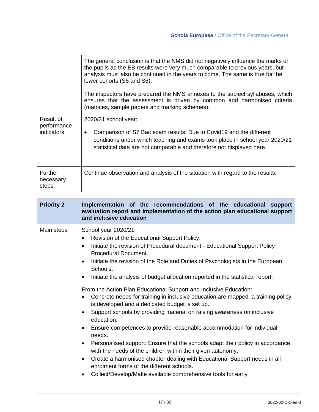|                                               | The general conclusion is that the NMS did not negatively influence the marks of<br>the pupils as the EB results were very much comparable to previous years, but<br>analysis must also be continued in the years to come. The same is true for the<br>lower cohorts (S5 and S6). |
|-----------------------------------------------|-----------------------------------------------------------------------------------------------------------------------------------------------------------------------------------------------------------------------------------------------------------------------------------|
|                                               | The inspectors have prepared the NMS annexes to the subject syllabuses, which<br>ensures that the assessment is driven by common and harmonised criteria<br>(matrices, sample papers and marking schemes).                                                                        |
| Result of<br>performance<br><i>indicators</i> | 2020/21 school year:<br>Comparison of S7 Bac exam results: Due to Covid19 and the different<br>$\bullet$<br>conditions under which teaching and exams took place in school year 2020/21<br>statistical data are not comparable and therefore not displayed here.                  |
| <b>Further</b><br>necessary<br>steps          | Continue observation and analysis of the situation with regard to the results.                                                                                                                                                                                                    |

| <b>Priority 2</b> | Implementation of the recommendations of the educational support<br>evaluation report and implementation of the action plan educational support<br>and inclusive education                                                                                                                                                                                                                                                                                                                                                                                                                                                                                                                                                                                                                                                                                                                                                                                                                                                                                                                                                                                                     |
|-------------------|--------------------------------------------------------------------------------------------------------------------------------------------------------------------------------------------------------------------------------------------------------------------------------------------------------------------------------------------------------------------------------------------------------------------------------------------------------------------------------------------------------------------------------------------------------------------------------------------------------------------------------------------------------------------------------------------------------------------------------------------------------------------------------------------------------------------------------------------------------------------------------------------------------------------------------------------------------------------------------------------------------------------------------------------------------------------------------------------------------------------------------------------------------------------------------|
| Main steps        | School year 2020/21:<br>Revision of the Educational Support Policy.<br>$\bullet$<br>Initiate the revision of Procedural document - Educational Support Policy<br>$\bullet$<br>Procedural Document.<br>Initiate the revision of the Role and Duties of Psychologists in the European<br>٠<br>Schools.<br>Initiate the analysis of budget allocation reported in the statistical report.<br>$\bullet$<br>From the Action Plan Educational Support and Inclusive Education:<br>Concrete needs for training in inclusive education are mapped, a training policy<br>is developed and a dedicated budget is set up.<br>Support schools by providing material on raising awareness on inclusive<br>$\bullet$<br>education.<br>Ensure competences to provide reasonable accommodation for individual<br>$\bullet$<br>needs.<br>Personalised support: Ensure that the schools adapt their policy in accordance<br>٠<br>with the needs of the children within their given autonomy.<br>Create a harmonised chapter dealing with Educational Support needs in all<br>٠<br>enrolment forms of the different schools.<br>Collect/Develop/Make available comprehensive tools for early<br>٠ |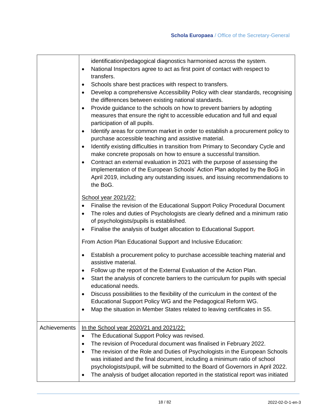|              | identification/pedagogical diagnostics harmonised across the system.<br>National Inspectors agree to act as first point of contact with respect to<br>$\bullet$<br>transfers.<br>Schools share best practices with respect to transfers.<br>٠<br>Develop a comprehensive Accessibility Policy with clear standards, recognising<br>$\bullet$<br>the differences between existing national standards.<br>Provide guidance to the schools on how to prevent barriers by adopting<br>$\bullet$<br>measures that ensure the right to accessible education and full and equal<br>participation of all pupils.<br>Identify areas for common market in order to establish a procurement policy to<br>٠<br>purchase accessible teaching and assistive material.<br>Identify existing difficulties in transition from Primary to Secondary Cycle and<br>$\bullet$<br>make concrete proposals on how to ensure a successful transition.<br>Contract an external evaluation in 2021 with the purpose of assessing the<br>$\bullet$<br>implementation of the European Schools' Action Plan adopted by the BoG in<br>April 2019, including any outstanding issues, and issuing recommendations to<br>the BoG. |
|--------------|--------------------------------------------------------------------------------------------------------------------------------------------------------------------------------------------------------------------------------------------------------------------------------------------------------------------------------------------------------------------------------------------------------------------------------------------------------------------------------------------------------------------------------------------------------------------------------------------------------------------------------------------------------------------------------------------------------------------------------------------------------------------------------------------------------------------------------------------------------------------------------------------------------------------------------------------------------------------------------------------------------------------------------------------------------------------------------------------------------------------------------------------------------------------------------------------------|
|              | <b>School year 2021/22:</b><br>Finalise the revision of the Educational Support Policy Procedural Document<br>The roles and duties of Psychologists are clearly defined and a minimum ratio<br>$\bullet$<br>of psychologists/pupils is established.                                                                                                                                                                                                                                                                                                                                                                                                                                                                                                                                                                                                                                                                                                                                                                                                                                                                                                                                              |
|              | Finalise the analysis of budget allocation to Educational Support.<br>٠                                                                                                                                                                                                                                                                                                                                                                                                                                                                                                                                                                                                                                                                                                                                                                                                                                                                                                                                                                                                                                                                                                                          |
|              | From Action Plan Educational Support and Inclusive Education:                                                                                                                                                                                                                                                                                                                                                                                                                                                                                                                                                                                                                                                                                                                                                                                                                                                                                                                                                                                                                                                                                                                                    |
|              | Establish a procurement policy to purchase accessible teaching material and<br>assistive material.                                                                                                                                                                                                                                                                                                                                                                                                                                                                                                                                                                                                                                                                                                                                                                                                                                                                                                                                                                                                                                                                                               |
|              | Follow up the report of the External Evaluation of the Action Plan.<br>٠<br>Start the analysis of concrete barriers to the curriculum for pupils with special<br>$\bullet$<br>educational needs.                                                                                                                                                                                                                                                                                                                                                                                                                                                                                                                                                                                                                                                                                                                                                                                                                                                                                                                                                                                                 |
|              | Discuss possibilities to the flexibility of the curriculum in the context of the<br>$\bullet$<br>Educational Support Policy WG and the Pedagogical Reform WG.<br>Map the situation in Member States related to leaving certificates in S5.<br>٠                                                                                                                                                                                                                                                                                                                                                                                                                                                                                                                                                                                                                                                                                                                                                                                                                                                                                                                                                  |
| Achievements | In the School year 2020/21 and 2021/22:<br>The Educational Support Policy was revised.<br>$\bullet$<br>The revision of Procedural document was finalised in February 2022.<br>٠<br>The revision of the Role and Duties of Psychologists in the European Schools<br>٠<br>was initiated and the final document, including a minimum ratio of school<br>psychologists/pupil, will be submitted to the Board of Governors in April 2022.<br>The analysis of budget allocation reported in the statistical report was initiated<br>٠                                                                                                                                                                                                                                                                                                                                                                                                                                                                                                                                                                                                                                                                  |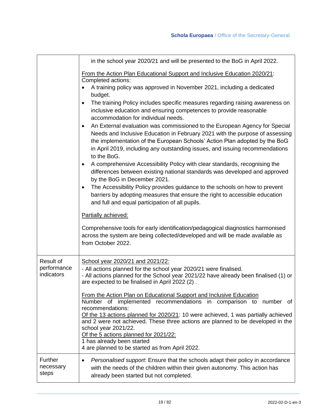|                                        | in the school year 2020/21 and will be presented to the BoG in April 2022.                                                                                                                                                                                                                                                                                                                                                                                                            |  |  |  |
|----------------------------------------|---------------------------------------------------------------------------------------------------------------------------------------------------------------------------------------------------------------------------------------------------------------------------------------------------------------------------------------------------------------------------------------------------------------------------------------------------------------------------------------|--|--|--|
|                                        | From the Action Plan Educational Support and Inclusive Education 2020/21:<br>Completed actions:<br>A training policy was approved in November 2021, including a dedicated                                                                                                                                                                                                                                                                                                             |  |  |  |
|                                        | budget.<br>The training Policy includes specific measures regarding raising awareness on<br>٠<br>inclusive education and ensuring competences to provide reasonable<br>accommodation for individual needs.                                                                                                                                                                                                                                                                            |  |  |  |
|                                        | An External evaluation was commissioned to the European Agency for Special<br>$\bullet$<br>Needs and Inclusive Education in February 2021 with the purpose of assessing<br>the implementation of the European Schools' Action Plan adopted by the BoG<br>in April 2019, including any outstanding issues, and issuing recommendations<br>to the BoG.                                                                                                                                  |  |  |  |
|                                        | A comprehensive Accessibility Policy with clear standards, recognising the<br>$\bullet$<br>differences between existing national standards was developed and approved<br>by the BoG in December 2021.                                                                                                                                                                                                                                                                                 |  |  |  |
|                                        | The Accessibility Policy provides guidance to the schools on how to prevent<br>$\bullet$<br>barriers by adopting measures that ensure the right to accessible education<br>and full and equal participation of all pupils.                                                                                                                                                                                                                                                            |  |  |  |
|                                        | Partially achieved:                                                                                                                                                                                                                                                                                                                                                                                                                                                                   |  |  |  |
|                                        | Comprehensive tools for early identification/pedagogical diagnostics harmonised<br>across the system are being collected/developed and will be made available as<br>from October 2022.                                                                                                                                                                                                                                                                                                |  |  |  |
| Result of<br>performance<br>indicators | School year 2020/21 and 2021/22:<br>- All actions planned for the school year 2020/21 were finalised.<br>- All actions planned for the School year 2021/22 have already been finalised (1) or<br>are expected to be finalised in April 2022 (2).                                                                                                                                                                                                                                      |  |  |  |
|                                        | From the Action Plan on Educational Support and Inclusive Education<br>Number of implemented recommendations in comparison to number of<br>recommendations:<br>Of the 13 actions planned for 2020/21: 10 were achieved, 1 was partially achieved<br>and 2 were not achieved. These three actions are planned to be developed in the<br>school year 2021/22.<br>Of the 5 actions planned for 2021/22:<br>1 has already been started<br>4 are planned to be started as from April 2022. |  |  |  |
| Further<br>necessary<br>steps          | Personalised support. Ensure that the schools adapt their policy in accordance<br>$\bullet$<br>with the needs of the children within their given autonomy. This action has<br>already been started but not completed.                                                                                                                                                                                                                                                                 |  |  |  |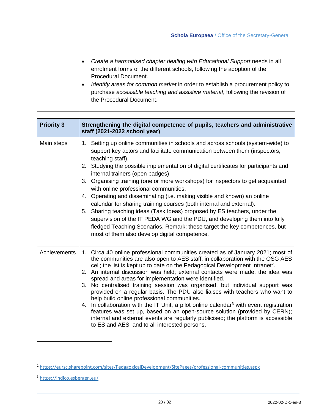#### **Schola Europaea** / Office of the Secretary-General

| Create a harmonised chapter dealing with Educational Support needs in all<br>$\bullet$<br>enrolment forms of the different schools, following the adoption of the                            |
|----------------------------------------------------------------------------------------------------------------------------------------------------------------------------------------------|
| Procedural Document.                                                                                                                                                                         |
| Identify areas for common market in order to establish a procurement policy to<br>purchase accessible teaching and assistive material, following the revision of<br>the Procedural Document. |

| <b>Priority 3</b> | Strengthening the digital competence of pupils, teachers and administrative<br>staff (2021-2022 school year)                                                                                                                                                                                                                                                                                                                                                                                                                                                                                                                                                                                                                                                                                                                                                                                                                                 |
|-------------------|----------------------------------------------------------------------------------------------------------------------------------------------------------------------------------------------------------------------------------------------------------------------------------------------------------------------------------------------------------------------------------------------------------------------------------------------------------------------------------------------------------------------------------------------------------------------------------------------------------------------------------------------------------------------------------------------------------------------------------------------------------------------------------------------------------------------------------------------------------------------------------------------------------------------------------------------|
| Main steps        | 1. Setting up online communities in schools and across schools (system-wide) to<br>support key actors and facilitate communication between them (inspectors,<br>teaching staff).<br>2. Studying the possible implementation of digital certificates for participants and<br>internal trainers (open badges).<br>3. Organising training (one or more workshops) for inspectors to get acquainted<br>with online professional communities.<br>4. Operating and disseminating (i.e. making visible and known) an online<br>calendar for sharing training courses (both internal and external).<br>5. Sharing teaching ideas (Task Ideas) proposed by ES teachers, under the<br>supervision of the IT PEDA WG and the PDU, and developing them into fully<br>fledged Teaching Scenarios. Remark: these target the key competences, but<br>most of them also develop digital competence.                                                          |
| Achievements      | 1. Circa 40 online professional communities created as of January 2021; most of<br>the communities are also open to AES staff, in collaboration with the OSG AES<br>cell; the list is kept up to date on the Pedagogical Development Intranet <sup>2</sup> .<br>2. An internal discussion was held; external contacts were made; the idea was<br>spread and areas for implementation were identified.<br>3. No centralised training session was organised, but individual support was<br>provided on a regular basis. The PDU also liaises with teachers who want to<br>help build online professional communities.<br>4. In collaboration with the IT Unit, a pilot online calendar <sup>3</sup> with event registration<br>features was set up, based on an open-source solution (provided by CERN);<br>internal and external events are regularly publicised; the platform is accessible<br>to ES and AES, and to all interested persons. |

 $\mathsf{r}$ 

<sup>2</sup> <https://eursc.sharepoint.com/sites/PedagogicalDevelopment/SitePages/professional-communities.aspx>

<sup>3</sup> <https://indico.esbergen.eu/>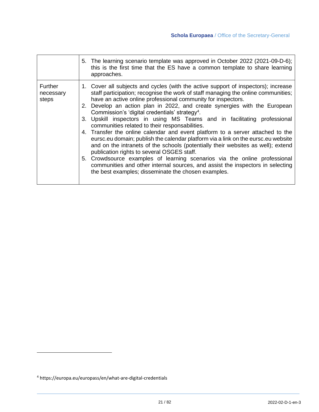|                               | 5. The learning scenario template was approved in October 2022 (2021-09-D-6);<br>this is the first time that the ES have a common template to share learning<br>approaches.                                                                                                                                                                                                                                                                                                                                                                                                                                                                                                                                                                                                                                                                                                                                                                                                                                                                     |
|-------------------------------|-------------------------------------------------------------------------------------------------------------------------------------------------------------------------------------------------------------------------------------------------------------------------------------------------------------------------------------------------------------------------------------------------------------------------------------------------------------------------------------------------------------------------------------------------------------------------------------------------------------------------------------------------------------------------------------------------------------------------------------------------------------------------------------------------------------------------------------------------------------------------------------------------------------------------------------------------------------------------------------------------------------------------------------------------|
| Further<br>necessary<br>steps | 1. Cover all subjects and cycles (with the active support of inspectors); increase<br>staff participation; recognise the work of staff managing the online communities;<br>have an active online professional community for inspectors.<br>2. Develop an action plan in 2022, and create synergies with the European<br>Commission's 'digital credentials' strategy <sup>4</sup> .<br>3. Upskill inspectors in using MS Teams and in facilitating professional<br>communities related to their responsabilities.<br>4. Transfer the online calendar and event platform to a server attached to the<br>eursc.eu domain; publish the calendar platform via a link on the eursc.eu website<br>and on the intranets of the schools (potentially their websites as well); extend<br>publication rights to several OSGES staff.<br>5. Crowdsource examples of learning scenarios via the online professional<br>communities and other internal sources, and assist the inspectors in selecting<br>the best examples; disseminate the chosen examples. |

<sup>4</sup> https://europa.eu/europass/en/what-are-digital-credentials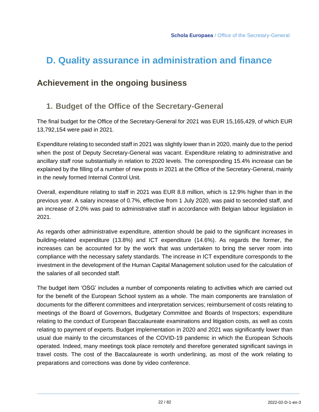# <span id="page-21-0"></span>**D. Quality assurance in administration and finance**

## <span id="page-21-2"></span><span id="page-21-1"></span>**Achievement in the ongoing business**

## **1. Budget of the Office of the Secretary-General**

The final budget for the Office of the Secretary-General for 2021 was EUR 15,165,429, of which EUR 13,792,154 were paid in 2021.

Expenditure relating to seconded staff in 2021 was slightly lower than in 2020, mainly due to the period when the post of Deputy Secretary-General was vacant. Expenditure relating to administrative and ancillary staff rose substantially in relation to 2020 levels. The corresponding 15.4% increase can be explained by the filling of a number of new posts in 2021 at the Office of the Secretary-General, mainly in the newly formed Internal Control Unit.

Overall, expenditure relating to staff in 2021 was EUR 8.8 million, which is 12.9% higher than in the previous year. A salary increase of 0.7%, effective from 1 July 2020, was paid to seconded staff, and an increase of 2.0% was paid to administrative staff in accordance with Belgian labour legislation in 2021.

As regards other administrative expenditure, attention should be paid to the significant increases in building-related expenditure (13.8%) and ICT expenditure (14.6%). As regards the former, the increases can be accounted for by the work that was undertaken to bring the server room into compliance with the necessary safety standards. The increase in ICT expenditure corresponds to the investment in the development of the Human Capital Management solution used for the calculation of the salaries of all seconded staff.

The budget item 'OSG' includes a number of components relating to activities which are carried out for the benefit of the European School system as a whole. The main components are translation of documents for the different committees and interpretation services; reimbursement of costs relating to meetings of the Board of Governors, Budgetary Committee and Boards of Inspectors; expenditure relating to the conduct of European Baccalaureate examinations and litigation costs, as well as costs relating to payment of experts. Budget implementation in 2020 and 2021 was significantly lower than usual due mainly to the circumstances of the COVID-19 pandemic in which the European Schools operated. Indeed, many meetings took place remotely and therefore generated significant savings in travel costs. The cost of the Baccalaureate is worth underlining, as most of the work relating to preparations and corrections was done by video conference.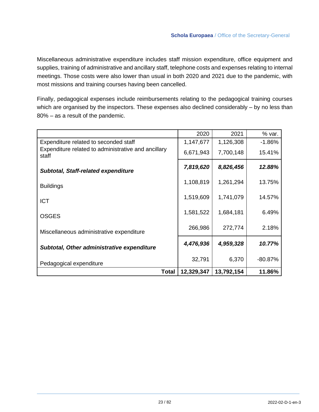Miscellaneous administrative expenditure includes staff mission expenditure, office equipment and supplies, training of administrative and ancillary staff, telephone costs and expenses relating to internal meetings. Those costs were also lower than usual in both 2020 and 2021 due to the pandemic, with most missions and training courses having been cancelled.

Finally, pedagogical expenses include reimbursements relating to the pedagogical training courses which are organised by the inspectors. These expenses also declined considerably – by no less than 80% – as a result of the pandemic.

|                                                              | 2020       | 2021       | % var.    |
|--------------------------------------------------------------|------------|------------|-----------|
| Expenditure related to seconded staff                        | 1,147,677  | 1,126,308  | $-1.86%$  |
| Expenditure related to administrative and ancillary<br>staff | 6,671,943  | 7,700,148  | 15.41%    |
| <b>Subtotal, Staff-related expenditure</b>                   | 7,819,620  | 8,826,456  | 12.88%    |
| <b>Buildings</b>                                             | 1,108,819  | 1,261,294  | 13.75%    |
| <b>ICT</b>                                                   | 1,519,609  | 1,741,079  | 14.57%    |
| <b>OSGES</b>                                                 | 1,581,522  | 1,684,181  | 6.49%     |
| Miscellaneous administrative expenditure                     | 266,986    | 272,774    | 2.18%     |
| <b>Subtotal, Other administrative expenditure</b>            | 4,476,936  | 4,959,328  | 10.77%    |
| Pedagogical expenditure                                      | 32,791     | 6,370      | $-80.87%$ |
| <b>Total</b>                                                 | 12,329,347 | 13,792,154 | 11.86%    |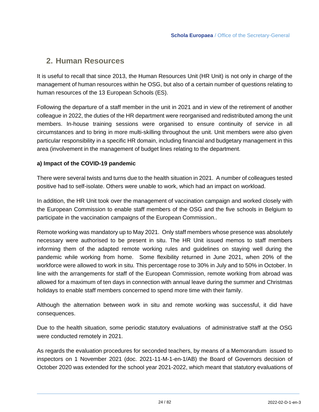### <span id="page-23-0"></span>**2. Human Resources**

It is useful to recall that since 2013, the Human Resources Unit (HR Unit) is not only in charge of the management of human resources within he OSG, but also of a certain number of questions relating to human resources of the 13 European Schools (ES).

Following the departure of a staff member in the unit in 2021 and in view of the retirement of another colleague in 2022, the duties of the HR department were reorganised and redistributed among the unit members. In-house training sessions were organised to ensure continuity of service in all circumstances and to bring in more multi-skilling throughout the unit. Unit members were also given particular responsibility in a specific HR domain, including financial and budgetary management in this area (involvement in the management of budget lines relating to the department.

#### **a) Impact of the COVID-19 pandemic**

There were several twists and turns due to the health situation in 2021. A number of colleagues tested positive had to self-isolate. Others were unable to work, which had an impact on workload.

In addition, the HR Unit took over the management of vaccination campaign and worked closely with the European Commission to enable staff members of the OSG and the five schools in Belgium to participate in the vaccination campaigns of the European Commission..

Remote working was mandatory up to May 2021. Only staff members whose presence was absolutely necessary were authorised to be present in situ. The HR Unit issued memos to staff members informing them of the adapted remote working rules and guidelines on staying well during the pandemic while working from home. Some flexibility returned in June 2021, when 20% of the workforce were allowed to work in situ. This percentage rose to 30% in July and to 50% in October. In line with the arrangements for staff of the European Commission, remote working from abroad was allowed for a maximum of ten days in connection with annual leave during the summer and Christmas holidays to enable staff members concerned to spend more time with their family.

Although the alternation between work in situ and remote working was successful, it did have consequences.

Due to the health situation, some periodic statutory evaluations of administrative staff at the OSG were conducted remotely in 2021.

As regards the evaluation procedures for seconded teachers, by means of a Memorandum issued to inspectors on 1 November 2021 (doc. 2021-11-M-1-en-1/AB) the Board of Governors decision of October 2020 was extended for the school year 2021-2022, which meant that statutory evaluations of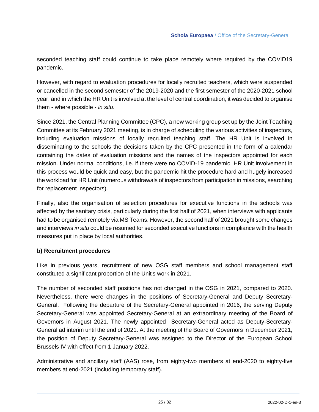seconded teaching staff could continue to take place remotely where required by the COVID19 pandemic.

However, with regard to evaluation procedures for locally recruited teachers, which were suspended or cancelled in the second semester of the 2019-2020 and the first semester of the 2020-2021 school year, and in which the HR Unit is involved at the level of central coordination, it was decided to organise them - where possible - *in situ.*

Since 2021, the Central Planning Committee (CPC), a new working group set up by the Joint Teaching Committee at its February 2021 meeting, is in charge of scheduling the various activities of inspectors, including evaluation missions of locally recruited teaching staff. The HR Unit is involved in disseminating to the schools the decisions taken by the CPC presented in the form of a calendar containing the dates of evaluation missions and the names of the inspectors appointed for each mission. Under normal conditions, i.e. if there were no COVID-19 pandemic, HR Unit involvement in this process would be quick and easy, but the pandemic hit the procedure hard and hugely increased the workload for HR Unit (numerous withdrawals of inspectors from participation in missions, searching for replacement inspectors).

Finally, also the organisation of selection procedures for executive functions in the schools was affected by the sanitary crisis, particularly during the first half of 2021, when interviews with applicants had to be organised remotely via MS Teams. However, the second half of 2021 brought some changes and interviews *in situ* could be resumed for seconded executive functions in compliance with the health measures put in place by local authorities.

#### **b) Recruitment procedures**

Like in previous years, recruitment of new OSG staff members and school management staff constituted a significant proportion of the Unit's work in 2021.

The number of seconded staff positions has not changed in the OSG in 2021, compared to 2020. Nevertheless, there were changes in the positions of Secretary-General and Deputy Secretary-General. Following the departure of the Secretary-General appointed in 2016, the serving Deputy Secretary-General was appointed Secretary-General at an extraordinary meeting of the Board of Governors in August 2021. The newly appointed Secretary-General acted as Deputy-Secretary-General ad interim until the end of 2021. At the meeting of the Board of Governors in December 2021, the position of Deputy Secretary-General was assigned to the Director of the European School Brussels IV with effect from 1 January 2022.

Administrative and ancillary staff (AAS) rose, from eighty-two members at end-2020 to eighty-five members at end-2021 (including temporary staff).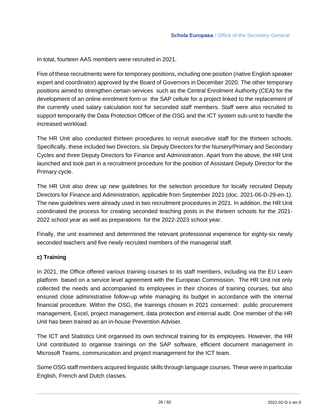In total, fourteen AAS members were recruited in 2021.

Five of these recruitments were for temporary positions, including one position (native English speaker expert and coordinator) approved by the Board of Governors in December 2020. The other temporary positions aimed to strengthen certain services such as the Central Enrolment Authority (CEA) for the development of an online enrolment form or the SAP cellule for a project linked to the replacement of the currently used salary calculation tool for seconded staff members. Staff were also recruited to support temporarily the Data Protection Officer of the OSG and the ICT system sub-unit to handle the increased workload.

The HR Unit also conducted thirteen procedures to recruit executive staff for the thirteen schools. Specifically, these included two Directors, six Deputy Directors for the Nursery/Primary and Secondary Cycles and three Deputy Directors for Finance and Administration. Apart from the above, the HR Unit launched and took part in a recruitment procedure for the position of Assistant Deputy Director for the Primary cycle.

The HR Unit also drew up new guidelines for the selection procedure for locally recruited Deputy Directors for Finance and Administration, applicable from September 2021 (doc. 2021-06-D-29-en-1). The new guidelines were already used in two recruitment procedures in 2021. In addition, the HR Unit coordinated the process for creating seconded teaching posts in the thirteen schools for the 2021- 2022 school year as well as preparations for the 2022-2023 school year.

Finally, the unit examined and determined the relevant professional experience for eighty-six newly seconded teachers and five newly recruited members of the managerial staff.

#### **c) Training**

In 2021, the Office offered various training courses to its staff members, including via the EU Learn platform based on a service level agreement with the European Commission. The HR Unit not only collected the needs and accompanied its employees in their choices of training courses, but also ensured close administrative follow-up while managing its budget in accordance with the internal financial procedure. Within the OSG, the trainings chosen in 2021 concerned: public procurement management, Excel, project management, data protection and internal audit. One member of the HR Unit has been trained as an in-house Prevention Adviser.

The ICT and Statistics Unit organised its own technical training for its employees. However, the HR Unit contributed to organise trainings on the SAP software, efficient document management in Microsoft Teams, communication and project management for the ICT team.

Some OSG staff members acquired linguistic skills through language courses. These were in particular English, French and Dutch classes.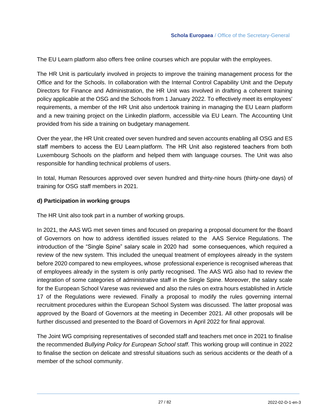The EU Learn platform also offers free online courses which are popular with the employees.

The HR Unit is particularly involved in projects to improve the training management process for the Office and for the Schools. In collaboration with the Internal Control Capability Unit and the Deputy Directors for Finance and Administration, the HR Unit was involved in drafting a coherent training policy applicable at the OSG and the Schools from 1 January 2022. To effectively meet its employees' requirements, a member of the HR Unit also undertook training in managing the EU Learn platform and a new training project on the LinkedIn platform, accessible via EU Learn. The Accounting Unit provided from his side a training on budgetary management.

Over the year, the HR Unit created over seven hundred and seven accounts enabling all OSG and ES staff members to access the EU Learn platform. The HR Unit also registered teachers from both Luxembourg Schools on the platform and helped them with language courses. The Unit was also responsible for handling technical problems of users.

In total, Human Resources approved over seven hundred and thirty-nine hours (thirty-one days) of training for OSG staff members in 2021.

#### **d) Participation in working groups**

The HR Unit also took part in a number of working groups.

In 2021, the AAS WG met seven times and focused on preparing a proposal document for the Board of Governors on how to address identified issues related to the AAS Service Regulations. The introduction of the "Single Spine" salary scale in 2020 had some consequences, which required a review of the new system. This included the unequal treatment of employees already in the system before 2020 compared to new employees, whose professional experience is recognised whereas that of employees already in the system is only partly recognised. The AAS WG also had to review the integration of some categories of administrative staff in the Single Spine. Moreover, the salary scale for the European School Varese was reviewed and also the rules on extra hours established in Article 17 of the Regulations were reviewed. Finally a proposal to modify the rules governing internal recruitment procedures within the European School System was discussed. The latter proposal was approved by the Board of Governors at the meeting in December 2021. All other proposals will be further discussed and presented to the Board of Governors in April 2022 for final approval.

The Joint WG comprising representatives of seconded staff and teachers met once in 2021 to finalise the recommended *Bullying Policy for European School staff*. This working group will continue in 2022 to finalise the section on delicate and stressful situations such as serious accidents or the death of a member of the school community.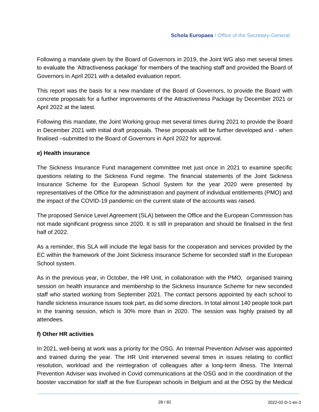Following a mandate given by the Board of Governors in 2019, the Joint WG also met several times to evaluate the 'Attractiveness package' for members of the teaching staff and provided the Board of Governors in April 2021 with a detailed evaluation report.

This report was the basis for a new mandate of the Board of Governors, to provide the Board with concrete proposals for a further improvements of the Attractiveness Package by December 2021 or April 2022 at the latest.

Following this mandate, the Joint Working group met several times during 2021 to provide the Board in December 2021 with initial draft proposals. These proposals will be further developed and - when finalised –submitted to the Board of Governors in April 2022 for approval.

#### **e) Health insurance**

The Sickness Insurance Fund management committee met just once in 2021 to examine specific questions relating to the Sickness Fund regime. The financial statements of the Joint Sickness Insurance Scheme for the European School System for the year 2020 were presented by representatives of the Office for the administration and payment of individual entitlements (PMO) and the impact of the COVID-19 pandemic on the current state of the accounts was raised.

The proposed Service Level Agreement (SLA) between the Office and the European Commission has not made significant progress since 2020. It is still in preparation and should be finalised in the first half of 2022.

As a reminder, this SLA will include the legal basis for the cooperation and services provided by the EC within the framework of the Joint Sickness Insurance Scheme for seconded staff in the European School system.

As in the previous year, in October, the HR Unit, in collaboration with the PMO, organised training session on health insurance and membership to the Sickness Insurance Scheme for new seconded staff who started working from September 2021. The contact persons appointed by each school to handle sickness insurance issues took part, as did some directors. In total almost 140 people took part in the training session, which is 30% more than in 2020. The session was highly praised by all attendees.

#### **f) Other HR activities**

In 2021, well-being at work was a priority for the OSG. An Internal Prevention Adviser was appointed and trained during the year. The HR Unit intervened several times in issues relating to conflict resolution, workload and the reintegration of colleagues after a long-term illness. The Internal Prevention Adviser was involved in Covid communications at the OSG and in the coordination of the booster vaccination for staff at the five European schools in Belgium and at the OSG by the Medical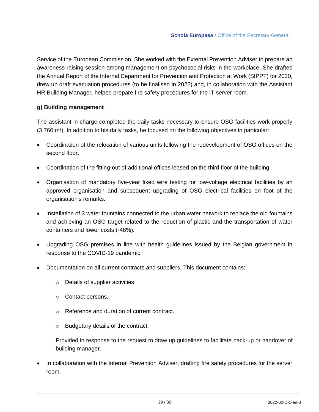Service of the European Commission. She worked with the External Prevention Adviser to prepare an awareness-raising session among management on psychosocial risks in the workplace. She drafted the Annual Report of the Internal Department for Prevention and Protection at Work (SIPPT) for 2020, drew up draft evacuation procedures (to be finalised in 2022) and, in collaboration with the Assistant HR Building Manager, helped prepare fire safety procedures for the IT server room.

#### **g) Building management**

The assistant in charge completed the daily tasks necessary to ensure OSG facilities work properly (3,760 m²). In addition to his daily tasks, he focused on the following objectives in particular:

- Coordination of the relocation of various units following the redevelopment of OSG offices on the second floor.
- Coordination of the fitting-out of additional offices leased on the third floor of the building;
- Organisation of mandatory five-year fixed wire testing for low-voltage electrical facilities by an approved organisation and subsequent upgrading of OSG electrical facilities on foot of the organisation's remarks.
- Installation of 3 water fountains connected to the urban water network to replace the old fountains and achieving an OSG target related to the reduction of plastic and the transportation of water containers and lower costs (-48%).
- Upgrading OSG premises in line with health guidelines issued by the Belgian government in response to the COVID-19 pandemic.
- Documentation on all current contracts and suppliers. This document contains:
	- o Details of supplier activities.
	- o Contact persons.
	- o Reference and duration of current contract.
	- o Budgetary details of the contract.

Provided in response to the request to draw up guidelines to facilitate back-up or handover of building manager.

In collaboration with the Internal Prevention Adviser, drafting fire safety procedures for the server room.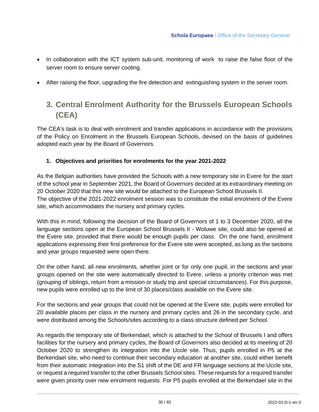- In collaboration with the ICT system sub-unit, monitoring of work to raise the false floor of the server room to ensure server cooling.
- <span id="page-29-0"></span>• After raising the floor, upgrading the fire detection and extinguishing system in the server room.

## **3. Central Enrolment Authority for the Brussels European Schools (CEA)**

The CEA's task is to deal with enrolment and transfer applications in accordance with the provisions of the Policy on Enrolment in the Brussels European Schools, devised on the basis of guidelines adopted each year by the Board of Governors.

#### **1. Objectives and priorities for enrolments for the year 2021-2022**

As the Belgian authorities have provided the Schools with a new temporary site in Evere for the start of the school year in September 2021, the Board of Governors decided at its extraordinary meeting on 20 October 2020 that this new site would be attached to the European School Brussels II. The objective of the 2021-2022 enrolment session was to constitute the initial enrolment of the Evere site, which accommodates the nursery and primary cycles.

With this in mind, following the decision of the Board of Governors of 1 to 3 December 2020, all the language sections open at the European School Brussels II - Woluwe site, could also be opened at the Evere site, provided that there would be enough pupils per class. On the one hand, enrolment applications expressing their first preference for the Evere site were accepted, as long as the sections and year groups requested were open there.

On the other hand, all new enrolments, whether joint or for only one pupil, in the sections and year groups opened on the site were automatically directed to Evere, unless a priority criterion was met (grouping of siblings, return from a mission or study trip and special circumstances). For this purpose, new pupils were enrolled up to the limit of 30 places/class available on the Evere site.

For the sections and year groups that could not be opened at the Evere site, pupils were enrolled for 20 available places per class in the nursery and primary cycles and 26 in the secondary cycle, and were distributed among the Schools/sites according to a class structure defined per School.

As regards the temporary site of Berkendael, which is attached to the School of Brussels I and offers facilities for the nursery and primary cycles, the Board of Governors also decided at its meeting of 20 October 2020 to strengthen its integration into the Uccle site. Thus, pupils enrolled in P5 at the Berkendael site, who need to continue their secondary education at another site, could either benefit from their automatic integration into the S1 shift of the DE and FR language sections at the Uccle site, or request a required transfer to the other Brussels School sites. These requests for a required transfer were given priority over new enrolment requests. For P5 pupils enrolled at the Berkendael site in the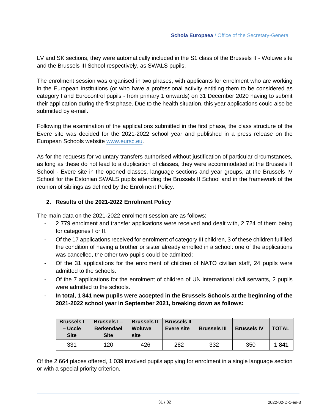LV and SK sections, they were automatically included in the S1 class of the Brussels II - Woluwe site and the Brussels III School respectively, as SWALS pupils.

The enrolment session was organised in two phases, with applicants for enrolment who are working in the European Institutions (or who have a professional activity entitling them to be considered as category I and Eurocontrol pupils - from primary 1 onwards) on 31 December 2020 having to submit their application during the first phase. Due to the health situation, this year applications could also be submitted by e-mail.

Following the examination of the applications submitted in the first phase, the class structure of the Evere site was decided for the 2021-2022 school year and published in a press release on the European Schools website [www.eursc.eu.](http://www.eursc.eu/)

As for the requests for voluntary transfers authorised without justification of particular circumstances, as long as these do not lead to a duplication of classes, they were accommodated at the Brussels II School - Evere site in the opened classes, language sections and year groups, at the Brussels IV School for the Estonian SWALS pupils attending the Brussels II School and in the framework of the reunion of siblings as defined by the Enrolment Policy.

#### **2. Results of the 2021-2022 Enrolment Policy**

The main data on the 2021-2022 enrolment session are as follows:

- 2 779 enrolment and transfer applications were received and dealt with, 2 724 of them being for categories I or II.
- Of the 17 applications received for enrolment of category III children, 3 of these children fulfilled the condition of having a brother or sister already enrolled in a school: one of the applications was cancelled, the other two pupils could be admitted;
- Of the 31 applications for the enrolment of children of NATO civilian staff, 24 pupils were admitted to the schools.
- Of the 7 applications for the enrolment of children of UN international civil servants, 2 pupils were admitted to the schools.
- **In total, 1 841 new pupils were accepted in the Brussels Schools at the beginning of the 2021-2022 school year in September 2021, breaking down as follows:**

| <b>Brussels I</b><br>– Uccle<br><b>Site</b> | Brussels I-<br><b>Berkendael</b><br><b>Site</b> | <b>Brussels II</b><br><b>Woluwe</b><br>site | <b>Brussels II</b><br>Evere site | <b>Brussels III</b> | <b>Brussels IV</b> | <b>TOTAL</b> |
|---------------------------------------------|-------------------------------------------------|---------------------------------------------|----------------------------------|---------------------|--------------------|--------------|
| 331                                         | 120                                             | 426                                         | 282                              | 332                 | 350                | 1841         |

Of the 2 664 places offered, 1 039 involved pupils applying for enrolment in a single language section or with a special priority criterion.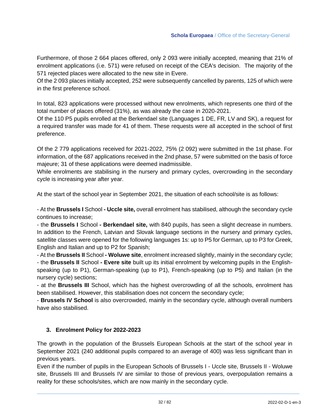Furthermore, of those 2 664 places offered, only 2 093 were initially accepted, meaning that 21% of enrolment applications (i.e. 571) were refused on receipt of the CEA's decision. The majority of the 571 rejected places were allocated to the new site in Evere.

Of the 2 093 places initially accepted, 252 were subsequently cancelled by parents, 125 of which were in the first preference school.

In total, 823 applications were processed without new enrolments, which represents one third of the total number of places offered (31%), as was already the case in 2020-2021.

Of the 110 P5 pupils enrolled at the Berkendael site (Languages 1 DE, FR, LV and SK), a request for a required transfer was made for 41 of them. These requests were all accepted in the school of first preference.

Of the 2 779 applications received for 2021-2022, 75% (2 092) were submitted in the 1st phase. For information, of the 687 applications received in the 2nd phase, 57 were submitted on the basis of force majeure; 31 of these applications were deemed inadmissible.

While enrolments are stabilising in the nursery and primary cycles, overcrowding in the secondary cycle is increasing year after year.

At the start of the school year in September 2021, the situation of each school/site is as follows:

- At the **Brussels I** School **- Uccle site,** overall enrolment has stabilised, although the secondary cycle continues to increase;

- the **Brussels I** School **- Berkendael site,** with 840 pupils, has seen a slight decrease in numbers. In addition to the French, Latvian and Slovak language sections in the nursery and primary cycles, satellite classes were opened for the following languages 1s: up to P5 for German, up to P3 for Greek, English and Italian and up to P2 for Spanish;

- At the **Brussels II** School **- Woluwe site**, enrolment increased slightly, mainly in the secondary cycle; - the **Brussels II** School **- Evere site** built up its initial enrolment by welcoming pupils in the Englishspeaking (up to P1), German-speaking (up to P1), French-speaking (up to P5) and Italian (in the nursery cycle) sections;

- at the **Brussels III** School, which has the highest overcrowding of all the schools, enrolment has been stabilised. However, this stabilisation does not concern the secondary cycle;

- **Brussels IV School** is also overcrowded, mainly in the secondary cycle, although overall numbers have also stabilised.

#### **3. Enrolment Policy for 2022-2023**

The growth in the population of the Brussels European Schools at the start of the school year in September 2021 (240 additional pupils compared to an average of 400) was less significant than in previous years.

Even if the number of pupils in the European Schools of Brussels I - Uccle site, Brussels II - Woluwe site, Brussels III and Brussels IV are similar to those of previous years, overpopulation remains a reality for these schools/sites, which are now mainly in the secondary cycle.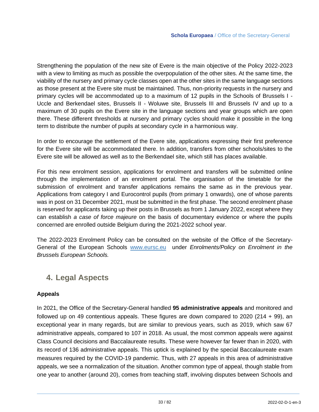Strengthening the population of the new site of Evere is the main objective of the Policy 2022-2023 with a view to limiting as much as possible the overpopulation of the other sites. At the same time, the viability of the nursery and primary cycle classes open at the other sites in the same language sections as those present at the Evere site must be maintained. Thus, non-priority requests in the nursery and primary cycles will be accommodated up to a maximum of 12 pupils in the Schools of Brussels I - Uccle and Berkendael sites, Brussels II - Woluwe site, Brussels III and Brussels IV and up to a maximum of 30 pupils on the Evere site in the language sections and year groups which are open there. These different thresholds at nursery and primary cycles should make it possible in the long term to distribute the number of pupils at secondary cycle in a harmonious way.

In order to encourage the settlement of the Evere site, applications expressing their first preference for the Evere site will be accommodated there. In addition, transfers from other schools/sites to the Evere site will be allowed as well as to the Berkendael site, which still has places available.

For this new enrolment session, applications for enrolment and transfers will be submitted online through the implementation of an enrolment portal. The organisation of the timetable for the submission of enrolment and transfer applications remains the same as in the previous year. Applications from category I and Eurocontrol pupils (from primary 1 onwards), one of whose parents was in post on 31 December 2021, must be submitted in the first phase. The second enrolment phase is reserved for applicants taking up their posts in Brussels as from 1 January 2022, except where they can establish *a case of force majeure* on the basis of documentary evidence or where the pupils concerned are enrolled outside Belgium during the 2021-2022 school year.

The 2022-2023 Enrolment Policy can be consulted on the website of the Office of the Secretary-General of the European Schools [www.eursc.eu](http://www.eursc.eu/) under *Enrolments/Policy on Enrolment in the Brussels European Schools.*

### <span id="page-32-0"></span>**4. Legal Aspects**

#### **Appeals**

In 2021, the Office of the Secretary-General handled **95 administrative appeals** and monitored and followed up on 49 contentious appeals. These figures are down compared to 2020 (214 + 99), an exceptional year in many regards, but are similar to previous years, such as 2019, which saw 67 administrative appeals, compared to 107 in 2018. As usual, the most common appeals were against Class Council decisions and Baccalaureate results. These were however far fewer than in 2020, with its record of 136 administrative appeals. This uptick is explained by the special Baccalaureate exam measures required by the COVID-19 pandemic. Thus, with 27 appeals in this area of administrative appeals, we see a normalization of the situation. Another common type of appeal, though stable from one year to another (around 20), comes from teaching staff, involving disputes between Schools and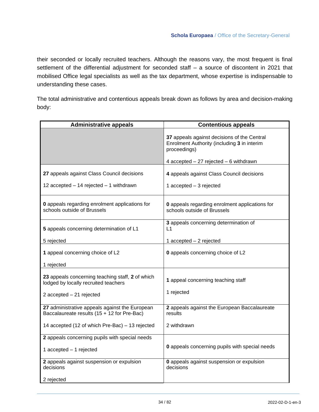their seconded or locally recruited teachers. Although the reasons vary, the most frequent is final settlement of the differential adjustment for seconded staff – a source of discontent in 2021 that mobilised Office legal specialists as well as the tax department, whose expertise is indispensable to understanding these cases.

The total administrative and contentious appeals break down as follows by area and decision-making body:

| <b>Administrative appeals</b>                                                                 | <b>Contentious appeals</b>                                                                                 |
|-----------------------------------------------------------------------------------------------|------------------------------------------------------------------------------------------------------------|
|                                                                                               | 37 appeals against decisions of the Central<br>Enrolment Authority (including 3 in interim<br>proceedings) |
|                                                                                               | 4 $accepted - 27$ rejected $-6$ withdrawn                                                                  |
| 27 appeals against Class Council decisions                                                    | 4 appeals against Class Council decisions                                                                  |
| 12 accepted $-$ 14 rejected $-$ 1 withdrawn                                                   | 1 accepted $-3$ rejected                                                                                   |
| <b>0</b> appeals regarding enrolment applications for<br>schools outside of Brussels          | <b>0</b> appeals regarding enrolment applications for<br>schools outside of Brussels                       |
| 5 appeals concerning determination of L1                                                      | 3 appeals concerning determination of<br>L <sub>1</sub>                                                    |
| 5 rejected                                                                                    | 1 $accepted - 2$ rejected                                                                                  |
| 1 appeal concerning choice of L2                                                              | 0 appeals concerning choice of L2                                                                          |
| 1 rejected                                                                                    |                                                                                                            |
| 23 appeals concerning teaching staff, 2 of which<br>lodged by locally recruited teachers      | 1 appeal concerning teaching staff                                                                         |
| 2 accepted - 21 rejected                                                                      | 1 rejected                                                                                                 |
| 27 administrative appeals against the European<br>Baccalaureate results (15 + 12 for Pre-Bac) | 2 appeals against the European Baccalaureate<br>results                                                    |
| 14 accepted (12 of which Pre-Bac) - 13 rejected                                               | 2 withdrawn                                                                                                |
| 2 appeals concerning pupils with special needs                                                |                                                                                                            |
| 1 accepted - 1 rejected                                                                       | 0 appeals concerning pupils with special needs                                                             |
| 2 appeals against suspension or expulsion<br>decisions                                        | <b>0</b> appeals against suspension or expulsion<br>decisions                                              |
| 2 rejected                                                                                    |                                                                                                            |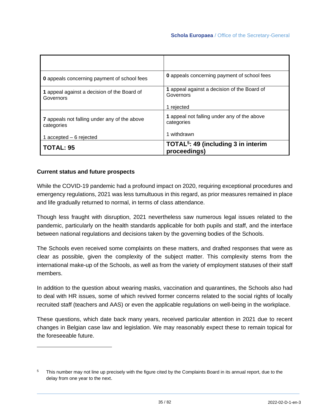| <b>0</b> appeals concerning payment of school fees         | <b>0</b> appeals concerning payment of school fees              |  |
|------------------------------------------------------------|-----------------------------------------------------------------|--|
| 1 appeal against a decision of the Board of<br>Governors   | 1 appeal against a decision of the Board of<br>Governors        |  |
|                                                            | 1 rejected                                                      |  |
| 7 appeals not falling under any of the above<br>categories | 1 appeal not falling under any of the above<br>categories       |  |
| $accelted - 6 rejected$                                    | withdrawn                                                       |  |
| <b>TOTAL: 95</b>                                           | TOTAL <sup>5</sup> : 49 (including 3 in interim<br>proceedings) |  |

#### **Current status and future prospects**

While the COVID-19 pandemic had a profound impact on 2020, requiring exceptional procedures and emergency regulations, 2021 was less tumultuous in this regard, as prior measures remained in place and life gradually returned to normal, in terms of class attendance.

Though less fraught with disruption, 2021 nevertheless saw numerous legal issues related to the pandemic, particularly on the health standards applicable for both pupils and staff, and the interface between national regulations and decisions taken by the governing bodies of the Schools.

The Schools even received some complaints on these matters, and drafted responses that were as clear as possible, given the complexity of the subject matter. This complexity stems from the international make-up of the Schools, as well as from the variety of employment statuses of their staff members.

In addition to the question about wearing masks, vaccination and quarantines, the Schools also had to deal with HR issues, some of which revived former concerns related to the social rights of locally recruited staff (teachers and AAS) or even the applicable regulations on well-being in the workplace.

These questions, which date back many years, received particular attention in 2021 due to recent changes in Belgian case law and legislation. We may reasonably expect these to remain topical for the foreseeable future.

<sup>&</sup>lt;sup>5</sup> This number may not line up precisely with the figure cited by the Complaints Board in its annual report, due to the delay from one year to the next.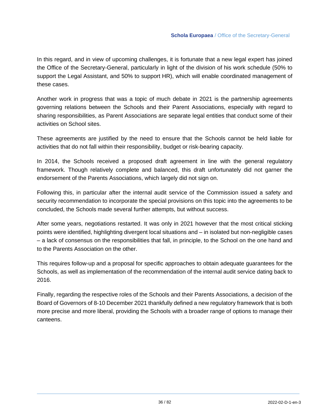In this regard, and in view of upcoming challenges, it is fortunate that a new legal expert has joined the Office of the Secretary-General, particularly in light of the division of his work schedule (50% to support the Legal Assistant, and 50% to support HR), which will enable coordinated management of these cases.

Another work in progress that was a topic of much debate in 2021 is the partnership agreements governing relations between the Schools and their Parent Associations, especially with regard to sharing responsibilities, as Parent Associations are separate legal entities that conduct some of their activities on School sites.

These agreements are justified by the need to ensure that the Schools cannot be held liable for activities that do not fall within their responsibility, budget or risk-bearing capacity.

In 2014, the Schools received a proposed draft agreement in line with the general regulatory framework. Though relatively complete and balanced, this draft unfortunately did not garner the endorsement of the Parents Associations, which largely did not sign on.

Following this, in particular after the internal audit service of the Commission issued a safety and security recommendation to incorporate the special provisions on this topic into the agreements to be concluded, the Schools made several further attempts, but without success.

After some years, negotiations restarted. It was only in 2021 however that the most critical sticking points were identified, highlighting divergent local situations and – in isolated but non-negligible cases – a lack of consensus on the responsibilities that fall, in principle, to the School on the one hand and to the Parents Association on the other.

This requires follow-up and a proposal for specific approaches to obtain adequate guarantees for the Schools, as well as implementation of the recommendation of the internal audit service dating back to 2016.

Finally, regarding the respective roles of the Schools and their Parents Associations, a decision of the Board of Governors of 8-10 December 2021 thankfully defined a new regulatory framework that is both more precise and more liberal, providing the Schools with a broader range of options to manage their canteens.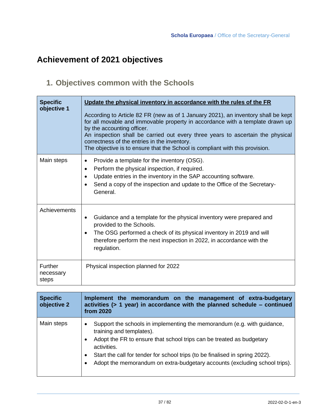## **Achievement of 2021 objectives**

## **1. Objectives common with the Schools**

| <b>Specific</b><br>objective 1       | Update the physical inventory in accordance with the rules of the FR<br>According to Article 82 FR (new as of 1 January 2021), an inventory shall be kept<br>for all movable and immovable property in accordance with a template drawn up<br>by the accounting officer.<br>An inspection shall be carried out every three years to ascertain the physical<br>correctness of the entries in the inventory.<br>The objective is to ensure that the School is compliant with this provision. |
|--------------------------------------|--------------------------------------------------------------------------------------------------------------------------------------------------------------------------------------------------------------------------------------------------------------------------------------------------------------------------------------------------------------------------------------------------------------------------------------------------------------------------------------------|
| Main steps                           | Provide a template for the inventory (OSG).<br>$\bullet$<br>Perform the physical inspection, if required.<br>٠<br>Update entries in the inventory in the SAP accounting software.<br>$\bullet$<br>Send a copy of the inspection and update to the Office of the Secretary-<br>$\bullet$<br>General.                                                                                                                                                                                        |
| Achievements                         | Guidance and a template for the physical inventory were prepared and<br>$\bullet$<br>provided to the Schools.<br>The OSG performed a check of its physical inventory in 2019 and will<br>$\bullet$<br>therefore perform the next inspection in 2022, in accordance with the<br>regulation.                                                                                                                                                                                                 |
| <b>Further</b><br>necessary<br>steps | Physical inspection planned for 2022                                                                                                                                                                                                                                                                                                                                                                                                                                                       |

| <b>Specific</b><br>objective 2 | Implement the memorandum on the management of extra-budgetary<br>activities (> 1 year) in accordance with the planned schedule - continued<br>from 2020                                                                                                                                                                                                                                              |
|--------------------------------|------------------------------------------------------------------------------------------------------------------------------------------------------------------------------------------------------------------------------------------------------------------------------------------------------------------------------------------------------------------------------------------------------|
| Main steps                     | Support the schools in implementing the memorandum (e.g. with guidance,<br>$\bullet$<br>training and templates).<br>Adopt the FR to ensure that school trips can be treated as budgetary<br>$\bullet$<br>activities.<br>Start the call for tender for school trips (to be finalised in spring 2022).<br>٠<br>Adopt the memorandum on extra-budgetary accounts (excluding school trips).<br>$\bullet$ |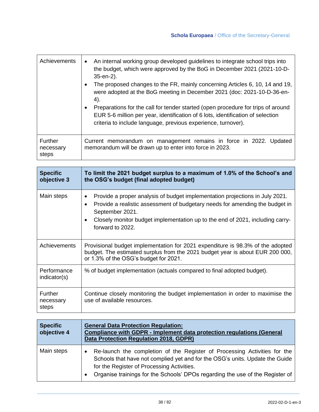| Achievements                  | An internal working group developed guidelines to integrate school trips into<br>the budget, which were approved by the BoG in December 2021 (2021-10-D-<br>35-en-2).<br>The proposed changes to the FR, mainly concerning Articles 6, 10, 14 and 19,<br>were adopted at the BoG meeting in December 2021 (doc: 2021-10-D-36-en-<br>4).<br>Preparations for the call for tender started (open procedure for trips of around<br>EUR 5-6 million per year, identification of 6 lots, identification of selection<br>criteria to include language, previous experience, turnover). |
|-------------------------------|---------------------------------------------------------------------------------------------------------------------------------------------------------------------------------------------------------------------------------------------------------------------------------------------------------------------------------------------------------------------------------------------------------------------------------------------------------------------------------------------------------------------------------------------------------------------------------|
| Further<br>necessary<br>steps | Current memorandum on management remains in force in 2022. Updated<br>memorandum will be drawn up to enter into force in 2023.                                                                                                                                                                                                                                                                                                                                                                                                                                                  |

| <b>Specific</b><br>objective 3       | To limit the 2021 budget surplus to a maximum of 1.0% of the School's and<br>the OSG's budget (final adopted budget)                                                                                                                                                                                                |
|--------------------------------------|---------------------------------------------------------------------------------------------------------------------------------------------------------------------------------------------------------------------------------------------------------------------------------------------------------------------|
| Main steps                           | Provide a proper analysis of budget implementation projections in July 2021.<br>٠<br>Provide a realistic assessment of budgetary needs for amending the budget in<br>$\bullet$<br>September 2021.<br>Closely monitor budget implementation up to the end of 2021, including carry-<br>$\bullet$<br>forward to 2022. |
| Achievements                         | Provisional budget implementation for 2021 expenditure is 98.3% of the adopted<br>budget. The estimated surplus from the 2021 budget year is about EUR 200 000,<br>or 1.3% of the OSG's budget for 2021.                                                                                                            |
| Performance<br>indicator(s)          | % of budget implementation (actuals compared to final adopted budget).                                                                                                                                                                                                                                              |
| <b>Further</b><br>necessary<br>steps | Continue closely monitoring the budget implementation in order to maximise the<br>use of available resources.                                                                                                                                                                                                       |

| <b>Specific</b><br>objective 4 | <b>General Data Protection Regulation:</b><br><b>Compliance with GDPR - Implement data protection regulations (General</b><br>Data Protection Regulation 2018, GDPR)                                                                                                                     |
|--------------------------------|------------------------------------------------------------------------------------------------------------------------------------------------------------------------------------------------------------------------------------------------------------------------------------------|
| Main steps                     | Re-launch the completion of the Register of Processing Activities for the<br>Schools that have not complied yet and for the OSG's units. Update the Guide<br>for the Register of Processing Activities.<br>Organise trainings for the Schools' DPOs regarding the use of the Register of |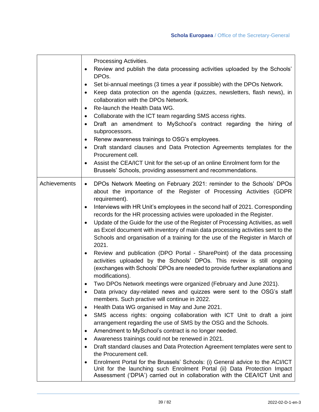|              | Processing Activities.<br>Review and publish the data processing activities uploaded by the Schools'<br>DPO <sub>s</sub> .<br>Set bi-annual meetings (3 times a year if possible) with the DPOs Network.<br>$\bullet$<br>Keep data protection on the agenda (quizzes, newsletters, flash news), in<br>$\bullet$<br>collaboration with the DPOs Network.<br>Re-launch the Health Data WG.<br>$\bullet$<br>Collaborate with the ICT team regarding SMS access rights.<br>$\bullet$<br>Draft an amendment to MySchool's contract regarding the hiring of<br>$\bullet$<br>subprocessors.<br>Renew awareness trainings to OSG's employees.<br>$\bullet$<br>Draft standard clauses and Data Protection Agreements templates for the<br>$\bullet$<br>Procurement cell.<br>Assist the CEA/ICT Unit for the set-up of an online Enrolment form for the<br>$\bullet$<br>Brussels' Schools, providing assessment and recommendations.                                                                                                                                                                                                                                                                                                                                                                                                                                                                                                                                                                                                                                                                                                                                                                                                                                                                                                              |
|--------------|-----------------------------------------------------------------------------------------------------------------------------------------------------------------------------------------------------------------------------------------------------------------------------------------------------------------------------------------------------------------------------------------------------------------------------------------------------------------------------------------------------------------------------------------------------------------------------------------------------------------------------------------------------------------------------------------------------------------------------------------------------------------------------------------------------------------------------------------------------------------------------------------------------------------------------------------------------------------------------------------------------------------------------------------------------------------------------------------------------------------------------------------------------------------------------------------------------------------------------------------------------------------------------------------------------------------------------------------------------------------------------------------------------------------------------------------------------------------------------------------------------------------------------------------------------------------------------------------------------------------------------------------------------------------------------------------------------------------------------------------------------------------------------------------------------------------------------------------|
| Achievements | DPOs Network Meeting on February 2021: reminder to the Schools' DPOs<br>$\bullet$<br>about the importance of the Register of Processing Activities (GDPR<br>requirement).<br>Interviews with HR Unit's employees in the second half of 2021. Corresponding<br>$\bullet$<br>records for the HR processing activies were upoloaded in the Register.<br>Update of the Guide for the use of the Register of Processing Activities, as well<br>$\bullet$<br>as Excel document with inventory of main data processing activities sent to the<br>Schools and organisation of a training for the use of the Register in March of<br>2021.<br>Review and publication (DPO Portal - SharePoint) of the data processing<br>$\bullet$<br>activities uploaded by the Schools' DPOs. This review is still ongoing<br>(exchanges with Schools' DPOs are needed to provide further explanations and<br>modifications).<br>Two DPOs Network meetings were organized (February and June 2021).<br>$\bullet$<br>Data privacy day-related news and quizzes were sent to the OSG's staff<br>٠<br>members. Such practive will continue in 2022.<br>Health Data WG organised in May and June 2021.<br>$\bullet$<br>SMS access rights: ongoing collaboration with ICT Unit to draft a joint<br>٠<br>arrangement regarding the use of SMS by the OSG and the Schools.<br>Amendment to MySchool's contract is no longer needed.<br>$\bullet$<br>Awareness trainings could not be renewed in 2021.<br>$\bullet$<br>Draft standard clauses and Data Protection Agreement templates were sent to<br>the Procurement cell.<br>Enrolment Portal for the Brussels' Schools: (i) General advice to the ACI/ICT<br>Unit for the launching such Enrolment Portal (ii) Data Protection Impact<br>Assessment ('DPIA') carried out in collaboration with the CEA/ICT Unit and |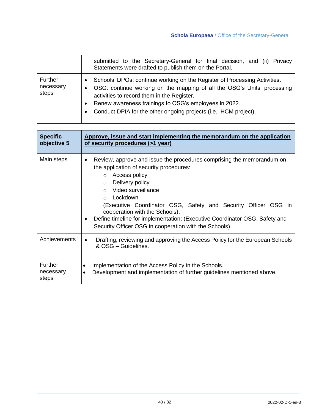|                               | submitted to the Secretary-General for final decision, and (ii) Privacy<br>Statements were drafted to publish them on the Portal.                                                                                                                                                                                                            |
|-------------------------------|----------------------------------------------------------------------------------------------------------------------------------------------------------------------------------------------------------------------------------------------------------------------------------------------------------------------------------------------|
| Further<br>necessary<br>steps | Schools' DPOs: continue working on the Register of Processing Activities.<br>OSG: continue working on the mapping of all the OSG's Units' processing<br>activities to record them in the Register.<br>Renew awareness trainings to OSG's employees in 2022.<br>$\bullet$<br>Conduct DPIA for the other ongoing projects (i.e.; HCM project). |

| <b>Specific</b><br>objective 5       | Approve, issue and start implementing the memorandum on the application<br>of security procedures (>1 year)                                                                                                                                                                                                                                                                                                                                                                            |
|--------------------------------------|----------------------------------------------------------------------------------------------------------------------------------------------------------------------------------------------------------------------------------------------------------------------------------------------------------------------------------------------------------------------------------------------------------------------------------------------------------------------------------------|
| Main steps                           | Review, approve and issue the procedures comprising the memorandum on<br>$\bullet$<br>the application of security procedures:<br>o Access policy<br>Delivery policy<br>$\circ$<br>Video surveillance<br>$\bigcap$<br>Lockdown<br>$\bigcap$<br>(Executive Coordinator OSG, Safety and Security Officer OSG in<br>cooperation with the Schools).<br>Define timeline for implementation; (Executive Coordinator OSG, Safety and<br>Security Officer OSG in cooperation with the Schools). |
| Achievements                         | Drafting, reviewing and approving the Access Policy for the European Schools<br>٠<br>& OSG - Guidelines.                                                                                                                                                                                                                                                                                                                                                                               |
| <b>Further</b><br>necessary<br>steps | Implementation of the Access Policy in the Schools.<br>$\bullet$<br>Development and implementation of further guidelines mentioned above.<br>$\bullet$                                                                                                                                                                                                                                                                                                                                 |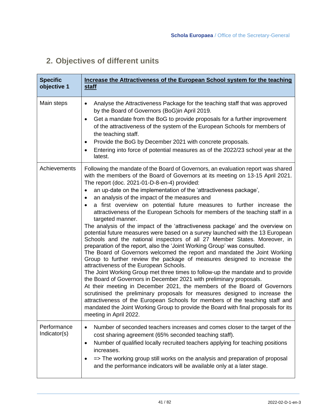## **2. Objectives of different units**

| <b>Specific</b><br>objective 1 | Increase the Attractiveness of the European School system for the teaching<br><u>staff</u>                                                                                                                                                                                                                                                                                                                                                                                                                                                                                                                                                                                                                                                                                                                                                                                                                                                                                                                                                                                                                                                                                                                                                                                                                                                                                                                                                                                                                                                                                                |
|--------------------------------|-------------------------------------------------------------------------------------------------------------------------------------------------------------------------------------------------------------------------------------------------------------------------------------------------------------------------------------------------------------------------------------------------------------------------------------------------------------------------------------------------------------------------------------------------------------------------------------------------------------------------------------------------------------------------------------------------------------------------------------------------------------------------------------------------------------------------------------------------------------------------------------------------------------------------------------------------------------------------------------------------------------------------------------------------------------------------------------------------------------------------------------------------------------------------------------------------------------------------------------------------------------------------------------------------------------------------------------------------------------------------------------------------------------------------------------------------------------------------------------------------------------------------------------------------------------------------------------------|
| Main steps                     | Analyse the Attractiveness Package for the teaching staff that was approved<br>$\bullet$<br>by the Board of Governors (BoG)in April 2019.<br>Get a mandate from the BoG to provide proposals for a further improvement<br>$\bullet$<br>of the attractiveness of the system of the European Schools for members of<br>the teaching staff.<br>Provide the BoG by December 2021 with concrete proposals.<br>$\bullet$<br>Entering into force of potential measures as of the 2022/23 school year at the<br>latest.                                                                                                                                                                                                                                                                                                                                                                                                                                                                                                                                                                                                                                                                                                                                                                                                                                                                                                                                                                                                                                                                           |
| Achievements                   | Following the mandate of the Board of Governors, an evaluation report was shared<br>with the members of the Board of Governors at its meeting on 13-15 April 2021.<br>The report (doc. 2021-01-D-8-en-4) provided:<br>an up-date on the implementation of the 'attractiveness package',<br>an analysis of the impact of the measures and<br>$\bullet$<br>a first overview on potential future measures to further increase the<br>attractiveness of the European Schools for members of the teaching staff in a<br>targeted manner.<br>The analysis of the impact of the 'attractiveness package' and the overview on<br>potential future measures were based on a survey launched with the 13 European<br>Schools and the national inspectors of all 27 Member States. Moreover, in<br>preparation of the report, also the 'Joint Working Group' was consulted.<br>The Board of Governors welcomed the report and mandated the Joint Working<br>Group to further review the package of measures designed to increase the<br>attractiveness of the European Schools.<br>The Joint Working Group met three times to follow-up the mandate and to provide<br>the Board of Governors in December 2021 with preliminary proposals.<br>At their meeting in December 2021, the members of the Board of Governors<br>scrutinised the preliminary proposals for measures designed to increase the<br>attractiveness of the European Schools for members of the teaching staff and<br>mandated the Joint Working Group to provide the Board with final proposals for its<br>meeting in April 2022. |
| Performance<br>Indicator(s)    | Number of seconded teachers increases and comes closer to the target of the<br>cost sharing agreement (65% seconded teaching staff).<br>Number of qualified locally recruited teachers applying for teaching positions<br>$\bullet$<br>increases.<br>=> The working group still works on the analysis and preparation of proposal<br>and the performance indicators will be available only at a later stage.                                                                                                                                                                                                                                                                                                                                                                                                                                                                                                                                                                                                                                                                                                                                                                                                                                                                                                                                                                                                                                                                                                                                                                              |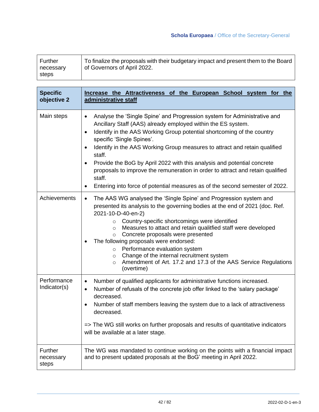| Further   | To finalize the proposals with their budgetary impact and present them to the Board |
|-----------|-------------------------------------------------------------------------------------|
| necessary | of Governors of April 2022.                                                         |
| steps     |                                                                                     |

| <b>Specific</b><br>objective 2 | Increase the Attractiveness of the European School system for the<br>administrative staff                                                                                                                                                                                                                                                                                                                                                                                                                                                                                                                                                               |
|--------------------------------|---------------------------------------------------------------------------------------------------------------------------------------------------------------------------------------------------------------------------------------------------------------------------------------------------------------------------------------------------------------------------------------------------------------------------------------------------------------------------------------------------------------------------------------------------------------------------------------------------------------------------------------------------------|
| Main steps                     | Analyse the 'Single Spine' and Progression system for Administrative and<br>$\bullet$<br>Ancillary Staff (AAS) already employed within the ES system.<br>Identify in the AAS Working Group potential shortcoming of the country<br>$\bullet$<br>specific 'Single Spines'.<br>Identify in the AAS Working Group measures to attract and retain qualified<br>$\bullet$<br>staff.<br>Provide the BoG by April 2022 with this analysis and potential concrete<br>$\bullet$<br>proposals to improve the remuneration in order to attract and retain qualified<br>staff.<br>Entering into force of potential measures as of the second semester of 2022.<br>٠ |
| Achievements                   | The AAS WG analysed the 'Single Spine' and Progression system and<br>$\bullet$<br>presented its analysis to the governing bodies at the end of 2021 (doc. Ref.<br>2021-10-D-40-en-2)<br>Country-specific shortcomings were identified<br>$\circ$<br>Measures to attact and retain qualitfied staff were developed<br>$\circ$<br>Concrete proposals were presented<br>$\circ$<br>The following proposals were endorsed:<br>Performance evaluation system<br>$\circ$<br>Change of the internal recruitment system<br>$\circ$<br>Amendment of Art. 17.2 and 17.3 of the AAS Service Regulations<br>$\circ$<br>(overtime)                                   |
| Performance<br>Indicator(s)    | Number of qualified applicants for administrative functions increased.<br>٠<br>Number of refusals of the concrete job offer linked to the 'salary package'<br>$\bullet$<br>decreased.<br>Number of staff members leaving the system due to a lack of attractiveness<br>٠<br>decreased.<br>=> The WG still works on further proposals and results of quantitative indicators<br>will be available at a later stage.                                                                                                                                                                                                                                      |
| Further<br>necessary<br>steps  | The WG was mandated to continue working on the points with a financial impact<br>and to present updated proposals at the BoG' meeting in April 2022.                                                                                                                                                                                                                                                                                                                                                                                                                                                                                                    |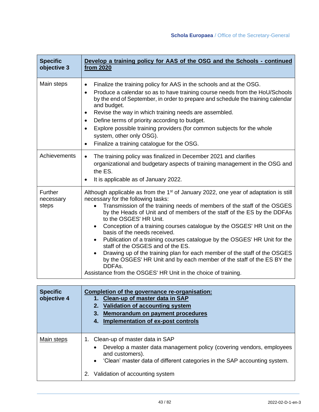| <b>Specific</b><br>objective 3 | Develop a training policy for AAS of the OSG and the Schools - continued<br>from 2020                                                                                                                                                                                                                                                                                                                                                                                                                                                                                                                                                                                                                                                                                                              |
|--------------------------------|----------------------------------------------------------------------------------------------------------------------------------------------------------------------------------------------------------------------------------------------------------------------------------------------------------------------------------------------------------------------------------------------------------------------------------------------------------------------------------------------------------------------------------------------------------------------------------------------------------------------------------------------------------------------------------------------------------------------------------------------------------------------------------------------------|
| Main steps                     | Finalize the training policy for AAS in the schools and at the OSG.<br>$\bullet$<br>Produce a calendar so as to have training course needs from the HoU/Schools<br>$\bullet$<br>by the end of September, in order to prepare and schedule the training calendar<br>and budget.<br>Revise the way in which training needs are assembled.<br>$\bullet$<br>Define terms of priority according to budget.<br>$\bullet$<br>Explore possible training providers (for common subjects for the whole<br>$\bullet$<br>system, other only OSG).<br>Finalize a training catalogue for the OSG.<br>$\bullet$                                                                                                                                                                                                   |
| Achievements                   | The training policy was finalized in December 2021 and clarifies<br>$\bullet$<br>organizational and budgetary aspects of training management in the OSG and<br>the ES.<br>It is applicable as of January 2022.<br>$\bullet$                                                                                                                                                                                                                                                                                                                                                                                                                                                                                                                                                                        |
| Further<br>necessary<br>steps  | Although applicable as from the 1 <sup>st</sup> of January 2022, one year of adaptation is still<br>necessary for the following tasks:<br>Transmission of the training needs of members of the staff of the OSGES<br>$\bullet$<br>by the Heads of Unit and of members of the staff of the ES by the DDFAs<br>to the OSGES' HR Unit.<br>Conception of a training courses catalogue by the OSGES' HR Unit on the<br>basis of the needs received.<br>Publication of a training courses catalogue by the OSGES' HR Unit for the<br>staff of the OSGES and of the ES.<br>Drawing up of the training plan for each member of the staff of the OSGES<br>by the OSGES' HR Unit and by each member of the staff of the ES BY the<br>DDFAs.<br>Assistance from the OSGES' HR Unit in the choice of training. |

| <b>Specific</b><br>objective 4 | Completion of the governance re-organisation:<br>1. Clean-up of master data in SAP<br>Validation of accounting system<br>Memorandum on payment procedures<br>Implementation of ex-post controls<br>4.                                           |
|--------------------------------|-------------------------------------------------------------------------------------------------------------------------------------------------------------------------------------------------------------------------------------------------|
| Main steps                     | Clean-up of master data in SAP<br>Develop a master data management policy (covering vendors, employees<br>and customers).<br>'Clean' master data of different categories in the SAP accounting system.<br>Validation of accounting system<br>2. |

 $\mathbf{r}$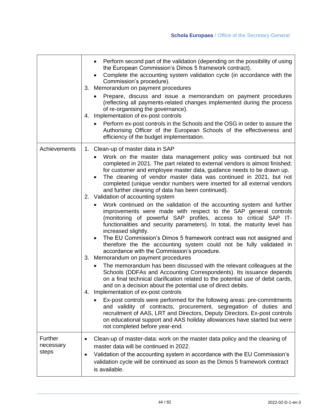|                                      | Perform second part of the validation (depending on the possibility of using<br>the European Commission's Dimos 5 framework contract).<br>Complete the accounting system validation cycle (in accordance with the<br>Commission's procedure).<br>3. Memorandum on payment procedures<br>Prepare, discuss and issue a memorandum on payment procedures<br>(reflecting all payments-related changes implemented during the process<br>of re-organising the governance).<br>Implementation of ex-post controls<br>4.<br>Perform ex-post controls in the Schools and the OSG in order to assure the<br>Authorising Officer of the European Schools of the effectiveness and<br>efficiency of the budget implementation. |
|--------------------------------------|---------------------------------------------------------------------------------------------------------------------------------------------------------------------------------------------------------------------------------------------------------------------------------------------------------------------------------------------------------------------------------------------------------------------------------------------------------------------------------------------------------------------------------------------------------------------------------------------------------------------------------------------------------------------------------------------------------------------|
| Achievements                         | 1. Clean-up of master data in SAP<br>Work on the master data management policy was continued but not<br>completed in 2021. The part related to external vendors is almost finished;<br>for customer and employee master data, guidance needs to be drawn up.<br>The cleaning of vendor master data was continued in 2021, but not<br>completed (unique vendor numbers were inserted for all external vendors                                                                                                                                                                                                                                                                                                        |
|                                      | and further cleaning of data has been continued).<br>2. Validation of accounting system<br>Work continued on the validation of the accounting system and further<br>improvements were made with respect to the SAP general controls<br>(monitoring of powerful SAP profiles, access to critical SAP IT-<br>functionalities and security parameters). In total, the maturity level has<br>increased slightly.<br>The EU Commission's Dimos 5 framework contract was not assigned and                                                                                                                                                                                                                                 |
|                                      | therefore the the accounting system could not be fully validated in<br>accordance with the Commission's procedure.<br>3. Memorandum on payment procedures<br>The memorandum has been discussed with the relevant colleagues at the<br>Schools (DDFAs and Accounting Correspondents). Its issuance depends<br>on a final technical clarification related to the potential use of debit cards,<br>and on a decision about the potential use of direct debits.<br>4. Implementation of ex-post controls                                                                                                                                                                                                                |
|                                      | Ex-post controls were performed for the following areas: pre-commitments<br>and validity of contracts, procurement, segregation of duties and<br>recruitment of AAS, LRT and Directors, Deputy Directors. Ex-post controls<br>on educational support and AAS holiday allowances have started but were<br>not completed before year-end.                                                                                                                                                                                                                                                                                                                                                                             |
| <b>Further</b><br>necessary<br>steps | Clean-up of master-data: work on the master data policy and the cleaning of<br>master data will be continued in 2022.<br>Validation of the accounting system in accordance with the EU Commission's<br>$\bullet$<br>validation cycle will be continued as soon as the Dimos 5 framework contract<br>is available.                                                                                                                                                                                                                                                                                                                                                                                                   |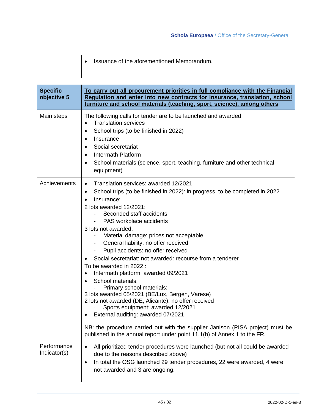| Issuance of the aforementioned Memorandum. |
|--------------------------------------------|
|                                            |

| <b>Specific</b><br>objective 5 | To carry out all procurement priorities in full compliance with the Financial<br>Regulation and enter into new contracts for insurance, translation, school<br>furniture and school materials (teaching, sport, science), among others                                                                                                                                                                                                                                                                                                                                                                                                                                                                                                                                                                                                                                                                                                                                       |
|--------------------------------|------------------------------------------------------------------------------------------------------------------------------------------------------------------------------------------------------------------------------------------------------------------------------------------------------------------------------------------------------------------------------------------------------------------------------------------------------------------------------------------------------------------------------------------------------------------------------------------------------------------------------------------------------------------------------------------------------------------------------------------------------------------------------------------------------------------------------------------------------------------------------------------------------------------------------------------------------------------------------|
| Main steps                     | The following calls for tender are to be launched and awarded:<br><b>Translation services</b><br>$\bullet$<br>School trips (to be finished in 2022)<br>$\bullet$<br>Insurance<br>$\bullet$<br>Social secretariat<br>$\bullet$<br>Intermath Platform<br>$\bullet$<br>School materials (science, sport, teaching, furniture and other technical<br>$\bullet$<br>equipment)                                                                                                                                                                                                                                                                                                                                                                                                                                                                                                                                                                                                     |
| Achievements                   | Translation services: awarded 12/2021<br>$\bullet$<br>School trips (to be finished in 2022): in progress, to be completed in 2022<br>٠<br>Insurance:<br>$\bullet$<br>2 lots awarded 12/2021:<br>Seconded staff accidents<br>PAS workplace accidents<br>3 lots not awarded:<br>Material damage: prices not acceptable<br>General liability: no offer received<br>Ξ.<br>Pupil accidents: no offer received<br>Social secretariat: not awarded: recourse from a tenderer<br>To be awarded in 2022 :<br>Intermath platform: awarded 09/2021<br>$\bullet$<br>School materials:<br>$\bullet$<br>Primary school materials:<br>3 lots awarded 05/2021 (BE/Lux, Bergen, Varese)<br>2 lots not awarded (DE, Alicante): no offer received<br>Sports equipment: awarded 12/2021<br>External auditing: awarded 07/2021<br>٠<br>NB: the procedure carried out with the supplier Janison (PISA project) must be<br>published in the annual report under point 11.1(b) of Annex 1 to the FR. |
| Performance<br>Indicator(s)    | All prioritized tender procedures were launched (but not all could be awarded<br>$\bullet$<br>due to the reasons described above)<br>In total the OSG launched 29 tender procedures, 22 were awarded, 4 were<br>$\bullet$<br>not awarded and 3 are ongoing.                                                                                                                                                                                                                                                                                                                                                                                                                                                                                                                                                                                                                                                                                                                  |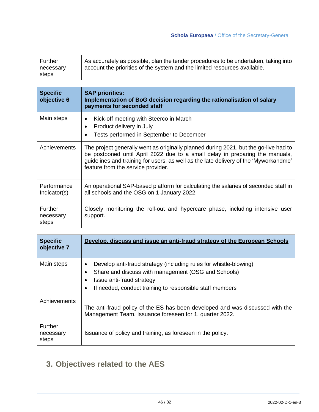| Further            | As accurately as possible, plan the tender procedures to be undertaken, taking into |
|--------------------|-------------------------------------------------------------------------------------|
| necessary<br>steps | account the priorities of the system and the limited resources available.           |

| <b>Specific</b><br>objective 6       | <b>SAP priorities:</b><br>Implementation of BoG decision regarding the rationalisation of salary<br>payments for seconded staff                                                                                                                                                                    |
|--------------------------------------|----------------------------------------------------------------------------------------------------------------------------------------------------------------------------------------------------------------------------------------------------------------------------------------------------|
| Main steps                           | Kick-off meeting with Steerco in March<br>٠<br>Product delivery in July<br>$\bullet$<br>Tests performed in September to December<br>$\bullet$                                                                                                                                                      |
| Achievements                         | The project generally went as originally planned during 2021, but the go-live had to<br>be postponed until April 2022 due to a small delay in preparing the manuals,<br>guidelines and training for users, as well as the late delivery of the 'Myworkandme'<br>feature from the service provider. |
| Performance<br>Indicator(s)          | An operational SAP-based platform for calculating the salaries of seconded staff in<br>all schools and the OSG on 1 January 2022.                                                                                                                                                                  |
| <b>Further</b><br>necessary<br>steps | Closely monitoring the roll-out and hypercare phase, including intensive user<br>support.                                                                                                                                                                                                          |

| <b>Specific</b><br>objective 7 | Develop, discuss and issue an anti-fraud strategy of the European Schools                                                                                                                                                                        |
|--------------------------------|--------------------------------------------------------------------------------------------------------------------------------------------------------------------------------------------------------------------------------------------------|
| Main steps                     | Develop anti-fraud strategy (including rules for whistle-blowing)<br>$\bullet$<br>Share and discuss with management (OSG and Schools)<br>Issue anti-fraud strategy<br>٠<br>If needed, conduct training to responsible staff members<br>$\bullet$ |
| Achievements                   | The anti-fraud policy of the ES has been developed and was discussed with the<br>Management Team. Issuance foreseen for 1. quarter 2022.                                                                                                         |
| Further<br>necessary<br>steps  | Issuance of policy and training, as foreseen in the policy.                                                                                                                                                                                      |

## **3. Objectives related to the AES**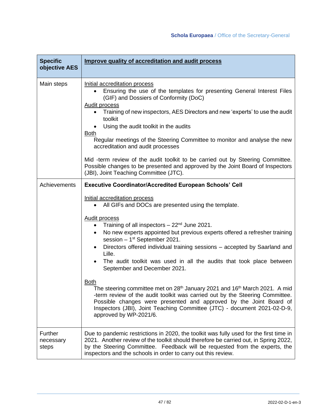| <b>Specific</b><br>objective AES | Improve quality of accreditation and audit process                                                                                                                                                                                                                                                                                                                                                                                                                                                                                                                                                                                                                                                                                                                                                                                                                                                                                                        |
|----------------------------------|-----------------------------------------------------------------------------------------------------------------------------------------------------------------------------------------------------------------------------------------------------------------------------------------------------------------------------------------------------------------------------------------------------------------------------------------------------------------------------------------------------------------------------------------------------------------------------------------------------------------------------------------------------------------------------------------------------------------------------------------------------------------------------------------------------------------------------------------------------------------------------------------------------------------------------------------------------------|
| Main steps                       | Initial accreditation process<br>Ensuring the use of the templates for presenting General Interest Files<br>(GIF) and Dossiers of Conformity (DoC)<br><b>Audit process</b><br>Training of new inspectors, AES Directors and new 'experts' to use the audit<br>toolkit<br>Using the audit toolkit in the audits<br><b>Both</b><br>Regular meetings of the Steering Committee to monitor and analyse the new<br>accreditation and audit processes<br>Mid -term review of the audit toolkit to be carried out by Steering Committee.<br>Possible changes to be presented and approved by the Joint Board of Inspectors<br>(JBI), Joint Teaching Committee (JTC).                                                                                                                                                                                                                                                                                             |
| Achievements                     | <b>Executive Coordinator/Accredited European Schools' Cell</b><br>Initial accreditation process<br>All GIFs and DOCs are presented using the template.<br><b>Audit process</b><br>Training of all inspectors $-22nd$ June 2021.<br>$\bullet$<br>No new experts appointed but previous experts offered a refresher training<br>$\bullet$<br>session $-1st$ September 2021.<br>Directors offered individual training sessions - accepted by Saarland and<br>Lille.<br>The audit toolkit was used in all the audits that took place between<br>September and December 2021.<br><b>Both</b><br>The steering committee met on 28 <sup>th</sup> January 2021 and 16 <sup>th</sup> March 2021. A mid<br>-term review of the audit toolkit was carried out by the Steering Committee.<br>Possible changes were presented and approved by the Joint Board of<br>Inspectors (JBI), Joint Teaching Committee (JTC) - document 2021-02-D-9,<br>approved by WP-2021/6. |
| Further<br>necessary<br>steps    | Due to pandemic restrictions in 2020, the toolkit was fully used for the first time in<br>2021. Another review of the toolkit should therefore be carried out, in Spring 2022,<br>by the Steering Committee. Feedback will be requested from the experts, the<br>inspectors and the schools in order to carry out this review.                                                                                                                                                                                                                                                                                                                                                                                                                                                                                                                                                                                                                            |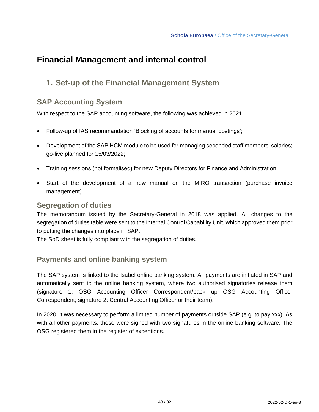## **Financial Management and internal control**

#### **1. Set-up of the Financial Management System**

#### **SAP Accounting System**

With respect to the SAP accounting software, the following was achieved in 2021:

- Follow-up of IAS recommandation 'Blocking of accounts for manual postings';
- Development of the SAP HCM module to be used for managing seconded staff members' salaries; go-live planned for 15/03/2022;
- Training sessions (not formalised) for new Deputy Directors for Finance and Administration;
- Start of the development of a new manual on the MIRO transaction (purchase invoice management).

#### **Segregation of duties**

The memorandum issued by the Secretary-General in 2018 was applied. All changes to the segregation of duties table were sent to the Internal Control Capability Unit, which approved them prior to putting the changes into place in SAP.

The SoD sheet is fully compliant with the segregation of duties.

#### **Payments and online banking system**

The SAP system is linked to the Isabel online banking system. All payments are initiated in SAP and automatically sent to the online banking system, where two authorised signatories release them (signature 1: OSG Accounting Officer Correspondent/back up OSG Accounting Officer Correspondent; signature 2: Central Accounting Officer or their team).

In 2020, it was necessary to perform a limited number of payments outside SAP (e.g. to pay xxx). As with all other payments, these were signed with two signatures in the online banking software. The OSG registered them in the register of exceptions.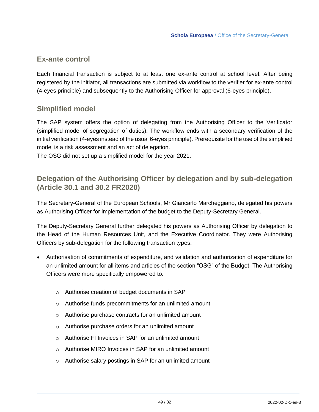#### **Ex-ante control**

Each financial transaction is subject to at least one ex-ante control at school level. After being registered by the initiator, all transactions are submitted via workflow to the verifier for ex-ante control (4-eyes principle) and subsequently to the Authorising Officer for approval (6-eyes principle).

#### **Simplified model**

The SAP system offers the option of delegating from the Authorising Officer to the Verificator (simplified model of segregation of duties). The workflow ends with a secondary verification of the initial verification (4-eyes instead of the usual 6-eyes principle). Prerequisite for the use of the simplified model is a risk assessment and an act of delegation.

The OSG did not set up a simplified model for the year 2021.

#### **Delegation of the Authorising Officer by delegation and by sub-delegation (Article 30.1 and 30.2 FR2020)**

The Secretary-General of the European Schools, Mr Giancarlo Marcheggiano, delegated his powers as Authorising Officer for implementation of the budget to the Deputy-Secretary General.

The Deputy-Secretary General further delegated his powers as Authorising Officer by delegation to the Head of the Human Resources Unit, and the Executive Coordinator. They were Authorising Officers by sub-delegation for the following transaction types:

- Authorisation of commitments of expenditure, and validation and authorization of expenditure for an unlimited amount for all items and articles of the section "OSG" of the Budget. The Authorising Officers were more specifically empowered to:
	- o Authorise creation of budget documents in SAP
	- o Authorise funds precommitments for an unlimited amount
	- o Authorise purchase contracts for an unlimited amount
	- o Authorise purchase orders for an unlimited amount
	- o Authorise FI Invoices in SAP for an unlimited amount
	- o Authorise MIRO Invoices in SAP for an unlimited amount
	- o Authorise salary postings in SAP for an unlimited amount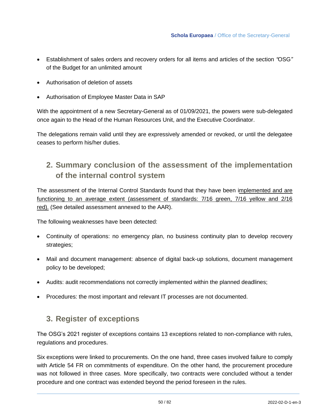- Establishment of sales orders and recovery orders for all items and articles of the section *"*OSG*"*  of the Budget for an unlimited amount
- Authorisation of deletion of assets
- Authorisation of Employee Master Data in SAP

With the appointment of a new Secretary-General as of 01/09/2021, the powers were sub-delegated once again to the Head of the Human Resources Unit, and the Executive Coordinator.

The delegations remain valid until they are expressively amended or revoked, or until the delegatee ceases to perform his/her duties.

#### **2. Summary conclusion of the assessment of the implementation of the internal control system**

The assessment of the Internal Control Standards found that they have been implemented and are functioning to an average extent (assessment of standards: 7/16 green, 7/16 yellow and 2/16 red). (See detailed assessment annexed to the AAR).

The following weaknesses have been detected:

- Continuity of operations: no emergency plan, no business continuity plan to develop recovery strategies;
- Mail and document management: absence of digital back-up solutions, document management policy to be developed;
- Audits: audit recommendations not correctly implemented within the planned deadlines;
- Procedures: the most important and relevant IT processes are not documented.

#### **3. Register of exceptions**

The OSG's 2021 register of exceptions contains 13 exceptions related to non-compliance with rules, regulations and procedures.

Six exceptions were linked to procurements. On the one hand, three cases involved failure to comply with Article 54 FR on commitments of expenditure. On the other hand, the procurement procedure was not followed in three cases. More specifically, two contracts were concluded without a tender procedure and one contract was extended beyond the period foreseen in the rules.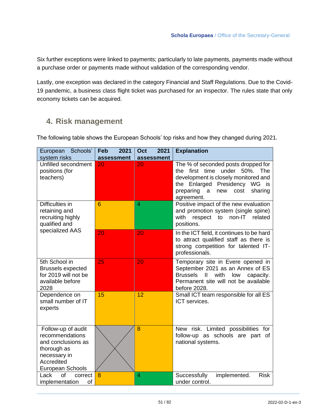Six further exceptions were linked to payments; particularly to late payments, payments made without a purchase order or payments made without validation of the corresponding vendor.

Lastly, one exception was declared in the category Financial and Staff Regulations. Due to the Covid-19 pandemic, a business class flight ticket was purchased for an inspector. The rules state that only economy tickets can be acquired.

#### **4. Risk management**

The following table shows the European Schools' top risks and how they changed during 2021.

| European Schools'<br>system risks                                                                                            | 2021<br>2021<br>Feb<br>Oct<br>assessment<br>assessment |    | <b>Explanation</b>                                                                                                                                                                                                 |  |
|------------------------------------------------------------------------------------------------------------------------------|--------------------------------------------------------|----|--------------------------------------------------------------------------------------------------------------------------------------------------------------------------------------------------------------------|--|
| Unfilled secondment<br>positions (for<br>teachers)                                                                           | 20                                                     | 20 | The % of seconded posts dropped for<br>the first time under 50%. The<br>development is closely monitored and<br>the Enlarged Presidency WG is<br>preparing<br>sharing<br>$\mathsf{a}$<br>new<br>cost<br>agreement. |  |
| Difficulties in<br>retaining and<br>recruiting highly<br>qualified and                                                       | 6                                                      | 4  | Positive impact of the new evaluation<br>and promotion system (single spine)<br>non-IT<br>with<br>respect<br>to<br>related<br>positions.                                                                           |  |
| specialized AAS                                                                                                              | 20                                                     | 20 | In the ICT field, it continues to be hard<br>to attract qualified staff as there is<br>strong competition for talented IT-<br>professionals.                                                                       |  |
| 5th School in<br><b>Brussels expected</b><br>for 2019 will not be<br>available before<br>2028                                | 25                                                     | 20 | Temporary site in Evere opened in<br>September 2021 as an Annex of ES<br>$\mathbf{I}$<br>with<br><b>Brussels</b><br>low<br>capacity.<br>Permanent site will not be available<br>before 2028.                       |  |
| Dependence on<br>small number of IT<br>experts                                                                               | 15                                                     | 12 | Small ICT team responsible for all ES<br>ICT services.                                                                                                                                                             |  |
| Follow-up of audit<br>recommendations<br>and conclusions as<br>thorough as<br>necessary in<br>Accredited<br>European Schools |                                                        | 8  | New risk. Limited possibilities for<br>follow-up as schools are part of<br>national systems.                                                                                                                       |  |
| <b>of</b><br>Lack<br>correct<br>implementation<br>of                                                                         | 8                                                      | 4  | Successfully<br>implemented.<br><b>Risk</b><br>under control.                                                                                                                                                      |  |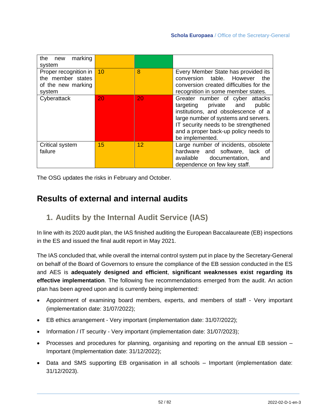| marking<br>the<br>new<br>system                                            |    |    |                                                                                                                                                                                                                                                         |
|----------------------------------------------------------------------------|----|----|---------------------------------------------------------------------------------------------------------------------------------------------------------------------------------------------------------------------------------------------------------|
| Proper recognition in<br>the member states<br>of the new marking<br>system | 10 | 8  | Every Member State has provided its<br>conversion table. However<br>the<br>conversion created difficulties for the<br>recognition in some member states.                                                                                                |
| Cyberattack                                                                | 20 | 20 | Greater number of cyber attacks<br>private and<br>public<br>targeting<br>institutions, and obsolescence of a<br>large number of systems and servers.<br>IT security needs to be strengthened<br>and a proper back-up policy needs to<br>be implemented. |
| Critical system<br>failure                                                 | 15 | 12 | Large number of incidents, obsolete<br>hardware and software, lack of<br>available documentation,<br>and<br>dependence on few key staff.                                                                                                                |

The OSG updates the risks in February and October.

#### **Results of external and internal audits**

#### **1. Audits by the Internal Audit Service (IAS)**

In line with its 2020 audit plan, the IAS finished auditing the European Baccalaureate (EB) inspections in the ES and issued the final audit report in May 2021.

The IAS concluded that, while overall the internal control system put in place by the Secretary-General on behalf of the Board of Governors to ensure the compliance of the EB session conducted in the ES and AES is **adequately designed and efficient**, **significant weaknesses exist regarding its effective implementation**. The following five recommendations emerged from the audit. An action plan has been agreed upon and is currently being implemented:

- Appointment of examining board members, experts, and members of staff Very important (implementation date: 31/07/2022);
- EB ethics arrangement Very important (implementation date: 31/07/2022);
- Information / IT security Very important (implementation date: 31/07/2023);
- Processes and procedures for planning, organising and reporting on the annual EB session Important (Implementation date: 31/12/2022);
- Data and SMS supporting EB organisation in all schools Important (implementation date: 31/12/2023).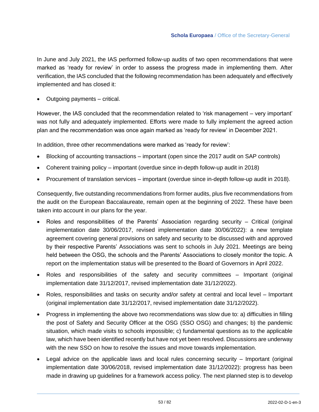In June and July 2021, the IAS performed follow-up audits of two open recommendations that were marked as 'ready for review' in order to assess the progress made in implementing them. After verification, the IAS concluded that the following recommendation has been adequately and effectively implemented and has closed it:

• Outgoing payments – critical.

However, the IAS concluded that the recommendation related to 'risk management – very important' was not fully and adequately implemented. Efforts were made to fully implement the agreed action plan and the recommendation was once again marked as 'ready for review' in December 2021.

In addition, three other recommendations were marked as 'ready for review':

- Blocking of accounting transactions important (open since the 2017 audit on SAP controls)
- Coherent training policy important (overdue since in-depth follow-up audit in 2018)
- Procurement of translation services important (overdue since in-depth follow-up audit in 2018).

Consequently, five outstanding recommendations from former audits, plus five recommendations from the audit on the European Baccalaureate, remain open at the beginning of 2022. These have been taken into account in our plans for the year.

- Roles and responsibilities of the Parents' Association regarding security Critical (original implementation date 30/06/2017, revised implementation date 30/06/2022): a new template agreement covering general provisions on safety and security to be discussed with and approved by their respective Parents' Associations was sent to schools in July 2021. Meetings are being held between the OSG, the schools and the Parents' Associations to closely monitor the topic. A report on the implementation status will be presented to the Board of Governors in April 2022.
- Roles and responsibilities of the safety and security committees Important (original implementation date 31/12/2017, revised implementation date 31/12/2022).
- Roles, responsibilities and tasks on security and/or safety at central and local level Important (original implementation date 31/12/2017, revised implementation date 31/12/2022).
- Progress in implementing the above two recommendations was slow due to: a) difficulties in filling the post of Safety and Security Officer at the OSG (SSO OSG) and changes; b) the pandemic situation, which made visits to schools impossible; c) fundamental questions as to the applicable law, which have been identified recently but have not yet been resolved. Discussions are underway with the new SSO on how to resolve the issues and move towards implementation.
- Legal advice on the applicable laws and local rules concerning security Important (original implementation date 30/06/2018, revised implementation date 31/12/2022): progress has been made in drawing up guidelines for a framework access policy. The next planned step is to develop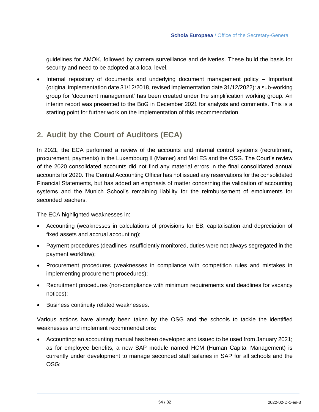guidelines for AMOK, followed by camera surveillance and deliveries. These build the basis for security and need to be adopted at a local level.

• Internal repository of documents and underlying document management policy – Important (original implementation date 31/12/2018, revised implementation date 31/12/2022): a sub-working group for 'document management' has been created under the simplification working group. An interim report was presented to the BoG in December 2021 for analysis and comments. This is a starting point for further work on the implementation of this recommendation.

### **2. Audit by the Court of Auditors (ECA)**

In 2021, the ECA performed a review of the accounts and internal control systems (recruitment, procurement, payments) in the Luxembourg II (Mamer) and Mol ES and the OSG. The Court's review of the 2020 consolidated accounts did not find any material errors in the final consolidated annual accounts for 2020. The Central Accounting Officer has not issued any reservations for the consolidated Financial Statements, but has added an emphasis of matter concerning the validation of accounting systems and the Munich School's remaining liability for the reimbursement of emoluments for seconded teachers.

The ECA highlighted weaknesses in:

- Accounting (weaknesses in calculations of provisions for EB, capitalisation and depreciation of fixed assets and accrual accounting);
- Payment procedures (deadlines insufficiently monitored, duties were not always segregated in the payment workflow);
- Procurement procedures (weaknesses in compliance with competition rules and mistakes in implementing procurement procedures);
- Recruitment procedures (non-compliance with minimum requirements and deadlines for vacancy notices);
- Business continuity related weaknesses.

Various actions have already been taken by the OSG and the schools to tackle the identified weaknesses and implement recommendations:

• Accounting: an accounting manual has been developed and issued to be used from January 2021; as for employee benefits, a new SAP module named HCM (Human Capital Management) is currently under development to manage seconded staff salaries in SAP for all schools and the OSG;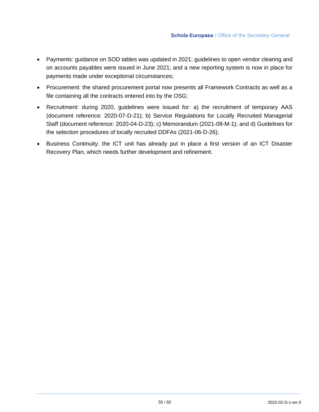- Payments: guidance on SOD tables was updated in 2021; guidelines to open vendor clearing and on accounts payables were issued in June 2021; and a new reporting system is now in place for payments made under exceptional circumstances;
- Procurement: the shared procurement portal now presents all Framework Contracts as well as a file containing all the contracts entered into by the OSG;
- Recruitment: during 2020, guidelines were issued for: a) the recruitment of temporary AAS (document reference: 2020-07-D-21); b) Service Regulations for Locally Recruited Managerial Staff (document reference: 2020-04-D-23); c) Memorandum (2021-08-M-1); and d) Guidelines for the selection procedures of locally recruited DDFAs (2021-06-D-26);
- Business Continuity: the ICT unit has already put in place a first version of an ICT Disaster Recovery Plan, which needs further development and refinement.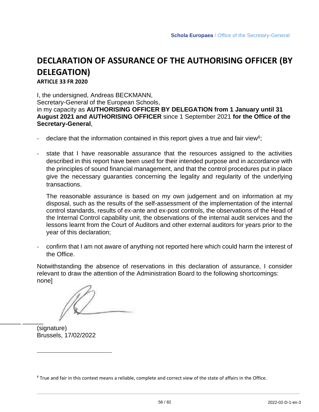## **DECLARATION OF ASSURANCE OF THE AUTHORISING OFFICER (BY DELEGATION)**

**ARTICLE 33 FR 2020**

I, the undersigned, Andreas BECKMANN, Secretary-General of the European Schools, in my capacity as **AUTHORISING OFFICER BY DELEGATION from 1 January until 31 August 2021 and AUTHORISING OFFICER** since 1 September 2021 **for the Office of the Secretary-General**,

- declare that the information contained in this report gives a true and fair view<sup>6</sup>;
- state that I have reasonable assurance that the resources assigned to the activities described in this report have been used for their intended purpose and in accordance with the principles of sound financial management, and that the control procedures put in place give the necessary guaranties concerning the legality and regularity of the underlying transactions.

The reasonable assurance is based on my own judgement and on information at my disposal, such as the results of the self-assessment of the implementation of the internal control standards, results of ex-ante and ex-post controls, the observations of the Head of the Internal Control capability unit, the observations of the internal audit services and the lessons learnt from the Court of Auditors and other external auditors for years prior to the year of this declaration;

- confirm that I am not aware of anything not reported here which could harm the interest of the Office.

Notwithstanding the absence of reservations in this declaration of assurance, I consider relevant to draw the attention of the Administration Board to the following shortcomings: none]

(signature) Brussels, 17/02/2022

\_\_\_\_\_\_ \_\_\_\_\_\_

 $6$  True and fair in this context means a reliable, complete and correct view of the state of affairs in the Office.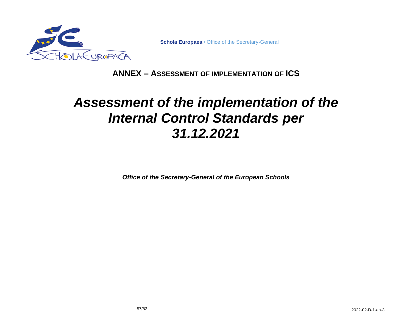

**Schola Europaea** / Office of the Secretary-General

#### **ANNEX – ASSESSMENT OF IMPLEMENTATION OF ICS**

# *Assessment of the implementation of the Internal Control Standards per 31.12.2021*

*Office of the Secretary-General of the European Schools*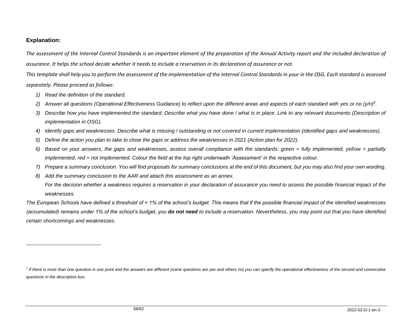#### **Explanation:**

*The assessment of the Internal Control Standards is an important element of the preparation of the Annual Activity report and the included declaration of assurance. It helps the school decide whether it needs to include a reservation in its declaration of assurance or not.* 

*This template shall help you to perform the assessment of the implementation of the Internal Control Standards in your in the OSG. Each standard is assessed separately. Please proceed as follows:* 

- *1) Read the definition of the standard.*
- *2) Answer all questions (Operational Effectiveness Guidance) to reflect upon the different areas and aspects of each standard with yes or no (y/n)***<sup>7</sup>** *.*
- *3) Describe how you have implemented the standard. Describe what you have done / what is in place. Link to any relevant documents (Description of implementation in OSG).*
- *4) Identify gaps and weaknesses. Describe what is missing / outstanding or not covered in current implementation (Identified gaps and weaknesses).*
- *5) Define the action you plan to take to close the gaps or address the weaknesses in 2021 (Action plan for 2022).*
- *6) Based on your answers, the gaps and weaknesses, assess overall compliance with the standards: green = fully implemented, yellow = partially implemented, red = not implemented. Colour the field at the top right underneath 'Assessment' in the respective colour.*
- *7) Prepare a summary conclusion. You will find proposals for summary conclusions at the end of this document, but you may also find your own wording.*
- *8) Add the summary conclusion to the AAR and attach this assessment as an annex.*

*For the decision whether a weakness requires a reservation in your declaration of assurance you need to assess the possible financial impact of the weaknesses.* 

*The European Schools have defined a threshold of < 1% of the school's budget. This means that if the possible financial impact of the identified weaknesses (accumulated) remains under 1% of the school's budget, you do not need to include a reservation. Nevertheless, you may point out that you have identified certain shortcomings and weaknesses.* 

<sup>&</sup>lt;sup>7</sup> If there is more than one question in one point and the answers are different (some questions are yes and others no) you can specify the operational effectiveness of the second and consecutive *questions in the description box.*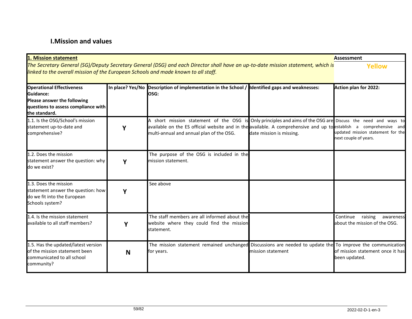#### **I.Mission and values**

| 1. Mission statement                                                                                                                                                                                                   |        |                                                                                                                                                                                                                                                                                |                          | <b>Assessment</b>                                                 |
|------------------------------------------------------------------------------------------------------------------------------------------------------------------------------------------------------------------------|--------|--------------------------------------------------------------------------------------------------------------------------------------------------------------------------------------------------------------------------------------------------------------------------------|--------------------------|-------------------------------------------------------------------|
| The Secretary General (SG)/Deputy Secretary General (DSG) and each Director shall have an up-to-date mission statement, which is<br>linked to the overall mission of the European Schools and made known to all staff. | Yellow |                                                                                                                                                                                                                                                                                |                          |                                                                   |
| <b>Operational Effectiveness</b><br>Guidance:<br>Please answer the following<br>questions to assess compliance with<br>the standard.                                                                                   |        | In place? Yes/No Description of implementation in the School / Identified gaps and weaknesses:<br>losg:                                                                                                                                                                        |                          | <b>Action plan for 2022:</b>                                      |
| 1.1. Is the OSG/School's mission<br>statement up-to-date and<br>comprehensive?                                                                                                                                         | Υ      | A short mission statement of the OSG is Only principles and aims of the OSG are Discuss the need and ways to<br>available on the ES official website and in the available. A comprehensive and up to establish a comprehensive and<br>multi-annual and annual plan of the OSG. | date mission is missing. | updated mission statement for the<br>next couple of years.        |
| 1.2. Does the mission<br>statement answer the question: why<br>do we exist?                                                                                                                                            |        | The purpose of the OSG is included in the<br>mission statement.                                                                                                                                                                                                                |                          |                                                                   |
| 1.3. Does the mission<br>statement answer the question: how<br>do we fit into the European<br>Schools system?                                                                                                          |        | See above                                                                                                                                                                                                                                                                      |                          |                                                                   |
| 1.4. Is the mission statement<br>available to all staff members?                                                                                                                                                       | Y      | The staff members are all informed about the<br>website where they could find the mission<br>statement.                                                                                                                                                                        |                          | Continue<br>raising<br>awareness<br>about the mission of the OSG. |
| 1.5. Has the updated/latest version<br>of the mission statement been<br>communicated to all school<br>community?                                                                                                       | N      | The mission statement remained unchanged Discussions are needed to update the To improve the communication<br>for years.                                                                                                                                                       | mission statement        | of mission statement once it has<br>been updated.                 |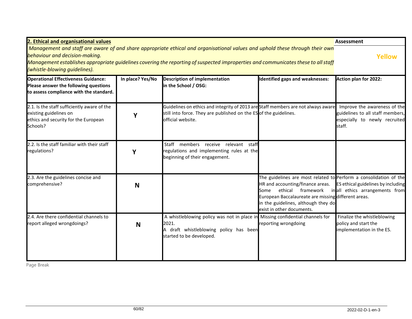| 2. Ethical and organisational values                                                                                                                                                                                                                                                                                                  |                  |                                                                                                                                                                             |                                                                                                                                                                                                                                          | Assessment                                                                                                  |
|---------------------------------------------------------------------------------------------------------------------------------------------------------------------------------------------------------------------------------------------------------------------------------------------------------------------------------------|------------------|-----------------------------------------------------------------------------------------------------------------------------------------------------------------------------|------------------------------------------------------------------------------------------------------------------------------------------------------------------------------------------------------------------------------------------|-------------------------------------------------------------------------------------------------------------|
| Management and staff are aware of and share appropriate ethical and organisational values and uphold these through their own<br>behaviour and decision-making.<br>Management establishes appropriate guidelines covering the reporting of suspected improperties and communicates these to all staff<br>(whistle-blowing quidelines). | <b>Yellow</b>    |                                                                                                                                                                             |                                                                                                                                                                                                                                          |                                                                                                             |
| <b>Operational Effectiveness Guidance:</b><br>Please answer the following questions<br>to assess compliance with the standard.                                                                                                                                                                                                        | In place? Yes/No | <b>Description of implementation</b><br>in the School / OSG:                                                                                                                | dentified gaps and weaknesses:                                                                                                                                                                                                           | <b>Action plan for 2022:</b>                                                                                |
| 2.1. Is the staff sufficiently aware of the<br>existing guidelines on<br>ethics and security for the European<br>Schools?                                                                                                                                                                                                             | Υ                | Guidelines on ethics and integrity of 2013 are Staff members are not always aware<br>still into force. They are published on the ES of the guidelines.<br>official website. |                                                                                                                                                                                                                                          | Improve the awareness of the<br>guidelines to all staff members,<br>especially to newly recruited<br>staff. |
| 2.2. Is the staff familiar with their staff<br>regulations?                                                                                                                                                                                                                                                                           | Υ                | Staff members receive relevant staff<br>regulations and implementing rules at the<br>beginning of their engagement.                                                         |                                                                                                                                                                                                                                          |                                                                                                             |
| 2.3. Are the guidelines concise and<br>comprehensive?                                                                                                                                                                                                                                                                                 | N                |                                                                                                                                                                             | The guidelines are most related to Perform a consolidation of the<br>HR and accounting/finance areas.<br>Some<br>European Baccalaureate are missing different areas.<br>in the guidelines, although they do<br>exist in other documents. | ES ethical guidelines by including<br>ethical framework in all ethics arrangements from                     |
| 2.4. Are there confidential channels to<br>report alleged wrongdoings?                                                                                                                                                                                                                                                                | N                | A whistleblowing policy was not in place in Missing confidential channels for<br>2021.<br>A draft whistleblowing policy has been<br>started to be developed.                | reporting wrongdoing                                                                                                                                                                                                                     | Finalize the whistleblowing<br>policy and start the<br>implementation in the ES.                            |

Page Break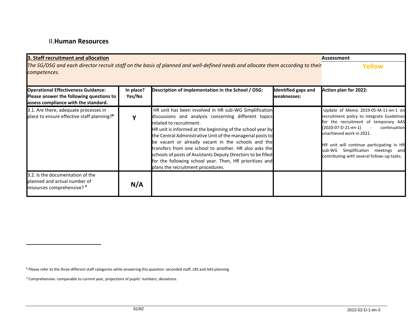#### II.**Human Resources**

| 3. Staff recruitment and allocation                                                                                                            |                     |                                                                                                                                                                                                                                                                                                                                                                                                                                                                                                                                                      |                                           | <b>Assessment</b>                                                                                                                                                                                                                                                                                                                           |
|------------------------------------------------------------------------------------------------------------------------------------------------|---------------------|------------------------------------------------------------------------------------------------------------------------------------------------------------------------------------------------------------------------------------------------------------------------------------------------------------------------------------------------------------------------------------------------------------------------------------------------------------------------------------------------------------------------------------------------------|-------------------------------------------|---------------------------------------------------------------------------------------------------------------------------------------------------------------------------------------------------------------------------------------------------------------------------------------------------------------------------------------------|
| The SG/DSG and each director recruit staff on the basis of planned and well-defined needs and allocate them according to their<br>competences. | Yellow              |                                                                                                                                                                                                                                                                                                                                                                                                                                                                                                                                                      |                                           |                                                                                                                                                                                                                                                                                                                                             |
| <b>Operational Effectiveness Guidance:</b><br>Please answer the following questions to<br>assess compliance with the standard.                 | In place?<br>Yes/No | Description of implementation in the School / OSG:                                                                                                                                                                                                                                                                                                                                                                                                                                                                                                   | <b>Identified gaps and</b><br>weaknesses: | Action plan for 2022:                                                                                                                                                                                                                                                                                                                       |
| 3.1. Are there, adequate processes in<br>place to ensure effective staff planning? <sup>8</sup>                                                |                     | HR unit has been involved in HR sub-WG Simplification<br>discussions and analysis concerning different topics<br>related to recruitment.<br>HR unit is informed at the beginning of the school year by<br>the Central Administrative Unit of the managerial posts to<br>be vacant or already vacant in the schools and the<br>transfers from one school to another. HR also asks the<br>schools of posts of Assistants Deputy Directors to be filled<br>for the following school year. Then, HR prioritizes and<br>plans the recruitment procedures. |                                           | Update of Memo 2019-05-M-11-en-1 on<br>recruitment policy to integrate Guidelines<br>for the recruitment of temporary AAS<br>(2020-07-D-21-en-1)<br>continuation<br>$\sim 100$<br>unachieved work in 2021.<br>HR unit will continue participating in HR<br>sub-WG Simplification meetings and<br>contributing with several follow-up tasks. |
| 3.2. Is the documentation of the<br>planned and actual number of<br>resources comprehensive? 9                                                 | N/A                 |                                                                                                                                                                                                                                                                                                                                                                                                                                                                                                                                                      |                                           |                                                                                                                                                                                                                                                                                                                                             |

<sup>8</sup> Please refer to the three different staff categories while answering this question: seconded staff, LRS and AAS planning

<sup>9</sup> Comprehensive: comparable to current year, projections of pupils' numbers, deviations.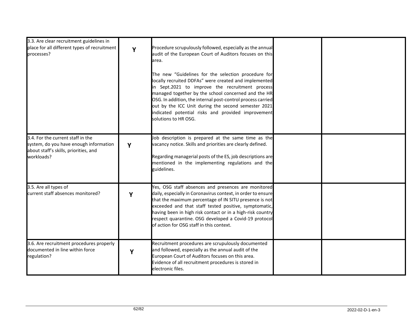| 3.3. Are clear recruitment guidelines in<br>place for all different types of recruitment<br>processes?                             | Y | Procedure scrupulously followed, especially as the annual<br>audit of the European Court of Auditors focuses on this<br>area.<br>The new "Guidelines for the selection procedure for<br>locally recruited DDFAs" were created and implemented<br>in Sept.2021 to improve the recruitment process<br>managed together by the school concerned and the HR<br>OSG. In addition, the internal post-control process carried<br>out by the ICC Unit during the second semester 2021<br>indicated potential risks and provided improvement<br>solutions to HR OSG. |  |
|------------------------------------------------------------------------------------------------------------------------------------|---|-------------------------------------------------------------------------------------------------------------------------------------------------------------------------------------------------------------------------------------------------------------------------------------------------------------------------------------------------------------------------------------------------------------------------------------------------------------------------------------------------------------------------------------------------------------|--|
| 3.4. For the current staff in the<br>system, do you have enough information<br>about staff's skills, priorities, and<br>workloads? | Y | Job description is prepared at the same time as the<br>vacancy notice. Skills and priorities are clearly defined.<br>Regarding managerial posts of the ES, job descriptions are<br>mentioned in the implementing regulations and the<br>guidelines.                                                                                                                                                                                                                                                                                                         |  |
| 3.5. Are all types of<br>current staff absences monitored?                                                                         | Y | Yes, OSG staff absences and presences are monitored<br>daily, especially in Coronavirus context, in order to ensure<br>that the maximum percentage of IN SITU presence is not<br>exceeded and that staff tested positive, symptomatic,<br>having been in high risk contact or in a high-risk country<br>respect quarantine. OSG developed a Covid-19 protocol<br>of action for OSG staff in this context.                                                                                                                                                   |  |
| 3.6. Are recruitment procedures properly<br>documented in line within force<br>regulation?                                         | Y | Recruitment procedures are scrupulously documented<br>and followed, especially as the annual audit of the<br>European Court of Auditors focuses on this area.<br>Evidence of all recruitment procedures is stored in<br>electronic files.                                                                                                                                                                                                                                                                                                                   |  |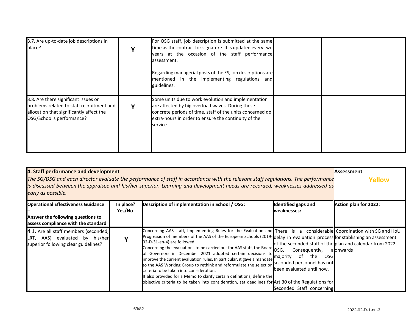| 3.7. Are up-to-date job descriptions in<br>place?                                                                                                          | ν | For OSG staff, job description is submitted at the same<br>time as the contract for signature. It is updated every two<br>years at the occasion of the staff performance<br>assessment.<br>Regarding managerial posts of the ES, job descriptions are<br>mentioned in the implementing regulations and<br>guidelines. |  |
|------------------------------------------------------------------------------------------------------------------------------------------------------------|---|-----------------------------------------------------------------------------------------------------------------------------------------------------------------------------------------------------------------------------------------------------------------------------------------------------------------------|--|
| 3.8. Are there significant issues or<br>problems related to staff recruitment and<br>allocation that significantly affect the<br>OSG/School's performance? | v | Some units due to work evolution and implementation<br>are affected by big overload waves. During these<br>concrete periods of time, staff of the units concerned do<br>extra-hours in order to ensure the continuity of the<br>service.                                                                              |  |

| 4. Staff performance and development<br>The SG/DSG and each director evaluate the performance of staff in accordance with the relevant staff regulations. The performance<br>is discussed between the appraisee and his/her superior. Learning and development needs are recorded, weaknesses addressed as<br>early as possible. | Assessment<br>Yellow |                                                                                                                                                                                                                                                                                                                                                                                                                                                                                                                                                                                                                                                                                                                                                                                                                                    |                                                                                                         |                                                                       |
|----------------------------------------------------------------------------------------------------------------------------------------------------------------------------------------------------------------------------------------------------------------------------------------------------------------------------------|----------------------|------------------------------------------------------------------------------------------------------------------------------------------------------------------------------------------------------------------------------------------------------------------------------------------------------------------------------------------------------------------------------------------------------------------------------------------------------------------------------------------------------------------------------------------------------------------------------------------------------------------------------------------------------------------------------------------------------------------------------------------------------------------------------------------------------------------------------------|---------------------------------------------------------------------------------------------------------|-----------------------------------------------------------------------|
| <b>Operational Effectiveness Guidance</b><br>Answer the following questions to<br>assess compliance with the standard                                                                                                                                                                                                            | In place?<br>Yes/No  | Description of implementation in School / OSG:                                                                                                                                                                                                                                                                                                                                                                                                                                                                                                                                                                                                                                                                                                                                                                                     | <b>Identified gaps and</b><br>weaknesses:                                                               | Action plan for 2022:                                                 |
| 4.1. Are all staff members (seconded,<br>LRT, AAS) evaluated by his/her<br>superior following clear guidelines?                                                                                                                                                                                                                  |                      | Concerning AAS staff, Implementing Rules for the Evaluation and There is a considerable Coordination with SG and HoU<br>Progression of members of the AAS of the European Schools (2019-delay in evaluation process for stablishing an assessment<br>02-D-31-en-4) are followed.<br>Concerning the evaluations to be carried out for AAS staff, the Board OSG.<br>of Governors in December 2021 adopted certain decisions to<br>improve the current evaluation rules. In particular, it gave a mandate<br>to the AAS Working Group to rethink and reformulate the selection seconded personnel has not<br>criteria to be taken into consideration.<br>It also provided for a Memo to clarify certain definitions, define the<br>objective criteria to be taken into consideration, set deadlines for Art.30 of the Regulations for | Consequently,<br>the<br>of<br>osg<br>majority<br>been evaluated until now.<br>Seconded Staff concerning | of the seconded staff of the plan and calendar from 2022<br>a onwards |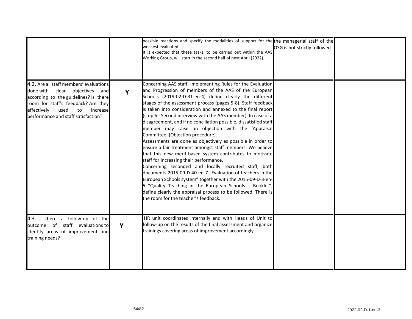|                                                                                                                                                                                                                                              |   | possible reactions and specify the modalities of support for the the managerial staff of the<br>weakest evaluated.<br>It is expected that these tasks, to be carried out within the AAS<br>Working Group, will start in the second half of next April (2022).                                                                                                                                                                                                                                                                                                                                                                                                                                                                                                                                                                                                                                                                                                                                                                                                                                                                               | OSG is not strictly followed. |  |
|----------------------------------------------------------------------------------------------------------------------------------------------------------------------------------------------------------------------------------------------|---|---------------------------------------------------------------------------------------------------------------------------------------------------------------------------------------------------------------------------------------------------------------------------------------------------------------------------------------------------------------------------------------------------------------------------------------------------------------------------------------------------------------------------------------------------------------------------------------------------------------------------------------------------------------------------------------------------------------------------------------------------------------------------------------------------------------------------------------------------------------------------------------------------------------------------------------------------------------------------------------------------------------------------------------------------------------------------------------------------------------------------------------------|-------------------------------|--|
| 4.2. Are all staff members' evaluations<br>done with clear objectives<br>and<br>according to the guidelines? Is there<br>room for staff's feedback? Are they<br>effectively<br>used<br>to<br>increase<br>performance and staff satisfaction? | Y | Concerning AAS staff, Implementing Rules for the Evaluation<br>and Progression of members of the AAS of the European<br>Schools (2019-02-D-31-en-4) define clearly the different<br>stages of the assessment process (pages 5-8). Staff feedback<br>is taken into consideration and annexed to the final report<br>(step 6 - Second interview with the AAS member). In case of a<br>disagreement, and if no conciliation possible, dissatisfied staff<br>member may raise an objection with the 'Appraisal<br>Committee' (Objection procedure).<br>Assessments are done as objectively as possible in order to<br>ensure a fair treatment amongst staff members. We believe<br>that this new merit-based system contributes to motivate<br>staff for increasing their performance.<br>Concerning seconded and locally recruited staff, both<br>documents 2015-09-D-40-en-7 "Evaluation of teachers in the<br>European Schools system" together with the 2015-09-D-3-en-<br>5 "Quality Teaching in the European Schools - Booklet",<br>define clearly the appraisal process to be followed. There is<br>the room for the teacher's feedback. |                               |  |
| 4.3. Is there a follow-up of the<br>outcome of staff evaluations to<br>identify areas of improvement and<br>training needs?                                                                                                                  | Y | HR unit coordinates internally and with Heads of Unit to<br>follow-up on the results of the final assessment and organize<br>trainings covering areas of improvement accordingly.                                                                                                                                                                                                                                                                                                                                                                                                                                                                                                                                                                                                                                                                                                                                                                                                                                                                                                                                                           |                               |  |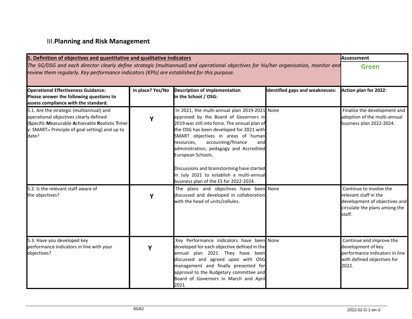## III.**Planning and Risk Management**

| 5. Definition of objectives and quantitative and qualitative indicators                                                                                                                                                            |                  |                                                                                                                                                                                                                                                                                                                                                                                                                                                                          |                                        | <b>Assessment</b>                                                                                                            |
|------------------------------------------------------------------------------------------------------------------------------------------------------------------------------------------------------------------------------------|------------------|--------------------------------------------------------------------------------------------------------------------------------------------------------------------------------------------------------------------------------------------------------------------------------------------------------------------------------------------------------------------------------------------------------------------------------------------------------------------------|----------------------------------------|------------------------------------------------------------------------------------------------------------------------------|
| The SG/DSG and each director clearly define strategic (multiannual) and operational objectives for his/her organisation, monitor and<br>review them regularly. Key performance indicators (KPIs) are established for this purpose. | <b>Green</b>     |                                                                                                                                                                                                                                                                                                                                                                                                                                                                          |                                        |                                                                                                                              |
| <b>Operational Effectiveness Guidance:</b><br>Please answer the following questions to<br>assess compliance with the standard.                                                                                                     | In place? Yes/No | <b>Description of implementation</b><br>in the School / OSG:                                                                                                                                                                                                                                                                                                                                                                                                             | <b>Identified gaps and weaknesses:</b> | Action plan for 2022:                                                                                                        |
| 5.1. Are the strategic (multiannual) and<br>operational objectives clearly defined<br>(Specific Measurable Achievable Realistic Timel<br>y: SMART-Principle of goal setting) and up to<br>date?                                    | Y                | In 2021, the multi-annual plan 2019-2021 None<br>approved by the Board of Governors in<br>2019 was still into force. The annual plan of<br>the OSG has been developed for 2021 with<br>SMART objectives in areas of human<br>accounting/finance<br>resources,<br>and<br>administration; pedagogy and Accredited<br>European Schools.<br>Discussions and brainstorming have started<br>in July 2021 to establish a multi-annual<br>business plan of the ES for 2022-2024. |                                        | Finalize the development and<br>adoption of the multi-annual<br>business plan 2022-2024.                                     |
| 5.2. Is the relevant staff aware of<br>the objectives?                                                                                                                                                                             | Y                | The plans and objectives have been None<br>discussed and developed in collaboration<br>with the head of units/cellules.                                                                                                                                                                                                                                                                                                                                                  |                                        | Continue to involve the<br>relevant staff in the<br>development of objectives and<br>circulate the plans among the<br>staff. |
| 5.3. Have you developed key<br>performance indicators in line with your<br>objectives?                                                                                                                                             | Y                | Key Performance indicators have been None<br>developed for each objective defined in the<br>annual plan 2021. They have been<br>discussed and agreed upon with OSG<br>management and finally presented for<br>approval to the Budgetary committee and<br>Board of Governors in March and April<br>2021.                                                                                                                                                                  |                                        | Continue and improve the<br>development of key<br>performance indicators in line<br>with defined objectives for<br>2022.     |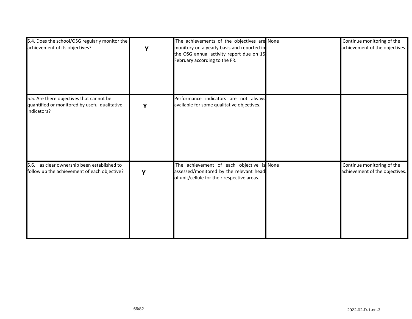| 5.4. Does the school/OSG regularly monitor the<br>achievement of its objectives?                         | Y | The achievements of the objectives are None<br>monitory on a yearly basis and reported in<br>the OSG annual activity report due on 15<br>February according to the FR. | Continue monitoring of the<br>achievement of the objectives. |
|----------------------------------------------------------------------------------------------------------|---|------------------------------------------------------------------------------------------------------------------------------------------------------------------------|--------------------------------------------------------------|
| 5.5. Are there objectives that cannot be<br>quantified or monitored by useful qualitative<br>indicators? | Y | Performance indicators are not always<br>available for some qualitative objectives.                                                                                    |                                                              |
| 5.6. Has clear ownership been established to<br>follow up the achievement of each objective?             | Υ | The achievement of each objective is None<br>assessed/monitored by the relevant head<br>of unit/cellule for their respective areas.                                    | Continue monitoring of the<br>achievement of the objectives. |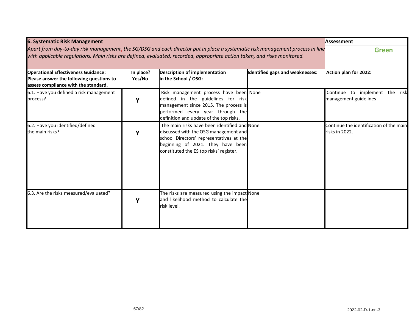| <b>6. Systematic Risk Management</b>                                                                                                                                                                                                                      |                     |                                                                                                                                                                                                                   |                                        | Assessment                                                |
|-----------------------------------------------------------------------------------------------------------------------------------------------------------------------------------------------------------------------------------------------------------|---------------------|-------------------------------------------------------------------------------------------------------------------------------------------------------------------------------------------------------------------|----------------------------------------|-----------------------------------------------------------|
| Apart from day-to-day risk management, the SG/DSG and each director put in place a systematic risk management process in line<br>with applicable regulations. Main risks are defined, evaluated, recorded, appropriate action taken, and risks monitored. | <b>Green</b>        |                                                                                                                                                                                                                   |                                        |                                                           |
| <b>Operational Effectiveness Guidance:</b><br>Please answer the following questions to<br>assess compliance with the standard.                                                                                                                            | In place?<br>Yes/No | Description of implementation<br>in the School / OSG:                                                                                                                                                             | <b>Identified gaps and weaknesses:</b> | Action plan for 2022:                                     |
| 6.1. Have you defined a risk management<br>process?                                                                                                                                                                                                       | Y                   | Risk management process have been None<br>defined in the guidelines for risk<br>management since 2015. The process is<br>performed every year through the<br>definition and update of the top risks.              |                                        | Continue to implement the risk<br>management guidelines   |
| 6.2. Have you identified/defined<br>the main risks?                                                                                                                                                                                                       | Y                   | The main risks have been identified and None<br>discussed with the OSG management and<br>school Directors' representatives at the<br>beginning of 2021. They have been<br>constituted the ES top risks' register. |                                        | Continue the identification of the main<br>risks in 2022. |
| 6.3. Are the risks measured/evaluated?                                                                                                                                                                                                                    | Υ                   | The risks are measured using the impact None<br>and likelihood method to calculate the<br>risk level.                                                                                                             |                                        |                                                           |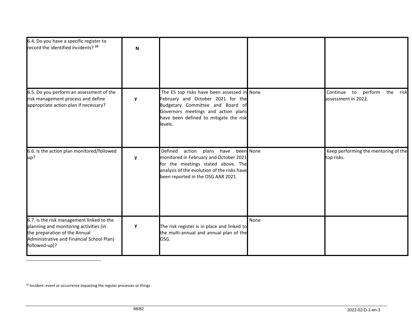| 6.4. Do you have a specific register to<br>record the identified incidents? 10                                                                                                     | N |                                                                                                                                                                                                                  |      |                                                     |
|------------------------------------------------------------------------------------------------------------------------------------------------------------------------------------|---|------------------------------------------------------------------------------------------------------------------------------------------------------------------------------------------------------------------|------|-----------------------------------------------------|
| 6.5. Do you perform an assessment of the<br>risk management process and define<br>appropriate action plan if necessary?                                                            | Υ | The ES top risks have been assessed in None<br>February and October 2021 for the<br>Budgetary Committee and Board of<br>Governors meetings and action plans<br>have been defined to mitigate the risk<br>levels. |      | Continue to perform the risk<br>assessment in 2022. |
| 6.6. Is the action plan monitored/followed<br>up?                                                                                                                                  | Υ | Defined<br>action<br>plans have been None<br>monitored in February and October 2021<br>for the meetings stated above. The<br>analysis of the evolution of the risks have<br>been reported in the OSG AAR 2021.   |      | Keep performing the mentoring of the<br>top risks.  |
| 6.7. Is the risk management linked to the<br>planning and monitoring activities (in<br>the preparation of the Annual<br>Administrative and Financial School Plan)<br>followed-up)? | Y | The risk register is in place and linked to<br>the multi-annual and annual plan of the<br>OSG.                                                                                                                   | None |                                                     |

<sup>&</sup>lt;sup>10</sup> Incident: event or occurrence impacting the regular processes or things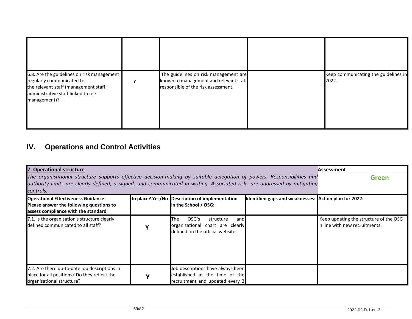| 6.8. Are the guidelines on risk management<br>regularly communicated to<br>the relevant staff (management staff,<br>administrative staff linked to risk<br>management)? | The guidelines on risk management are<br>known to management and relevant staff<br>responsible of the risk assessment. | Keep communicating the guidelines in<br>2022. |
|-------------------------------------------------------------------------------------------------------------------------------------------------------------------------|------------------------------------------------------------------------------------------------------------------------|-----------------------------------------------|

## **IV. Operations and Control Activities**

| 7. Operational structure                                                                                                                                                                                                                            | Assessment                                                                                               |                                                       |                                                                          |
|-----------------------------------------------------------------------------------------------------------------------------------------------------------------------------------------------------------------------------------------------------|----------------------------------------------------------------------------------------------------------|-------------------------------------------------------|--------------------------------------------------------------------------|
| The organisational structure supports effective decision-making by suitable delegation of powers. Responsibilities and<br>authority limits are clearly defined, assigned, and communicated in writing. Associated risks are addressed by mitigating | <b>Green</b>                                                                                             |                                                       |                                                                          |
| controls.                                                                                                                                                                                                                                           |                                                                                                          |                                                       |                                                                          |
| <b>Operational Effectiveness Guidance:</b><br>Please answer the following questions to<br>assess compliance with the standard                                                                                                                       | In place? Yes/No Description of implementation<br>in the School / OSG:                                   | Identified gaps and weaknesses: Action plan for 2022: |                                                                          |
| 7.1. Is the organisation's structure clearly<br>defined communicated to all staff?                                                                                                                                                                  | OSG's<br>The<br>structure<br>and<br>organizational chart are clearly<br>defined on the official website. |                                                       | Keep updating the structure of the OSG<br>in line with new recruitments. |
| 7.2. Are there up-to-date job descriptions in<br>place for all positions? Do they reflect the<br>organisational structure?                                                                                                                          | Job descriptions have always been<br>established at the time of the<br>recruitment and updated every 2   |                                                       |                                                                          |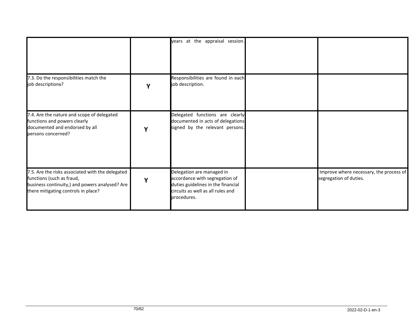|                                                                                                                                                                        |   | years at the appraisal session.                                                                                                                       |                                                                   |
|------------------------------------------------------------------------------------------------------------------------------------------------------------------------|---|-------------------------------------------------------------------------------------------------------------------------------------------------------|-------------------------------------------------------------------|
| 7.3. Do the responsibilities match the<br>job descriptions?                                                                                                            |   | Responsibilities are found in each<br>job description.                                                                                                |                                                                   |
| 7.4. Are the nature and scope of delegated<br>functions and powers clearly<br>documented and endorsed by all<br>persons concerned?                                     | ν | Delegated functions are clearly<br>documented in acts of delegations<br>signed by the relevant persons.                                               |                                                                   |
| 7.5. Are the risks associated with the delegated<br>functions (such as fraud,<br>business continuity,) and powers analysed? Are<br>there mitigating controls in place? | Υ | Delegation are managed in<br>accordance with segregation of<br>duties guidelines in the financial<br>circuits as well as all rules and<br>procedures. | Improve where necessary, the process of<br>segregation of duties. |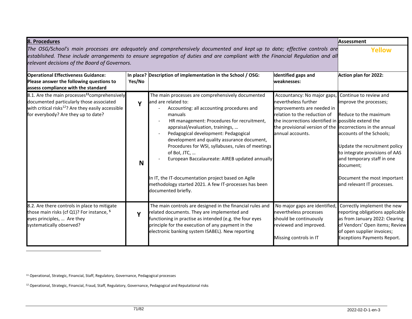| 8. Procedures                                                                                                                                                                                                                                                                                                 | <b>Assessment</b> |                                                                                                                                                                                                                                                                                                                                                                                                                                                                                                                                                                        |                                                                                                                                                                                                                                                            |                                                                                                                                                                                                                                                                                  |
|---------------------------------------------------------------------------------------------------------------------------------------------------------------------------------------------------------------------------------------------------------------------------------------------------------------|-------------------|------------------------------------------------------------------------------------------------------------------------------------------------------------------------------------------------------------------------------------------------------------------------------------------------------------------------------------------------------------------------------------------------------------------------------------------------------------------------------------------------------------------------------------------------------------------------|------------------------------------------------------------------------------------------------------------------------------------------------------------------------------------------------------------------------------------------------------------|----------------------------------------------------------------------------------------------------------------------------------------------------------------------------------------------------------------------------------------------------------------------------------|
| The OSG/School's main processes are adequately and comprehensively documented and kept up to date; effective controls are<br>established. These include arrangements to ensure segregation of duties and are compliant with the Financial Regulation and all<br>relevant decisions of the Board of Governors. | Yellow            |                                                                                                                                                                                                                                                                                                                                                                                                                                                                                                                                                                        |                                                                                                                                                                                                                                                            |                                                                                                                                                                                                                                                                                  |
| <b>Operational Effectiveness Guidance:</b><br>Please answer the following questions to<br>assess compliance with the standard                                                                                                                                                                                 | Yes/No            | In place? Description of implementation in the School / OSG:                                                                                                                                                                                                                                                                                                                                                                                                                                                                                                           | <b>Identified gaps and</b><br>weaknesses:                                                                                                                                                                                                                  | Action plan for 2022:                                                                                                                                                                                                                                                            |
| 8.1. Are the main processes <sup>11</sup> comprehensively<br>documented particularly those associated<br>with critical risks <sup>12</sup> ? Are they easily accessible<br>for everybody? Are they up to date?                                                                                                | $\mathbf v$<br>N  | The main processes are comprehensively documented<br>and are related to:<br>Accounting: all accounting procedures and<br>manuals<br>HR management: Procedures for recruitment,<br>appraisal/evaluation, trainings,<br>Pedagogical development: Pedagogical<br>development and quality assurance document,<br>Procedures for WSI, syllabuses, rules of meetings<br>of Bol, JTC,<br>European Baccalaureate: AIREB updated annually<br>In IT, the IT-documentation project based on Agile<br>methodology started 2021. A few IT-processes has been<br>documented briefly. | Accountancy: No major gaps,<br>nevertheless further<br>improvements are needed in<br>relation to the reduction of<br>the incorrections identified in possible extend the<br>the provisional version of the incorrections in the annual<br>annual accounts. | Continue to review and<br>improve the processes;<br>Reduce to the maximum<br>accounts of the Schools;<br>Update the recruitment policy<br>to integrate provisions of AAS<br>and temporary staff in one<br>document;<br>Document the most important<br>and relevant IT processes. |
| 8.2. Are there controls in place to mitigate<br>those main risks (cf Q1)? For instance, <sup>5</sup><br>eyes principles,  Are they<br>systematically observed?                                                                                                                                                | Y                 | The main controls are designed in the financial rules and<br>related documents. They are implemented and<br>functioning in practise as intended (e.g. the four eyes<br>principle for the execution of any payment in the<br>electronic banking system ISABEL). New reporting                                                                                                                                                                                                                                                                                           | No major gaps are identified,<br>nevertheless processes<br>should be continuously<br>reviewed and improved.<br>Missing controls in IT                                                                                                                      | Correctly implement the new<br>reporting obligations applicable<br>as from January 2022: Clearing<br>of Vendors' Open items; Review<br>of open supplier invoices;<br><b>Exceptions Payments Report.</b>                                                                          |

<sup>11</sup> Operational, Strategic, Financial, Staff, Regulatory, Governance, Pedagogical processes

<sup>12</sup> Operational, Strategic, Financial, Fraud, Staff, Regulatory, Governance, Pedagogical and Reputational risks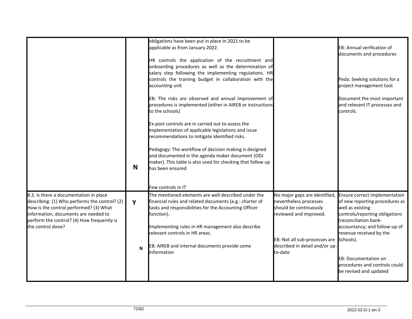|        | obligations have been put in place in 2021 to be<br>applicable as from January 2022.<br>accounting unit                                                                      |                                                                                                                                                                                                                                                                                                                                                                                                    | EB: Annual verification of<br>documents and procedures<br>Peda: Seeking solutions for a<br>project management tool.                                                                                                                                                                                                                                                                              |
|--------|------------------------------------------------------------------------------------------------------------------------------------------------------------------------------|----------------------------------------------------------------------------------------------------------------------------------------------------------------------------------------------------------------------------------------------------------------------------------------------------------------------------------------------------------------------------------------------------|--------------------------------------------------------------------------------------------------------------------------------------------------------------------------------------------------------------------------------------------------------------------------------------------------------------------------------------------------------------------------------------------------|
|        | to the schools)<br>Ex-post controls are in carried out to assess the<br>implementation of applicable legislations and issue<br>recommendations to mitigate identified risks. |                                                                                                                                                                                                                                                                                                                                                                                                    | Document the most important<br>and relevant IT processes and<br>controls.                                                                                                                                                                                                                                                                                                                        |
| N      | has been ensured<br>Few controls in IT                                                                                                                                       |                                                                                                                                                                                                                                                                                                                                                                                                    |                                                                                                                                                                                                                                                                                                                                                                                                  |
| Y<br>N | The mentioned elements are well described under the<br>function).<br>relevant controls in HR areas.<br>information                                                           | nevertheless processes<br>should be continuously<br>reviewed and improved.<br>described in detail and/or up-<br>to-date                                                                                                                                                                                                                                                                            | No major gaps are identified, Ensure correct implementation<br>of new reporting procedures as<br>well as existing<br>controls/reporting obligations<br>(reconciliation bank-<br>accountancy; and follow-up of<br>revenue received by the<br><b>EB: Documentation on</b><br>procedures and controls could<br>be revised and updated                                                               |
|        |                                                                                                                                                                              | Pedagogy: The workflow of decision making is designed<br>and documented in the agenda maker document (ODJ<br>maker). This table is also used for checking that follow up<br>financial rules and related documents (e.g.: charter of<br>tasks and responsibilities for the Accounting Officer<br>Implementing rules in HR management also describe<br>EB: AIREB and internal documents provide some | HR controls the application of the recruitment and<br>onboarding procedures as well as the determination of<br>salary step following the implementing regulations. HR<br>controls the training budget in collaboration with the<br>EB: The risks are observed and annual improvement of<br>procedures is implemented (either in AIREB or instructions<br>EB: Not all sub-processes are Schools). |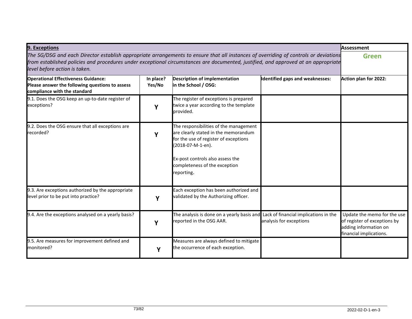| 9. Exceptions                                                                                                                                                                                                                                                                                               | <b>Assessment</b>   |                                                                                                                                                                                                                                |                                 |                                                                                                                 |
|-------------------------------------------------------------------------------------------------------------------------------------------------------------------------------------------------------------------------------------------------------------------------------------------------------------|---------------------|--------------------------------------------------------------------------------------------------------------------------------------------------------------------------------------------------------------------------------|---------------------------------|-----------------------------------------------------------------------------------------------------------------|
| The SG/DSG and each Director establish appropriate arrangements to ensure that all instances of overriding of controls or deviations<br>from established policies and procedures under exceptional circumstances are documented, justified, and approved at an appropriate<br>level before action is taken. | <b>Green</b>        |                                                                                                                                                                                                                                |                                 |                                                                                                                 |
| <b>Operational Effectiveness Guidance:</b><br>Please answer the following questions to assess<br>compliance with the standard                                                                                                                                                                               | In place?<br>Yes/No | <b>Description of implementation</b><br>in the School / OSG:                                                                                                                                                                   | Identified gaps and weaknesses: | Action plan for 2022:                                                                                           |
| 9.1. Does the OSG keep an up-to-date register of<br>exceptions?                                                                                                                                                                                                                                             | Υ                   | The register of exceptions is prepared<br>twice a year according to the template<br>provided.                                                                                                                                  |                                 |                                                                                                                 |
| 9.2. Does the OSG ensure that all exceptions are<br>recorded?                                                                                                                                                                                                                                               | Υ                   | The responsibilities of the management<br>are clearly stated in the memorandum<br>for the use of register of exceptions<br>2018-07-M-1-en).<br>Ex-post controls also assess the<br>completeness of the exception<br>reporting. |                                 |                                                                                                                 |
| 9.3. Are exceptions authorized by the appropriate<br>level prior to be put into practice?                                                                                                                                                                                                                   | Y                   | Each exception has been authorized and<br>validated by the Authorizing officer.                                                                                                                                                |                                 |                                                                                                                 |
| 9.4. Are the exceptions analysed on a yearly basis?                                                                                                                                                                                                                                                         | γ                   | The analysis is done on a yearly basis and Lack of financial implications in the<br>reported in the OSG AAR.                                                                                                                   | analysis for exceptions         | Update the memo for the use<br>of register of exceptions by<br>adding information on<br>financial implications. |
| 9.5. Are measures for improvement defined and<br>monitored?                                                                                                                                                                                                                                                 | Υ                   | Measures are always defined to mitigate<br>the occurrence of each exception.                                                                                                                                                   |                                 |                                                                                                                 |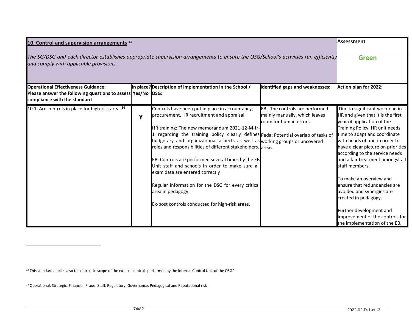| 10. Control and supervision arrangements <sup>13</sup>                                                                                                                        | <b>Assessment</b> |                                                                                                                                                                                                                                                                                                                                                                                                                                                                                                                                                                                                                                                               |                                                                                           |                                                                                                                                                                                                                                                                                                                                                                                                                                                                                                                                                    |
|-------------------------------------------------------------------------------------------------------------------------------------------------------------------------------|-------------------|---------------------------------------------------------------------------------------------------------------------------------------------------------------------------------------------------------------------------------------------------------------------------------------------------------------------------------------------------------------------------------------------------------------------------------------------------------------------------------------------------------------------------------------------------------------------------------------------------------------------------------------------------------------|-------------------------------------------------------------------------------------------|----------------------------------------------------------------------------------------------------------------------------------------------------------------------------------------------------------------------------------------------------------------------------------------------------------------------------------------------------------------------------------------------------------------------------------------------------------------------------------------------------------------------------------------------------|
| The SG/DSG and each director establishes appropriate supervision arrangements to ensure the OSG/School's activities run efficiently<br>and comply with applicable provisions. | <b>Green</b>      |                                                                                                                                                                                                                                                                                                                                                                                                                                                                                                                                                                                                                                                               |                                                                                           |                                                                                                                                                                                                                                                                                                                                                                                                                                                                                                                                                    |
| <b>Operational Effectiveness Guidance:</b><br>Please answer the following questions to assess Yes/No  OSG:<br>compliance with the standard                                    |                   | In place? Description of implementation in the School /                                                                                                                                                                                                                                                                                                                                                                                                                                                                                                                                                                                                       | Identified gaps and weaknesses:                                                           | Action plan for 2022:                                                                                                                                                                                                                                                                                                                                                                                                                                                                                                                              |
| 10.1. Are controls in place for high-risk areas <sup>14</sup>                                                                                                                 | Y                 | Controls have been put in place in accountancy,<br>procurement, HR recruitment and appraisal.<br>HR training: The new memorandum 2021-12-M-fr-<br>regarding the training policy clearly defines Peda: Potential overlap of tasks of<br>budgetary and organizational aspects as well as working groups or uncovered<br>roles and responsibilities of different stakeholders. areas.<br>EB: Controls are performed several times by the EB<br>Unit staff and schools in order to make sure all<br>exam data are entered correctly<br>Regular information for the DSG for every critical<br>area in pedagogy.<br>Ex-post controls conducted for high-risk areas. | EB: The controls are performed<br>mainly manually, which leaves<br>room for human errors. | Due to significant workload in<br>HR and given that it is the first<br>year of application of the<br>Training Policy, HR unit needs<br>time to adapt and coordinate<br>with heads of unit in order to<br>have a clear picture on priorities<br>according to the service needs<br>and a fair treatment amongst all<br>staff members.<br>To make an overview and<br>ensure that redundancies are<br>avoided and synergies are<br>created in pedagogy.<br>Further development and<br>improvement of the controls for<br>the implementation of the EB. |

<sup>13</sup> This standard applies also to controls in scope of the ex-post controls performed by the Internal Control Unit of the OSG"

<sup>14</sup> Operational, Strategic, Financial, Fraud, Staff, Regulatory, Governance, Pedagogical and Reputational risk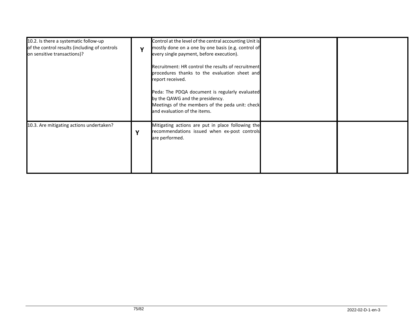| 10.2. Is there a systematic follow-up<br>of the control results (including of controls<br>on sensitive transactions)? | v | Control at the level of the central accounting Unit is<br>mostly done on a one by one basis (e.g. control of<br>every single payment, before execution).<br>Recruitment: HR control the results of recruitment<br>procedures thanks to the evaluation sheet and<br>report received.<br>Peda: The PDQA document is regularly evaluated<br>by the QAWG and the presidency.<br>Meetings of the members of the peda unit: check<br>and evaluation of the items. |  |
|-----------------------------------------------------------------------------------------------------------------------|---|-------------------------------------------------------------------------------------------------------------------------------------------------------------------------------------------------------------------------------------------------------------------------------------------------------------------------------------------------------------------------------------------------------------------------------------------------------------|--|
| 10.3. Are mitigating actions undertaken?                                                                              | v | Mitigating actions are put in place following the<br>recommendations issued when ex-post controls<br>are performed.                                                                                                                                                                                                                                                                                                                                         |  |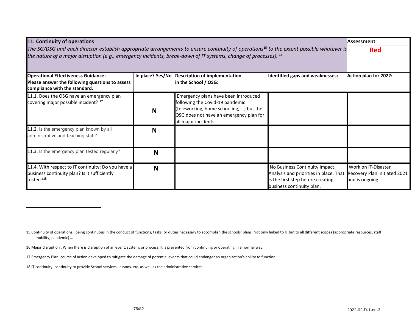| 11. Continuity of operations                                                                                                                                                                                                                                           |                  |                                                                                                                                                                                       |                                                                                                                                           | <b>Assessment</b>                                                     |
|------------------------------------------------------------------------------------------------------------------------------------------------------------------------------------------------------------------------------------------------------------------------|------------------|---------------------------------------------------------------------------------------------------------------------------------------------------------------------------------------|-------------------------------------------------------------------------------------------------------------------------------------------|-----------------------------------------------------------------------|
| The SG/DSG and each director establish appropriate arrangements to ensure continuity of operations <sup>15</sup> to the extent possible whatever is<br>the nature of a major disruption (e.g., emergency incidents, break-down of IT systems, change of processes). 16 | <b>Red</b>       |                                                                                                                                                                                       |                                                                                                                                           |                                                                       |
| <b>Operational Effectiveness Guidance:</b><br>Please answer the following questions to assess<br>compliance with the standard.                                                                                                                                         | In place? Yes/No | <b>Description of implementation</b><br>in the School / OSG:                                                                                                                          | Identified gaps and weaknesses:                                                                                                           | Action plan for 2022:                                                 |
| 11.1. Does the OSG have an emergency plan<br>covering major possible incident? <sup>17</sup>                                                                                                                                                                           | N                | Emergency plans have been introduced<br>following the Covid-19 pandemic<br>(teleworking, home schooling, ) but the<br>OSG does not have an emergency plan for<br>all major incidents. |                                                                                                                                           |                                                                       |
| 11.2. Is the emergency plan known by all<br>administrative and teaching staff?                                                                                                                                                                                         | N                |                                                                                                                                                                                       |                                                                                                                                           |                                                                       |
| 11.3. Is the emergency plan tested regularly?                                                                                                                                                                                                                          | N                |                                                                                                                                                                                       |                                                                                                                                           |                                                                       |
| 11.4. With respect to IT continuity: Do you have a<br>business continuity plan? Is it sufficiently<br>tested? <sup>18</sup>                                                                                                                                            | N                |                                                                                                                                                                                       | No Business Continuity Impact<br>Analysis and priorities in place. That<br>is the first step before creating<br>business continuity plan. | Work on IT-Disaster<br>Recovery Plan initiated 2021<br>and is ongoing |

<sup>15</sup> Continuity of operations: being continuous in the conduct of functions, tasks, or duties necessary to accomplish the schools' plans. Not only linked to IT but to all different scopes (appropriate resources, staff mobility, pandemic) …

<sup>16</sup> Major disruption : When there is disruption of an event, system, or process, it is prevented from [continuing](https://www.collinsdictionary.com/dictionary/english/continue) or operating in a normal way.

<sup>17</sup> Emergency Plan: course of action developed to mitigate the damage of potential events that could endanger an organization's ability to function

<sup>18</sup> IT continuity: continuity to provide School services, lessons, etc. as well as the administrative services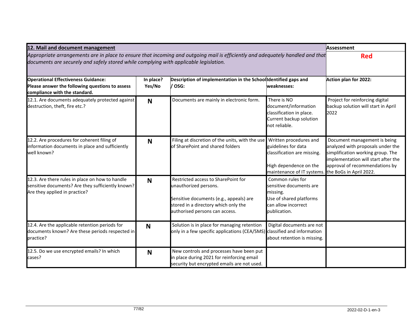| 12. Mail and document management                                                                                                                                                                                        | Assessment          |                                                                                                                                                                                   |                                                                                                                                                              |                                                                                                                                                                                 |
|-------------------------------------------------------------------------------------------------------------------------------------------------------------------------------------------------------------------------|---------------------|-----------------------------------------------------------------------------------------------------------------------------------------------------------------------------------|--------------------------------------------------------------------------------------------------------------------------------------------------------------|---------------------------------------------------------------------------------------------------------------------------------------------------------------------------------|
| Appropriate arrangements are in place to ensure that incoming and outgoing mail is efficiently and adequately handled and that<br>documents are securely and safely stored while complying with applicable legislation. | <b>Red</b>          |                                                                                                                                                                                   |                                                                                                                                                              |                                                                                                                                                                                 |
| <b>Operational Effectiveness Guidance:</b><br>Please answer the following questions to assess<br>compliance with the standard.                                                                                          | In place?<br>Yes/No | Description of implementation in the School Identified gaps and<br>/ OSG:                                                                                                         | weaknesses:                                                                                                                                                  | Action plan for 2022:                                                                                                                                                           |
| 12.1. Are documents adequately protected against<br>destruction, theft, fire etc.?                                                                                                                                      | N                   | Documents are mainly in electronic form.                                                                                                                                          | There is NO<br>document/information<br>classification in place.<br>Current backup solution<br>not reliable.                                                  | Project for reinforcing digital<br>backup solution will start in April<br>2022                                                                                                  |
| 12.2. Are procedures for coherent filing of<br>information documents in place and sufficiently<br>well known?                                                                                                           | N                   | Filing at discretion of the units, with the use<br>of SharePoint and shared folders                                                                                               | Written procedures and<br>guidelines for data<br>classification are missing.<br>High dependence on the<br>maintenance of IT systems. the BoGs in April 2022. | Document management is being<br>analyzed with proposals under the<br>simplification working group. The<br>implementation will start after the<br>approval of recommendations by |
| 12.3. Are there rules in place on how to handle<br>sensitive documents? Are they sufficiently known?<br>Are they applied in practice?                                                                                   | N                   | Restricted access to SharePoint for<br>unauthorized persons.<br>Sensitive documents (e.g., appeals) are<br>stored in a directory which only the<br>authorised persons can access. | Common rules for<br>sensitive documents are<br>missing.<br>Use of shared platforms<br>can allow incorrect<br>publication.                                    |                                                                                                                                                                                 |
| 12.4. Are the applicable retention periods for<br>documents known? Are these periods respected in<br>practice?                                                                                                          | N                   | Solution is in place for managing retention<br>only in a few specific applications (CEA/SMS) classified and information                                                           | Digital documents are not<br>about retention is missing.                                                                                                     |                                                                                                                                                                                 |
| 12.5. Do we use encrypted emails? In which<br>cases?                                                                                                                                                                    | N                   | New controls and processes have been put<br>in place during 2021 for reinforcing email<br>security but encrypted emails are not used.                                             |                                                                                                                                                              |                                                                                                                                                                                 |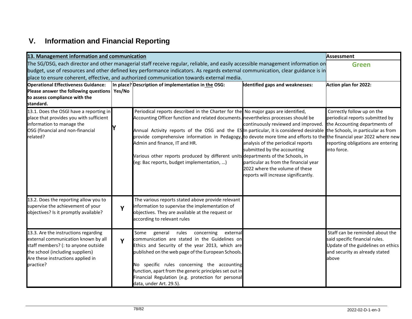## **V. Information and Financial Reporting**

| 13. Management information and communication                                                                                   |   |                                                                                                                                 |                                       | Assessment                                                           |
|--------------------------------------------------------------------------------------------------------------------------------|---|---------------------------------------------------------------------------------------------------------------------------------|---------------------------------------|----------------------------------------------------------------------|
|                                                                                                                                |   | The SG/DSG, each director and other managerial staff receive regular, reliable, and easily accessible management information on |                                       | <b>Green</b>                                                         |
| budget, use of resources and other defined key performance indicators. As regards external communication, clear guidance is in |   |                                                                                                                                 |                                       |                                                                      |
|                                                                                                                                |   | place to ensure coherent, effective, and authorized communication towards external media.                                       |                                       |                                                                      |
| <b>Operational Effectiveness Guidance:</b>                                                                                     |   | In place? Description of implementation in the OSG:                                                                             | Identified gaps and weaknesses:       | Action plan for 2022:                                                |
| Please answer the following questions   Yes/No                                                                                 |   |                                                                                                                                 |                                       |                                                                      |
| to assess compliance with the<br>standard.                                                                                     |   |                                                                                                                                 |                                       |                                                                      |
| 13.1. Does the OSGI have a reporting in                                                                                        |   | Periodical reports described in the Charter for the No major gaps are identified,                                               |                                       | Correctly follow up on the                                           |
| place that provides you with sufficient                                                                                        |   | Accounting Officer function and related documents. nevertheless processes should be                                             |                                       | periodical reports submitted by                                      |
| information to manage the                                                                                                      |   |                                                                                                                                 | continuously reviewed and improved.   | the Accounting departments of                                        |
| OSG (financial and non-financial                                                                                               |   | Annual Activity reports of the OSG and the ES In particular, it is considered desirable the Schools, in particular as from      |                                       |                                                                      |
| related?                                                                                                                       |   | provide comprehensive information in Pedagogy, to devote more time and efforts to the the financial year 2022 where new         |                                       |                                                                      |
|                                                                                                                                |   | Admin and finance, IT and HR.                                                                                                   | analysis of the periodical reports    | reporting obligations are entering                                   |
|                                                                                                                                |   |                                                                                                                                 | submitted by the accounting           | into force.                                                          |
|                                                                                                                                |   | Various other reports produced by different units departments of the Schools, in<br>(eg: Bac reports, budget implementation, )  | particular as from the financial year |                                                                      |
|                                                                                                                                |   |                                                                                                                                 | 2022 where the volume of these        |                                                                      |
|                                                                                                                                |   |                                                                                                                                 | reports will increase significantly.  |                                                                      |
|                                                                                                                                |   |                                                                                                                                 |                                       |                                                                      |
|                                                                                                                                |   |                                                                                                                                 |                                       |                                                                      |
| 13.2. Does the reporting allow you to                                                                                          |   | The various reports stated above provide relevant                                                                               |                                       |                                                                      |
| supervise the achievement of your                                                                                              | Y | information to supervise the implementation of                                                                                  |                                       |                                                                      |
| objectives? Is it promptly available?                                                                                          |   | objectives. They are available at the request or<br>according to relevant rules                                                 |                                       |                                                                      |
|                                                                                                                                |   |                                                                                                                                 |                                       |                                                                      |
| 13.3. Are the instructions regarding                                                                                           |   | Some<br>general<br>rules<br>concerning<br>external                                                                              |                                       | Staff can be reminded about the                                      |
| external communication known by all                                                                                            | Y | communication are stated in the Guidelines on                                                                                   |                                       | said specific financial rules.                                       |
| staff members? (: to anyone outside<br>the school (including suppliers)                                                        |   | Ethics and Security of the year 2013, which are<br>published on the web page of the European Schools.                           |                                       | Update of the guidelines on ethics<br>and security as already stated |
| Are these instructions applied in                                                                                              |   |                                                                                                                                 |                                       | above                                                                |
| practice?                                                                                                                      |   | No specific rules concerning the accounting                                                                                     |                                       |                                                                      |
|                                                                                                                                |   | function, apart from the generic principles set out in                                                                          |                                       |                                                                      |
|                                                                                                                                |   | Financial Regulation (e.g. protection for personal                                                                              |                                       |                                                                      |
|                                                                                                                                |   | data, under Art. 29.5).                                                                                                         |                                       |                                                                      |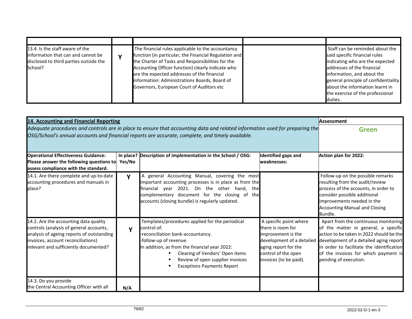| 13.4. Is the staff aware of the<br>linformation that can and cannot be<br>disclosed to third parties outside the<br>School? | The financial rules applicable to the accountancy<br>function (in particular, the Financial Regulation and<br>the Charter of Tasks and Responsibilities for the<br>Accounting Officer function) clearly indicate who<br>are the expected addresses of the financial<br>information: Administrations Boards, Board of<br>Governors, European Court of Auditors etc | Staff can be reminded about the<br>said specific financial rules<br>indicating who are the expected<br>addresses of the financial<br>information, and about the<br>general principle of confidentiality<br>about the information learnt in<br>the exercise of the professional<br>duties. |
|-----------------------------------------------------------------------------------------------------------------------------|-------------------------------------------------------------------------------------------------------------------------------------------------------------------------------------------------------------------------------------------------------------------------------------------------------------------------------------------------------------------|-------------------------------------------------------------------------------------------------------------------------------------------------------------------------------------------------------------------------------------------------------------------------------------------|

| 14. Accounting and Financial Reporting                                                                                                                                                                                          | <b>Assessment</b> |                                                                                                                                                                                                                                                                                            |                                                                                                                                                                         |                                                                                                                                                                                                                                                                                  |
|---------------------------------------------------------------------------------------------------------------------------------------------------------------------------------------------------------------------------------|-------------------|--------------------------------------------------------------------------------------------------------------------------------------------------------------------------------------------------------------------------------------------------------------------------------------------|-------------------------------------------------------------------------------------------------------------------------------------------------------------------------|----------------------------------------------------------------------------------------------------------------------------------------------------------------------------------------------------------------------------------------------------------------------------------|
| Adequate procedures and controls are in place to ensure that accounting data and related information used for preparing the<br>OSG/School's annual accounts and financial reports are accurate, complete, and timely available. | <b>Green</b>      |                                                                                                                                                                                                                                                                                            |                                                                                                                                                                         |                                                                                                                                                                                                                                                                                  |
| <b>Operational Effectiveness Guidance:</b><br>Please answer the following questions to<br>assess compliance with the standard.                                                                                                  | Yes/No            | In place? Description of implementation in the School / OSG:                                                                                                                                                                                                                               | Identified gaps and<br>weaknesses:                                                                                                                                      | Action plan for 2022:                                                                                                                                                                                                                                                            |
| 14.1. Are there complete and up-to-date<br>accounting procedures and manuals in<br>place?                                                                                                                                       | Y                 | A general Accounting Manual, covering the most<br>important accounting processes is in place as from the<br>financial year 2021. On the other hand, the<br>complementary document for the closing of the<br>accounts (closing bundle) is regularly updated.                                |                                                                                                                                                                         | Follow-up on the possible remarks<br>resulting from the audit/review<br>process of the accounts, in order to<br>consider possible additional<br>improvements needed in the<br><b>Accounting Manual and Closing</b><br>Bundle.                                                    |
| 14.2. Are the accounting data quality<br>controls (analysis of general accounts,<br>analysis of ageing reports of outstanding<br>invoices, account reconciliations)<br>relevant and sufficiently documented?                    | Y                 | Templates/procedures applied for the periodical<br>control of:<br>-reconciliation bank-accountancy.<br>-follow-up of revenue.<br>In addition, as from the financial year 2022:<br>Clearing of Vendors' Open items<br>Review of open supplier invoices<br><b>Exceptions Payments Report</b> | A specific point where<br>there is room for<br>improvement is the<br>development of a detailed<br>aging report for the<br>control of the open<br>invoices (to be paid). | Apart from the continuous monitoring<br>of the matter in general, a specific<br>action to be taken in 2022 should be the<br>development of a detailed aging report<br>in order to facilitate the identification<br>of the invoices for which payment is<br>pending of execution. |
| 14.3. Do you provide<br>the Central Accounting Officer with all                                                                                                                                                                 | N/A               |                                                                                                                                                                                                                                                                                            |                                                                                                                                                                         |                                                                                                                                                                                                                                                                                  |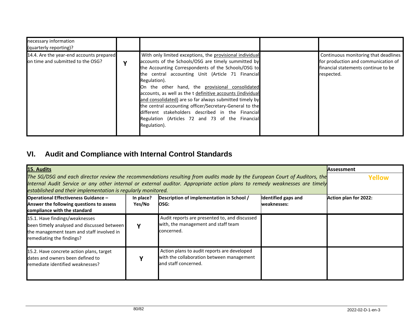| necessary information<br>(quarterly reporting)?                               |             |                                                                                                                                                                                                                                                                                                                                                                                                                                                                                                                                                                                                            |                                                                                                                                  |
|-------------------------------------------------------------------------------|-------------|------------------------------------------------------------------------------------------------------------------------------------------------------------------------------------------------------------------------------------------------------------------------------------------------------------------------------------------------------------------------------------------------------------------------------------------------------------------------------------------------------------------------------------------------------------------------------------------------------------|----------------------------------------------------------------------------------------------------------------------------------|
| 14.4. Are the year-end accounts prepared<br>on time and submitted to the OSG? | $\mathbf v$ | With only limited exceptions, the provisional individual<br>accounts of the Schools/OSG are timely summitted by<br>the Accounting Correspondents of the Schools/OSG to<br>the central accounting Unit (Article 71 Financial<br>Regulation).<br>On the other hand, the provisional consolidated<br>accounts, as well as the t definitive accounts (individual<br>and consolidated) are so far always submitted timely by<br>the central accounting officer/Secretary-General to the<br>different stakeholders described in the Financial<br>Regulation (Articles 72 and 73 of the Financial<br>Regulation). | Continuous monitoring that deadlines<br>for production and communication of<br>financial statements continue to be<br>respected. |

## **VI. Audit and Compliance with Internal Control Standards**

| 15. Audits                                                                                                                                             | <b>Assessment</b> |                                                                                                                                                                                                                                                         |                     |                       |
|--------------------------------------------------------------------------------------------------------------------------------------------------------|-------------------|---------------------------------------------------------------------------------------------------------------------------------------------------------------------------------------------------------------------------------------------------------|---------------------|-----------------------|
|                                                                                                                                                        |                   | The SG/DSG and each director review the recommendations resulting from audits made by the European Court of Auditors, the<br>Internal Audit Service or any other internal or external auditor. Appropriate action plans to remedy weaknesses are timely |                     | Yellow                |
| established and their implementation is regularly monitored.                                                                                           |                   |                                                                                                                                                                                                                                                         |                     |                       |
| <b>Operational Effectiveness Guidance -</b>                                                                                                            | In place?         | Description of implementation in School /                                                                                                                                                                                                               | Identified gaps and | Action plan for 2022: |
| Answer the following questions to assess<br>compliance with the standard                                                                               | Yes/No            | OSG:                                                                                                                                                                                                                                                    | weaknesses:         |                       |
| 15.1. Have findings/weaknesses<br>been timely analysed and discussed between<br>the management team and staff involved in<br>remediating the findings? |                   | Audit reports are presented to, and discussed<br>with, the management and staff team<br>concerned.                                                                                                                                                      |                     |                       |
| 15.2. Have concrete action plans, target<br>dates and owners been defined to<br>remediate identified weaknesses?                                       |                   | Action plans to audit reports are developed<br>with the collaboration between management<br>and staff concerned.                                                                                                                                        |                     |                       |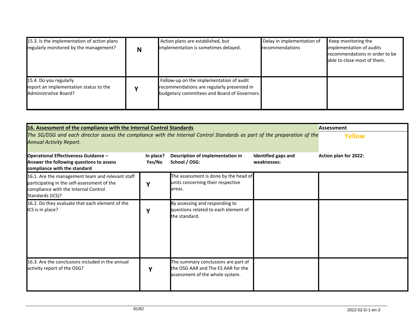| 15.3. Is the implementation of action plans<br>regularly monitored by the management?     | N | Action plans are established, but<br>implementation is sometimes delayed.                                                              | Delay in implementation of<br>recommendations | Keep monitoring the<br>implementation of audits<br>recommendations in order to be<br>able to close most of them. |
|-------------------------------------------------------------------------------------------|---|----------------------------------------------------------------------------------------------------------------------------------------|-----------------------------------------------|------------------------------------------------------------------------------------------------------------------|
| 15.4. Do you regularly<br>report an implementation status to the<br>Administrative Board? |   | Follow-up on the implementation of audit<br>recommendations are regularly presented in<br>budgetary committees and Board of Governors. |                                               |                                                                                                                  |

| 16. Assessment of the compliance with the Internal Control Standards<br>The SG/DSG and each director assess the compliance with the Internal Control Standards as part of the preparation of the<br><b>Annual Activity Report.</b><br><b>Operational Effectiveness Guidance -</b><br>Answer the following questions to assess<br>compliance with the standard | <b>Assessment</b><br>Yellow<br>Action plan for 2022: |                                                                                                              |  |  |
|---------------------------------------------------------------------------------------------------------------------------------------------------------------------------------------------------------------------------------------------------------------------------------------------------------------------------------------------------------------|------------------------------------------------------|--------------------------------------------------------------------------------------------------------------|--|--|
| 16.1. Are the management team and relevant staff<br>participating in the self-assessment of the<br>compliance with the Internal Control<br>Standards (ICS)?                                                                                                                                                                                                   | v                                                    | The assessment is done by the head of<br>units concerning their respective<br>areas.                         |  |  |
| 16.2. Do they evaluate that each element of the<br>ICS is in place?                                                                                                                                                                                                                                                                                           | ν                                                    | By assessing and responding to<br>questions related to each element of<br>the standard.                      |  |  |
| 16.3. Are the conclusions included in the annual<br>activity report of the OSG?                                                                                                                                                                                                                                                                               | ν                                                    | The summary conclusions are part of<br>the OSG AAR and The ES AAR for the<br>assessment of the whole system. |  |  |